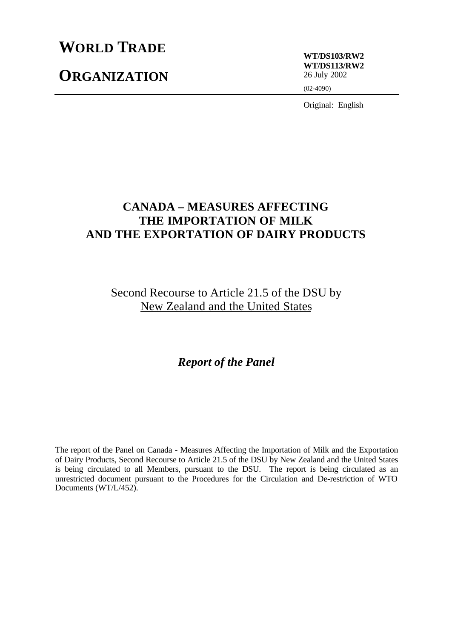**WORLD TRADE**

**ORGANIZATION**

**WT/DS103/RW2 WT/DS113/RW2** 26 July 2002

(02-4090)

Original: English

# **CANADA – MEASURES AFFECTING THE IMPORTATION OF MILK AND THE EXPORTATION OF DAIRY PRODUCTS**

Second Recourse to Article 21.5 of the DSU by New Zealand and the United States

*Report of the Panel*

The report of the Panel on Canada - Measures Affecting the Importation of Milk and the Exportation of Dairy Products, Second Recourse to Article 21.5 of the DSU by New Zealand and the United States is being circulated to all Members, pursuant to the DSU. The report is being circulated as an unrestricted document pursuant to the Procedures for the Circulation and De-restriction of WTO Documents (WT/L/452).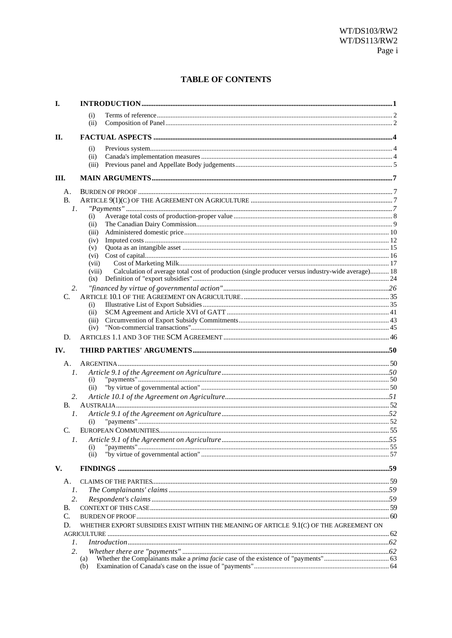## **TABLE OF CONTENTS**

| I.              |                                                                                                             |  |  |
|-----------------|-------------------------------------------------------------------------------------------------------------|--|--|
|                 | (i)<br>(ii)                                                                                                 |  |  |
| П.              |                                                                                                             |  |  |
|                 | (i)<br>(ii)<br>(iii)                                                                                        |  |  |
| Ш.              |                                                                                                             |  |  |
| А.              |                                                                                                             |  |  |
| <b>B.</b>       |                                                                                                             |  |  |
| $\mathcal{I}$ . |                                                                                                             |  |  |
|                 | (i)                                                                                                         |  |  |
|                 | (ii)                                                                                                        |  |  |
|                 | (iii)<br>(iv)                                                                                               |  |  |
|                 | (v)                                                                                                         |  |  |
|                 | (vi)                                                                                                        |  |  |
|                 | (vii)                                                                                                       |  |  |
|                 | Calculation of average total cost of production (single producer versus industry-wide average) 18<br>(viii) |  |  |
|                 | (ix)                                                                                                        |  |  |
| 2.              |                                                                                                             |  |  |
|                 | (i)                                                                                                         |  |  |
|                 | (ii)                                                                                                        |  |  |
|                 | (iii)                                                                                                       |  |  |
|                 | (iv)                                                                                                        |  |  |
| D.              |                                                                                                             |  |  |
| IV.             |                                                                                                             |  |  |
| A.              |                                                                                                             |  |  |
| $\mathfrak{1}.$ |                                                                                                             |  |  |
|                 | (i)                                                                                                         |  |  |
|                 | (ii)                                                                                                        |  |  |
| 2.              |                                                                                                             |  |  |
| B.              |                                                                                                             |  |  |
| $\mathfrak{1}.$ | "payments"<br>(i)                                                                                           |  |  |
| C.              |                                                                                                             |  |  |
| 1.              |                                                                                                             |  |  |
|                 | (i)                                                                                                         |  |  |
|                 | (ii)                                                                                                        |  |  |
| V.              |                                                                                                             |  |  |
|                 |                                                                                                             |  |  |
| А.<br>1.        |                                                                                                             |  |  |
| 2.              |                                                                                                             |  |  |
| В.              |                                                                                                             |  |  |
| C.              |                                                                                                             |  |  |
| D.              | WHETHER EXPORT SUBSIDIES EXIST WITHIN THE MEANING OF ARTICLE 9.1(C) OF THE AGREEMENT ON                     |  |  |
|                 |                                                                                                             |  |  |
| $\mathcal{I}$ . |                                                                                                             |  |  |
| 2.              |                                                                                                             |  |  |
|                 | (a)                                                                                                         |  |  |
|                 | (b)                                                                                                         |  |  |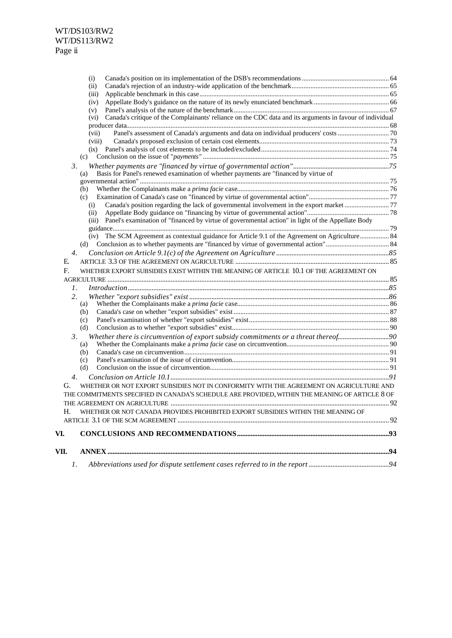| (i)                                                                                                                      |  |
|--------------------------------------------------------------------------------------------------------------------------|--|
| (ii)                                                                                                                     |  |
| (iii)                                                                                                                    |  |
| (iv)                                                                                                                     |  |
| (v)<br>Canada's critique of the Complainants' reliance on the CDC data and its arguments in favour of individual<br>(vi) |  |
|                                                                                                                          |  |
| (vii)                                                                                                                    |  |
| (viii)                                                                                                                   |  |
| (ix)                                                                                                                     |  |
| (c)                                                                                                                      |  |
| 3.                                                                                                                       |  |
| Basis for Panel's renewed examination of whether payments are "financed by virtue of<br>(a)                              |  |
|                                                                                                                          |  |
| (b)                                                                                                                      |  |
| (c)                                                                                                                      |  |
| (i)                                                                                                                      |  |
| (ii)                                                                                                                     |  |
| Panel's examination of "financed by virtue of governmental action" in light of the Appellate Body<br>(iii)               |  |
|                                                                                                                          |  |
| The SCM Agreement as contextual guidance for Article 9.1 of the Agreement on Agriculture 84<br>(iv)                      |  |
|                                                                                                                          |  |
| 4.                                                                                                                       |  |
| E.                                                                                                                       |  |
| WHETHER EXPORT SUBSIDIES EXIST WITHIN THE MEANING OF ARTICLE 10.1 OF THE AGREEMENT ON<br>F.                              |  |
|                                                                                                                          |  |
| 1.                                                                                                                       |  |
| 2.                                                                                                                       |  |
| (a)<br>(b)                                                                                                               |  |
| (c)                                                                                                                      |  |
| (d)                                                                                                                      |  |
| Whether there is circumvention of export subsidy commitments or a threat thereof90<br>$\mathfrak{Z}$ .                   |  |
| (a)                                                                                                                      |  |
| (b)                                                                                                                      |  |
| (c)                                                                                                                      |  |
| (d)                                                                                                                      |  |
| 4.                                                                                                                       |  |
| WHETHER OR NOT EXPORT SUBSIDIES NOT IN CONFORMITY WITH THE AGREEMENT ON AGRICULTURE AND<br>G.                            |  |
| THE COMMITMENTS SPECIFIED IN CANADA'S SCHEDULE ARE PROVIDED, WITHIN THE MEANING OF ARTICLE 8 OF                          |  |
|                                                                                                                          |  |
| H. WHETHER OR NOT CANADA PROVIDES PROHIBITED EXPORT SUBSIDIES WITHIN THE MEANING OF                                      |  |
|                                                                                                                          |  |
| VI.                                                                                                                      |  |
| VII.                                                                                                                     |  |
|                                                                                                                          |  |
| 1.                                                                                                                       |  |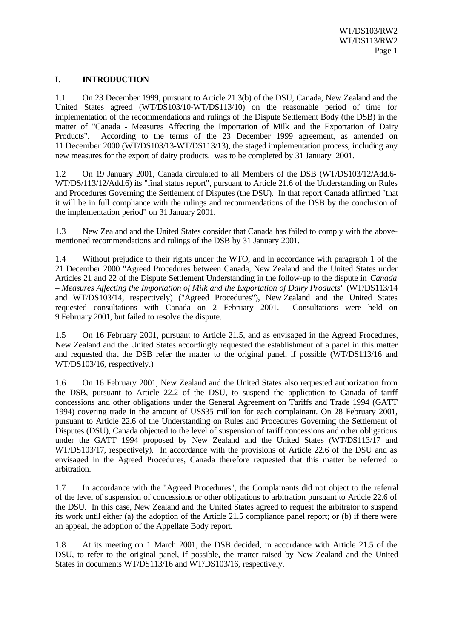## **I. INTRODUCTION**

1.1 On 23 December 1999, pursuant to Article 21.3(b) of the DSU, Canada, New Zealand and the United States agreed (WT/DS103/10-WT/DS113/10) on the reasonable period of time for implementation of the recommendations and rulings of the Dispute Settlement Body (the DSB) in the matter of "Canada - Measures Affecting the Importation of Milk and the Exportation of Dairy Products". According to the terms of the 23 December 1999 agreement, as amended on 11 December 2000 (WT/DS103/13-WT/DS113/13), the staged implementation process, including any new measures for the export of dairy products, was to be completed by 31 January 2001.

1.2 On 19 January 2001, Canada circulated to all Members of the DSB (WT/DS103/12/Add.6- WT/DS/113/12/Add.6) its "final status report", pursuant to Article 21.6 of the Understanding on Rules and Procedures Governing the Settlement of Disputes (the DSU). In that report Canada affirmed "that it will be in full compliance with the rulings and recommendations of the DSB by the conclusion of the implementation period" on 31 January 2001.

1.3 New Zealand and the United States consider that Canada has failed to comply with the abovementioned recommendations and rulings of the DSB by 31 January 2001.

1.4 Without prejudice to their rights under the WTO, and in accordance with paragraph 1 of the 21 December 2000 "Agreed Procedures between Canada, New Zealand and the United States under Articles 21 and 22 of the Dispute Settlement Understanding in the follow-up to the dispute in *Canada – Measures Affecting the Importation of Milk and the Exportation of Dairy Products*" (WT/DS113/14 and WT/DS103/14, respectively) ("Agreed Procedures"), New Zealand and the United States requested consultations with Canada on 2 February 2001. Consultations were held on 9 February 2001, but failed to resolve the dispute.

1.5 On 16 February 2001, pursuant to Article 21.5, and as envisaged in the Agreed Procedures, New Zealand and the United States accordingly requested the establishment of a panel in this matter and requested that the DSB refer the matter to the original panel, if possible (WT/DS113/16 and WT/DS103/16, respectively.)

1.6 On 16 February 2001, New Zealand and the United States also requested authorization from the DSB, pursuant to Article 22.2 of the DSU, to suspend the application to Canada of tariff concessions and other obligations under the General Agreement on Tariffs and Trade 1994 (GATT 1994) covering trade in the amount of US\$35 million for each complainant. On 28 February 2001, pursuant to Article 22.6 of the Understanding on Rules and Procedures Governing the Settlement of Disputes (DSU), Canada objected to the level of suspension of tariff concessions and other obligations under the GATT 1994 proposed by New Zealand and the United States (WT/DS113/17 and WT/DS103/17, respectively). In accordance with the provisions of Article 22.6 of the DSU and as envisaged in the Agreed Procedures, Canada therefore requested that this matter be referred to arbitration.

1.7 In accordance with the "Agreed Procedures", the Complainants did not object to the referral of the level of suspension of concessions or other obligations to arbitration pursuant to Article 22.6 of the DSU. In this case, New Zealand and the United States agreed to request the arbitrator to suspend its work until either (a) the adoption of the Article 21.5 compliance panel report; or (b) if there were an appeal, the adoption of the Appellate Body report.

1.8 At its meeting on 1 March 2001, the DSB decided, in accordance with Article 21.5 of the DSU, to refer to the original panel, if possible, the matter raised by New Zealand and the United States in documents WT/DS113/16 and WT/DS103/16, respectively.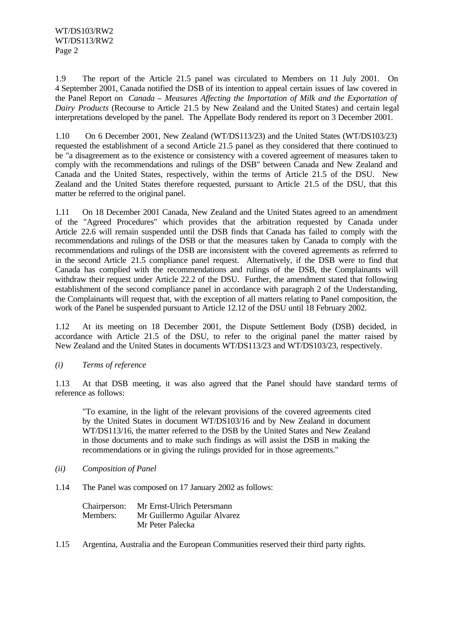1.9 The report of the Article 21.5 panel was circulated to Members on 11 July 2001. On 4 September 2001, Canada notified the DSB of its intention to appeal certain issues of law covered in the Panel Report on *Canada* – *Measures Affecting the Importation of Milk and the Exportation of Dairy Products* (Recourse to Article 21.5 by New Zealand and the United States) and certain legal interpretations developed by the panel. The Appellate Body rendered its report on 3 December 2001.

1.10 On 6 December 2001, New Zealand (WT/DS113/23) and the United States (WT/DS103/23) requested the establishment of a second Article 21.5 panel as they considered that there continued to be "a disagreement as to the existence or consistency with a covered agreement of measures taken to comply with the recommendations and rulings of the DSB" between Canada and New Zealand and Canada and the United States, respectively, within the terms of Article 21.5 of the DSU. New Zealand and the United States therefore requested, pursuant to Article 21.5 of the DSU, that this matter be referred to the original panel.

1.11 On 18 December 2001 Canada, New Zealand and the United States agreed to an amendment of the "Agreed Procedures" which provides that the arbitration requested by Canada under Article 22.6 will remain suspended until the DSB finds that Canada has failed to comply with the recommendations and rulings of the DSB or that the measures taken by Canada to comply with the recommendations and rulings of the DSB are inconsistent with the covered agreements as referred to in the second Article 21.5 compliance panel request. Alternatively, if the DSB were to find that Canada has complied with the recommendations and rulings of the DSB, the Complainants will withdraw their request under Article 22.2 of the DSU. Further, the amendment stated that following establishment of the second compliance panel in accordance with paragraph 2 of the Understanding, the Complainants will request that, with the exception of all matters relating to Panel composition, the work of the Panel be suspended pursuant to Article 12.12 of the DSU until 18 February 2002.

1.12 At its meeting on 18 December 2001, the Dispute Settlement Body (DSB) decided, in accordance with Article 21.5 of the DSU, to refer to the original panel the matter raised by New Zealand and the United States in documents WT/DS113/23 and WT/DS103/23, respectively.

#### *(i) Terms of reference*

1.13 At that DSB meeting, it was also agreed that the Panel should have standard terms of reference as follows:

"To examine, in the light of the relevant provisions of the covered agreements cited by the United States in document WT/DS103/16 and by New Zealand in document WT/DS113/16, the matter referred to the DSB by the United States and New Zealand in those documents and to make such findings as will assist the DSB in making the recommendations or in giving the rulings provided for in those agreements."

- *(ii) Composition of Panel*
- 1.14 The Panel was composed on 17 January 2002 as follows:

| Chairperson: | Mr Ernst-Ulrich Petersmann   |
|--------------|------------------------------|
| Members:     | Mr Guillermo Aguilar Alvarez |
|              | Mr Peter Palecka             |

1.15 Argentina, Australia and the European Communities reserved their third party rights.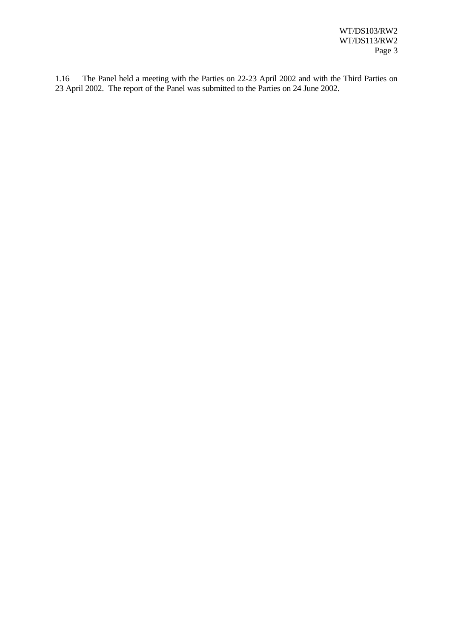1.16 The Panel held a meeting with the Parties on 22-23 April 2002 and with the Third Parties on 23 April 2002. The report of the Panel was submitted to the Parties on 24 June 2002.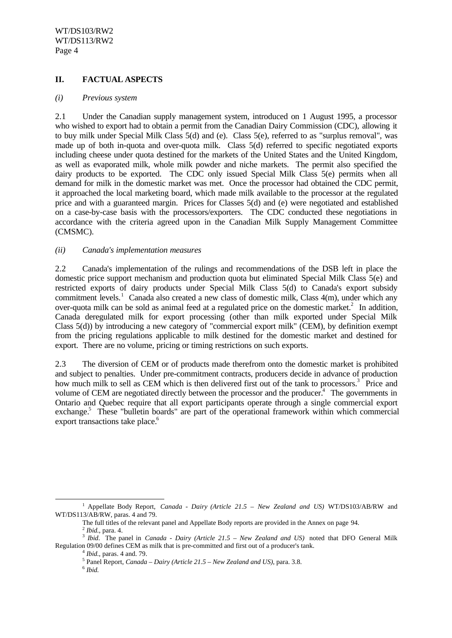WT/DS103/RW2 WT/DS113/RW2 Page 4

## **II. FACTUAL ASPECTS**

#### *(i) Previous system*

2.1 Under the Canadian supply management system, introduced on 1 August 1995, a processor who wished to export had to obtain a permit from the Canadian Dairy Commission (CDC), allowing it to buy milk under Special Milk Class 5(d) and (e). Class 5(e), referred to as "surplus removal", was made up of both in-quota and over-quota milk. Class 5(d) referred to specific negotiated exports including cheese under quota destined for the markets of the United States and the United Kingdom, as well as evaporated milk, whole milk powder and niche markets. The permit also specified the dairy products to be exported. The CDC only issued Special Milk Class 5(e) permits when all demand for milk in the domestic market was met. Once the processor had obtained the CDC permit, it approached the local marketing board, which made milk available to the processor at the regulated price and with a guaranteed margin. Prices for Classes 5(d) and (e) were negotiated and established on a case-by-case basis with the processors/exporters. The CDC conducted these negotiations in accordance with the criteria agreed upon in the Canadian Milk Supply Management Committee (CMSMC).

#### *(ii) Canada's implementation measures*

2.2 Canada's implementation of the rulings and recommendations of the DSB left in place the domestic price support mechanism and production quota but eliminated Special Milk Class 5(e) and restricted exports of dairy products under Special Milk Class 5(d) to Canada's export subsidy commitment levels.<sup>1</sup> Canada also created a new class of domestic milk, Class 4(m), under which any over-quota milk can be sold as animal feed at a regulated price on the domestic market. $^2$  In addition, Canada deregulated milk for export processing (other than milk exported under Special Milk Class 5(d)) by introducing a new category of "commercial export milk" (CEM), by definition exempt from the pricing regulations applicable to milk destined for the domestic market and destined for export. There are no volume, pricing or timing restrictions on such exports.

2.3 The diversion of CEM or of products made therefrom onto the domestic market is prohibited and subject to penalties. Under pre-commitment contracts, producers decide in advance of production how much milk to sell as CEM which is then delivered first out of the tank to processors.<sup>3</sup> Price and volume of CEM are negotiated directly between the processor and the producer. $4$  The governments in Ontario and Quebec require that all export participants operate through a single commercial export exchange.<sup>5</sup> These "bulletin boards" are part of the operational framework within which commercial export transactions take place.<sup>6</sup>

l 1 Appellate Body Report, *Canada - Dairy (Article 21.5 – New Zealand and US)* WT/DS103/AB/RW and WT/DS113/AB/RW, paras. 4 and 79.

The full titles of the relevant panel and Appellate Body reports are provided in the Annex on page 94.

<sup>2</sup> *Ibid.*, para. 4.

<sup>3</sup> *Ibid*. The panel in *Canada - Dairy (Article 21.5 – New Zealand and US)* noted that DFO General Milk Regulation 09/00 defines CEM as milk that is pre-committed and first out of a producer's tank.

<sup>4</sup> *Ibid.*, paras. 4 and. 79.

<sup>5</sup> Panel Report, *Canada – Dairy (Article 21.5 – New Zealand and US)*, para. 3.8.

<sup>6</sup> *Ibid.*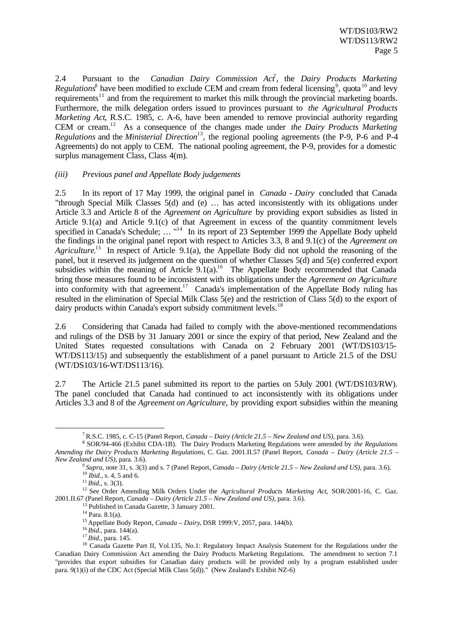2.4 Pursuant to the *Canadian Dairy Commission Act*, the *Dairy Products Marketing* Regulations<sup>8</sup> have been modified to exclude CEM and cream from federal licensing<sup>9</sup>, quota<sup>10</sup> and levy requirements<sup>11</sup> and from the requirement to market this milk through the provincial marketing boards. Furthermore, the milk delegation orders issued to provinces pursuant to *the Agricultural Products Marketing Act*, R.S.C. 1985, c. A-6, have been amended to remove provincial authority regarding CEM or cream.<sup>12</sup> As a consequence of the changes made under *the Dairy Products Marketing Regulations* and the *Ministerial Direction*<sup>13</sup>, the regional pooling agreements (the P-9, P-6 and P-4 Agreements) do not apply to CEM. The national pooling agreement, the P-9, provides for a domestic surplus management Class, Class 4(m).

#### *(iii) Previous panel and Appellate Body judgements*

2.5 In its report of 17 May 1999, the original panel in *Canada - Dairy* concluded that Canada "through Special Milk Classes 5(d) and (e) … has acted inconsistently with its obligations under Article 3.3 and Article 8 of the *Agreement on Agriculture* by providing export subsidies as listed in Article 9.1(a) and Article 9.1(c) of that Agreement in excess of the quantity commitment levels specified in Canada's Schedule; ... "<sup>14</sup> In its report of 23 September 1999 the Appellate Body upheld the findings in the original panel report with respect to Articles 3.3, 8 and 9.1(c) of the *Agreement on* Agriculture.<sup>15</sup> In respect of Article 9.1(a), the Appellate Body did not uphold the reasoning of the panel, but it reserved its judgement on the question of whether Classes 5(d) and 5(e) conferred export subsidies within the meaning of Article  $9.1(a)$ .<sup>16</sup> The Appellate Body recommended that Canada bring those measures found to be inconsistent with its obligations under the *Agreement on Agriculture* into conformity with that agreement.<sup>17</sup> Canada's implementation of the Appellate Body ruling has resulted in the elimination of Special Milk Class 5(e) and the restriction of Class 5(d) to the export of dairy products within Canada's export subsidy commitment levels.<sup>18</sup>

2.6 Considering that Canada had failed to comply with the above-mentioned recommendations and rulings of the DSB by 31 January 2001 or since the expiry of that period, New Zealand and the United States requested consultations with Canada on 2 February 2001 (WT/DS103/15- WT/DS113/15) and subsequently the establishment of a panel pursuant to Article 21.5 of the DSU (WT/DS103/16-WT/DS113/16).

2.7 The Article 21.5 panel submitted its report to the parties on 5 July 2001 (WT/DS103/RW). The panel concluded that Canada had continued to act inconsistently with its obligations under Articles 3.3 and 8 of the *Agreement on Agriculture*, by providing export subsidies within the meaning

l

<sup>16</sup> *Ibid*., para. 144(a).

<sup>7</sup>R.S.C. 1985, c. C-15 (Panel Report, *Canada – Dairy (Article 21.5 – New Zealand and US)*, para. 3.6).

<sup>8</sup> SOR/94-466 (Exhibit CDA-1B). The Dairy Products Marketing Regulations were amended by *the Regulations Amending the Dairy Products Marketing Regulations*, C. Gaz. 2001.II.57 (Panel Report, *Canada – Dairy (Article 21.5 – New Zealand and US)*, para. 3.6).

<sup>9</sup> *Supra*, note 31, s. 3(3) and s. 7 (Panel Report, *Canada – Dairy (Article 21.5 – New Zealand and US)*, para. 3.6).

<sup>10</sup> *Ibid.,* s. 4, 5 and 6.

<sup>11</sup> *Ibid.*, s. 3(3).

<sup>&</sup>lt;sup>12</sup> See Order Amending Milk Orders Under the *Agricultural Products Marketing Act*, SOR/2001-16, C. Gaz. 2001.II.67 (Panel Report, *Canada – Dairy (Article 21.5 – New Zealand and US)*, para. 3.6).

<sup>&</sup>lt;sup>13</sup> Published in Canada Gazette, 3 January 2001.

<sup>14</sup> Para. 8.1(a).

<sup>15</sup> Appellate Body Report, *Canada – Dairy*, DSR 1999:V, 2057, para. 144(b).

<sup>17</sup> *Ibid.*, para. 145.

<sup>&</sup>lt;sup>18</sup> Canada Gazette Part II, Vol.135, No.1: Regulatory Impact Analysis Statement for the Regulations under the Canadian Dairy Commission Act amending the Dairy Products Marketing Regulations. The amendment to section 7.1 "provides that export subsidies for Canadian dairy products will be provided only by a program established under para. 9(1)(i) of the CDC Act (Special Milk Class 5(d))." (New Zealand's Exhibit NZ-6)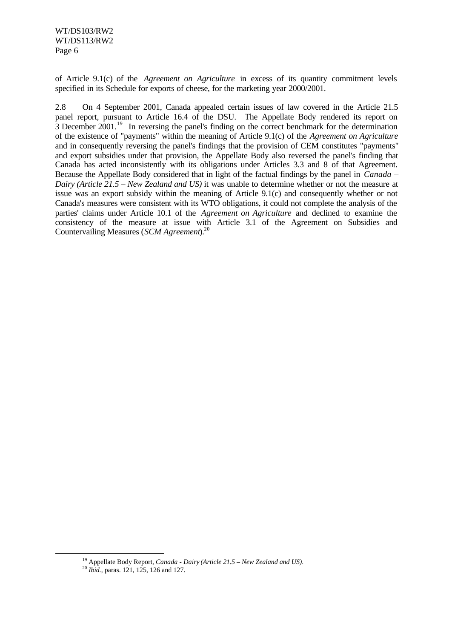of Article 9.1(c) of the *Agreement on Agriculture* in excess of its quantity commitment levels specified in its Schedule for exports of cheese, for the marketing year 2000/2001.

2.8 On 4 September 2001, Canada appealed certain issues of law covered in the Article 21.5 panel report, pursuant to Article 16.4 of the DSU. The Appellate Body rendered its report on  $3$  December 2001.<sup>19</sup> In reversing the panel's finding on the correct benchmark for the determination of the existence of "payments" within the meaning of Article 9.1(c) of the *Agreement on Agriculture* and in consequently reversing the panel's findings that the provision of CEM constitutes "payments" and export subsidies under that provision, the Appellate Body also reversed the panel's finding that Canada has acted inconsistently with its obligations under Articles 3.3 and 8 of that Agreement. Because the Appellate Body considered that in light of the factual findings by the panel in *Canada – Dairy (Article 21.5 – New Zealand and US)* it was unable to determine whether or not the measure at issue was an export subsidy within the meaning of Article 9.1(c) and consequently whether or not Canada's measures were consistent with its WTO obligations, it could not complete the analysis of the parties' claims under Article 10.1 of the *Agreement on Agriculture* and declined to examine the consistency of the measure at issue with Article 3.1 of the Agreement on Subsidies and Countervailing Measures (*SCM Agreement*)*.* 20

<sup>19</sup> Appellate Body Report, *Canada - Dairy (Article 21.5 – New Zealand and US)*.

<sup>20</sup> *Ibid.*, paras. 121, 125, 126 and 127.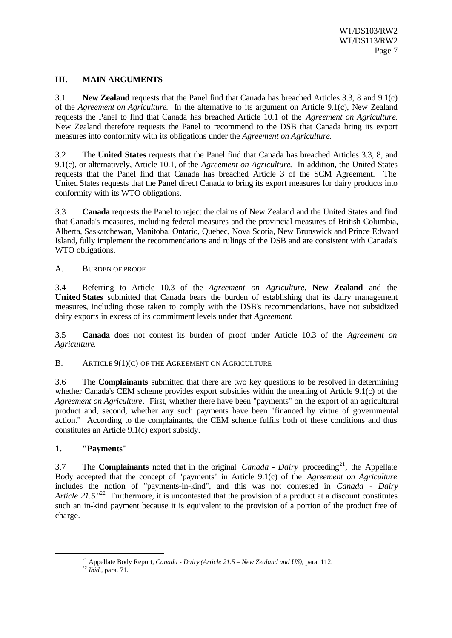## **III. MAIN ARGUMENTS**

3.1 **New Zealand** requests that the Panel find that Canada has breached Articles 3.3, 8 and 9.1(c) of the *Agreement on Agriculture*. In the alternative to its argument on Article 9.1(c), New Zealand requests the Panel to find that Canada has breached Article 10.1 of the *Agreement on Agriculture*. New Zealand therefore requests the Panel to recommend to the DSB that Canada bring its export measures into conformity with its obligations under the *Agreement on Agriculture*.

3.2 The **United States** requests that the Panel find that Canada has breached Articles 3.3, 8, and 9.1(c), or alternatively, Article 10.1, of the *Agreement on Agriculture*. In addition, the United States requests that the Panel find that Canada has breached Article 3 of the SCM Agreement. The United States requests that the Panel direct Canada to bring its export measures for dairy products into conformity with its WTO obligations.

3.3 **Canada** requests the Panel to reject the claims of New Zealand and the United States and find that Canada's measures, including federal measures and the provincial measures of British Columbia, Alberta, Saskatchewan, Manitoba, Ontario, Quebec, Nova Scotia, New Brunswick and Prince Edward Island, fully implement the recommendations and rulings of the DSB and are consistent with Canada's WTO obligations.

## A. BURDEN OF PROOF

3.4 Referring to Article 10.3 of the *Agreement on Agriculture,* **New Zealand** and the **United States** submitted that Canada bears the burden of establishing that its dairy management measures, including those taken to comply with the DSB's recommendations, have not subsidized dairy exports in excess of its commitment levels under that *Agreement*.

3.5 **Canada** does not contest its burden of proof under Article 10.3 of the *Agreement on Agriculture*.

#### B. ARTICLE  $9(1)(c)$  OF THE AGREEMENT ON AGRICULTURE

3.6 The **Complainants** submitted that there are two key questions to be resolved in determining whether Canada's CEM scheme provides export subsidies within the meaning of Article 9.1(c) of the *Agreement on Agriculture*. First, whether there have been "payments" on the export of an agricultural product and, second, whether any such payments have been "financed by virtue of governmental action." According to the complainants, the CEM scheme fulfils both of these conditions and thus constitutes an Article 9.1(c) export subsidy.

## **1. "Payments"**

3.7 The **Complainants** noted that in the original *Canada - Dairy* proceeding<sup>21</sup>, the Appellate Body accepted that the concept of "payments" in Article 9.1(c) of the *Agreement on Agriculture* includes the notion of "payments-in-kind", and this was not contested in *Canada - Dairy Article 21.5.*<sup>22</sup> Furthermore, it is uncontested that the provision of a product at a discount constitutes such an in-kind payment because it is equivalent to the provision of a portion of the product free of charge.

<sup>21</sup> Appellate Body Report, *Canada - Dairy (Article 21.5 – New Zealand and US)*, para. 112.

<sup>22</sup> *Ibid.*, para. 71.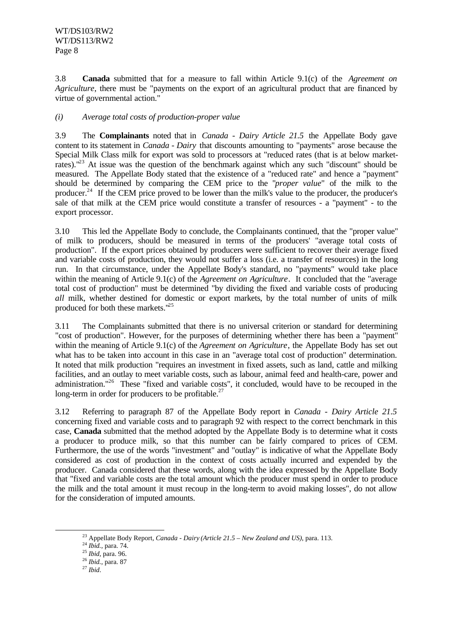3.8 **Canada** submitted that for a measure to fall within Article 9.1(c) of the *Agreement on Agriculture*, there must be "payments on the export of an agricultural product that are financed by virtue of governmental action."

## *(i) Average total costs of production-proper value*

3.9 The **Complainants** noted that in *Canada - Dairy Article 21.5* the Appellate Body gave content to its statement in *Canada - Dairy* that discounts amounting to "payments" arose because the Special Milk Class milk for export was sold to processors at "reduced rates (that is at below marketrates)."<sup>23</sup> At issue was the question of the benchmark against which any such "discount" should be measured. The Appellate Body stated that the existence of a "reduced rate" and hence a "payment" should be determined by comparing the CEM price to the "*proper value*" of the milk to the producer.<sup>24</sup> If the CEM price proved to be lower than the milk's value to the producer, the producer's sale of that milk at the CEM price would constitute a transfer of resources - a "payment" - to the export processor.

3.10 This led the Appellate Body to conclude, the Complainants continued, that the "proper value" of milk to producers, should be measured in terms of the producers' "average total costs of production". If the export prices obtained by producers were sufficient to recover their average fixed and variable costs of production, they would not suffer a loss (i.e. a transfer of resources) in the long run. In that circumstance, under the Appellate Body's standard, no "payments" would take place within the meaning of Article 9.1(c) of the *Agreement on Agriculture*. It concluded that the "average total cost of production" must be determined "by dividing the fixed and variable costs of producing *all* milk, whether destined for domestic or export markets, by the total number of units of milk produced for both these markets."<sup>25</sup>

3.11 The Complainants submitted that there is no universal criterion or standard for determining "cost of production". However, for the purposes of determining whether there has been a "payment" within the meaning of Article 9.1(c) of the *Agreement on Agriculture*, the Appellate Body has set out what has to be taken into account in this case in an "average total cost of production" determination. It noted that milk production "requires an investment in fixed assets, such as land, cattle and milking facilities, and an outlay to meet variable costs, such as labour, animal feed and health-care, power and administration."<sup>26</sup> These "fixed and variable costs", it concluded, would have to be recouped in the long-term in order for producers to be profitable.<sup>27</sup>

3.12 Referring to paragraph 87 of the Appellate Body report in *Canada - Dairy Article 21.5* concerning fixed and variable costs and to paragraph 92 with respect to the correct benchmark in this case, **Canada** submitted that the method adopted by the Appellate Body is to determine what it costs a producer to produce milk, so that this number can be fairly compared to prices of CEM. Furthermore, the use of the words "investment" and "outlay" is indicative of what the Appellate Body considered as cost of production in the context of costs actually incurred and expended by the producer. Canada considered that these words, along with the idea expressed by the Appellate Body that "fixed and variable costs are the total amount which the producer must spend in order to produce the milk and the total amount it must recoup in the long-term to avoid making losses", do not allow for the consideration of imputed amounts.

<sup>24</sup> *Ibid.*, para. 74.

<sup>23</sup> Appellate Body Report, *Canada - Dairy (Article 21.5 – New Zealand and US)*, para. 113.

<sup>25</sup> *Ibid,* para. 96.

<sup>26</sup> *Ibid.*, para. 87

<sup>27</sup> *Ibid*.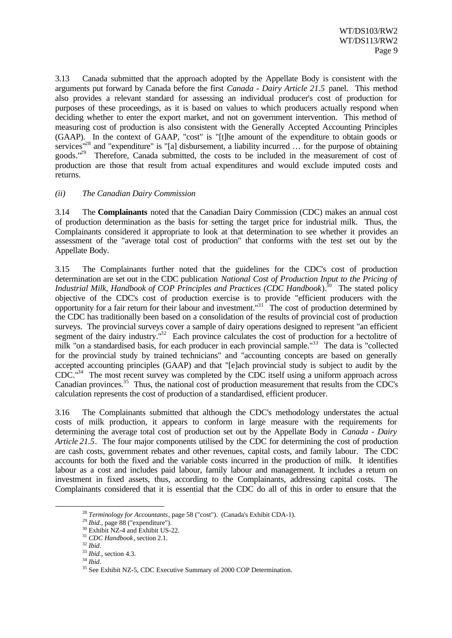3.13 Canada submitted that the approach adopted by the Appellate Body is consistent with the arguments put forward by Canada before the first *Canada - Dairy Article 21.5* panel. This method also provides a relevant standard for assessing an individual producer's cost of production for purposes of these proceedings, as it is based on values to which producers actually respond when deciding whether to enter the export market, and not on government intervention. This method of measuring cost of production is also consistent with the Generally Accepted Accounting Principles (GAAP). In the context of GAAP, "cost" is "[t]he amount of the expenditure to obtain goods or services<sup>"28</sup> and "expenditure" is "[a] disbursement, a liability incurred  $\ldots$  for the purpose of obtaining goods."<sup>29</sup> Therefore, Canada submitted, the costs to be included in the measurement of cost of production are those that result from actual expenditures and would exclude imputed costs and returns.

#### *(ii) The Canadian Dairy Commission*

3.14 The **Complainants** noted that the Canadian Dairy Commission (CDC) makes an annual cost of production determination as the basis for setting the target price for industrial milk. Thus, the Complainants considered it appropriate to look at that determination to see whether it provides an assessment of the "average total cost of production" that conforms with the test set out by the Appellate Body.

3.15 The Complainants further noted that the guidelines for the CDC's cost of production determination are set out in the CDC publication *National Cost of Production Input to the Pricing of Industrial Milk, Handbook of COP Principles and Practices (CDC Handbook)*.<sup>30</sup> The stated policy objective of the CDC's cost of production exercise is to provide "efficient producers with the opportunity for a fair return for their labour and investment."<sup>31</sup> The cost of production determined by the CDC has traditionally been based on a consolidation of the results of provincial cost of production surveys. The provincial surveys cover a sample of dairy operations designed to represent "an efficient segment of the dairy industry.<sup>"32</sup> Each province calculates the cost of production for a hectolitre of milk "on a standardised basis, for each producer in each provincial sample."<sup>33</sup> The data is "collected for the provincial study by trained technicians" and "accounting concepts are based on generally accepted accounting principles (GAAP) and that "[e]ach provincial study is subject to audit by the  $CDC$ ."<sup>34</sup> The most recent survey was completed by the CDC itself using a uniform approach across Canadian provinces.<sup>35</sup> Thus, the national cost of production measurement that results from the CDC's calculation represents the cost of production of a standardised, efficient producer.

3.16 The Complainants submitted that although the CDC's methodology understates the actual costs of milk production, it appears to conform in large measure with the requirements for determining the average total cost of production set out by the Appellate Body in *Canada - Dairy Article 21.5*. The four major components utilised by the CDC for determining the cost of production are cash costs, government rebates and other revenues, capital costs, and family labour. The CDC accounts for both the fixed and the variable costs incurred in the production of milk. It identifies labour as a cost and includes paid labour, family labour and management. It includes a return on investment in fixed assets, thus, according to the Complainants, addressing capital costs. The Complainants considered that it is essential that the CDC do all of this in order to ensure that the

<sup>28</sup> *Terminology for Accountants*, page 58 ("cost"). (Canada's Exhibit CDA-1).

<sup>29</sup> *Ibid*., page 88 ("expenditure").

<sup>&</sup>lt;sup>30</sup> Exhibit NZ-4 and Exhibit US-22.

<sup>31</sup> *CDC Handbook*, section 2.1.

<sup>32</sup> *Ibid*.

<sup>33</sup> *Ibid.*, section 4.3.

<sup>34</sup> *Ibid*.

<sup>&</sup>lt;sup>35</sup> See Exhibit NZ-5, CDC Executive Summary of 2000 COP Determination.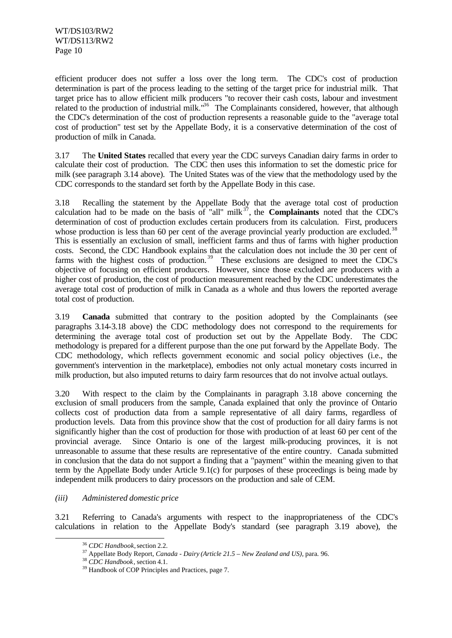efficient producer does not suffer a loss over the long term. The CDC's cost of production determination is part of the process leading to the setting of the target price for industrial milk. That target price has to allow efficient milk producers "to recover their cash costs, labour and investment related to the production of industrial milk."<sup>36</sup> The Complainants considered, however, that although the CDC's determination of the cost of production represents a reasonable guide to the "average total cost of production" test set by the Appellate Body, it is a conservative determination of the cost of production of milk in Canada.

3.17 The **United States** recalled that every year the CDC surveys Canadian dairy farms in order to calculate their cost of production. The CDC then uses this information to set the domestic price for milk (see paragraph 3.14 above). The United States was of the view that the methodology used by the CDC corresponds to the standard set forth by the Appellate Body in this case.

3.18 Recalling the statement by the Appellate Body that the average total cost of production calculation had to be made on the basis of "all" milk $3^7$ , the **Complainants** noted that the CDC's determination of cost of production excludes certain producers from its calculation. First, producers whose production is less than 60 per cent of the average provincial yearly production are excluded.<sup>38</sup> This is essentially an exclusion of small, inefficient farms and thus of farms with higher production costs. Second, the CDC Handbook explains that the calculation does not include the 30 per cent of farms with the highest costs of production.<sup>39</sup> These exclusions are designed to meet the CDC's objective of focusing on efficient producers. However, since those excluded are producers with a higher cost of production, the cost of production measurement reached by the CDC underestimates the average total cost of production of milk in Canada as a whole and thus lowers the reported average total cost of production.

3.19 **Canada** submitted that contrary to the position adopted by the Complainants (see paragraphs 3.14-3.18 above) the CDC methodology does not correspond to the requirements for determining the average total cost of production set out by the Appellate Body. The CDC methodology is prepared for a different purpose than the one put forward by the Appellate Body. The CDC methodology, which reflects government economic and social policy objectives (i.e., the government's intervention in the marketplace), embodies not only actual monetary costs incurred in milk production, but also imputed returns to dairy farm resources that do not involve actual outlays.

3.20 With respect to the claim by the Complainants in paragraph 3.18 above concerning the exclusion of small producers from the sample, Canada explained that only the province of Ontario collects cost of production data from a sample representative of all dairy farms, regardless of production levels. Data from this province show that the cost of production for all dairy farms is not significantly higher than the cost of production for those with production of at least 60 per cent of the provincial average. Since Ontario is one of the largest milk-producing provinces, it is not unreasonable to assume that these results are representative of the entire country. Canada submitted in conclusion that the data do not support a finding that a "payment" within the meaning given to that term by the Appellate Body under Article 9.1(c) for purposes of these proceedings is being made by independent milk producers to dairy processors on the production and sale of CEM.

#### *(iii) Administered domestic price*

3.21 Referring to Canada's arguments with respect to the inappropriateness of the CDC's calculations in relation to the Appellate Body's standard (see paragraph 3.19 above), the

<sup>36</sup> *CDC Handbook,* section 2.2.

<sup>37</sup> Appellate Body Report, *Canada - Dairy (Article 21.5 – New Zealand and US),* para*.* 96.

<sup>38</sup> *CDC Handbook*, section 4.1.

<sup>39</sup> Handbook of COP Principles and Practices, page 7.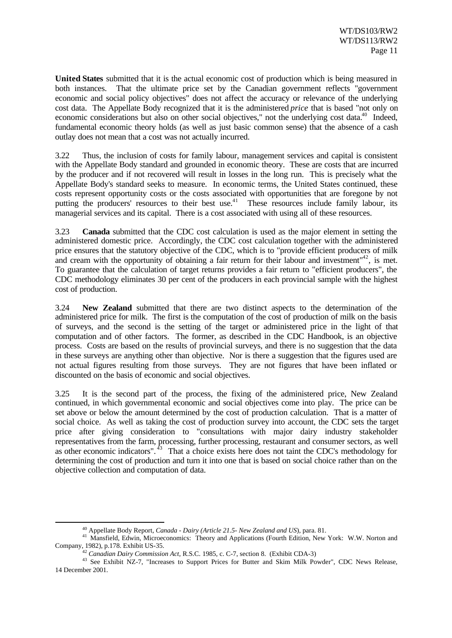**United States** submitted that it is the actual economic cost of production which is being measured in both instances. That the ultimate price set by the Canadian government reflects "government economic and social policy objectives" does not affect the accuracy or relevance of the underlying cost data. The Appellate Body recognized that it is the administered *price* that is based "not only on economic considerations but also on other social objectives," not the underlying cost data.<sup>40</sup> Indeed, fundamental economic theory holds (as well as just basic common sense) that the absence of a cash outlay does not mean that a cost was not actually incurred.

3.22 Thus, the inclusion of costs for family labour, management services and capital is consistent with the Appellate Body standard and grounded in economic theory. These are costs that are incurred by the producer and if not recovered will result in losses in the long run. This is precisely what the Appellate Body's standard seeks to measure. In economic terms, the United States continued, these costs represent opportunity costs or the costs associated with opportunities that are foregone by not putting the producers' resources to their best use.<sup>41</sup> These resources include family labour, its managerial services and its capital. There is a cost associated with using all of these resources.

3.23 **Canada** submitted that the CDC cost calculation is used as the major element in setting the administered domestic price. Accordingly, the CDC cost calculation together with the administered price ensures that the statutory objective of the CDC, which is to "provide efficient producers of milk and cream with the opportunity of obtaining a fair return for their labour and investment<sup> $n42$ </sup>, is met. To guarantee that the calculation of target returns provides a fair return to "efficient producers", the CDC methodology eliminates 30 per cent of the producers in each provincial sample with the highest cost of production.

3.24 **New Zealand** submitted that there are two distinct aspects to the determination of the administered price for milk. The first is the computation of the cost of production of milk on the basis of surveys, and the second is the setting of the target or administered price in the light of that computation and of other factors. The former, as described in the CDC Handbook, is an objective process. Costs are based on the results of provincial surveys, and there is no suggestion that the data in these surveys are anything other than objective. Nor is there a suggestion that the figures used are not actual figures resulting from those surveys. They are not figures that have been inflated or discounted on the basis of economic and social objectives.

3.25 It is the second part of the process, the fixing of the administered price, New Zealand continued, in which governmental economic and social objectives come into play. The price can be set above or below the amount determined by the cost of production calculation. That is a matter of social choice. As well as taking the cost of production survey into account, the CDC sets the target price after giving consideration to "consultations with major dairy industry stakeholder representatives from the farm, processing, further processing, restaurant and consumer sectors, as well as other economic indicators".<sup>43</sup> That a choice exists here does not taint the CDC's methodology for determining the cost of production and turn it into one that is based on social choice rather than on the objective collection and computation of data.

<sup>40</sup> Appellate Body Report, *Canada - Dairy (Article 21.5- New Zealand and US*), para. 81.

<sup>&</sup>lt;sup>41</sup> Mansfield, Edwin, Microeconomics: Theory and Applications (Fourth Edition, New York: W.W. Norton and Company, 1982), p.178. Exhibit US-35.

<sup>42</sup> *Canadian Dairy Commission Act*, R.S.C. 1985, c. C-7, section 8. (Exhibit CDA-3)

<sup>43</sup> See Exhibit NZ-7, "Increases to Support Prices for Butter and Skim Milk Powder", CDC News Release, 14 December 2001.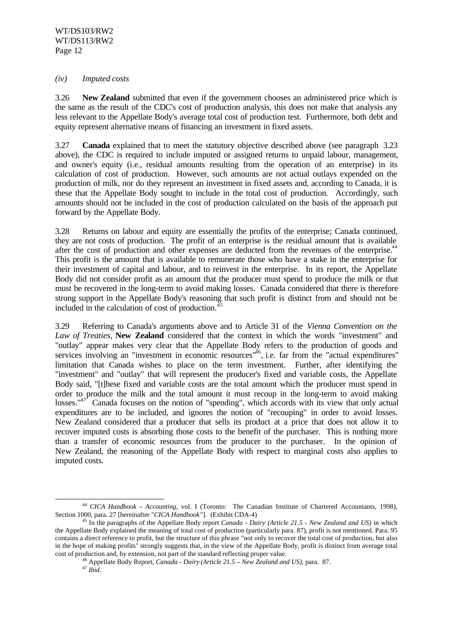#### *(iv) Imputed costs*

3.26 **New Zealand** submitted that even if the government chooses an administered price which is the same as the result of the CDC's cost of production analysis, this does not make that analysis any less relevant to the Appellate Body's average total cost of production test. Furthermore, both debt and equity represent alternative means of financing an investment in fixed assets.

3.27 **Canada** explained that to meet the statutory objective described above (see paragraph 3.23 above), the CDC is required to include imputed or assigned returns to unpaid labour, management, and owner's equity (i.e., residual amounts resulting from the operation of an enterprise) in its calculation of cost of production. However, such amounts are not actual outlays expended on the production of milk, nor do they represent an investment in fixed assets and, according to Canada, it is these that the Appellate Body sought to include in the total cost of production. Accordingly, such amounts should not be included in the cost of production calculated on the basis of the approach put forward by the Appellate Body.

3.28 Returns on labour and equity are essentially the profits of the enterprise; Canada continued, they are not costs of production. The profit of an enterprise is the residual amount that is available after the cost of production and other expenses are deducted from the revenues of the enterprise.<sup>44</sup> This profit is the amount that is available to remunerate those who have a stake in the enterprise for their investment of capital and labour, and to reinvest in the enterprise. In its report, the Appellate Body did not consider profit as an amount that the producer must spend to produce the milk or that must be recovered in the long-term to avoid making losses. Canada considered that there is therefore strong support in the Appellate Body's reasoning that such profit is distinct from and should not be included in the calculation of cost of production.<sup>4</sup>

3.29 Referring to Canada's arguments above and to Article 31 of the *Vienna Convention on the Law of Treaties*, **New Zealand** considered that the context in which the words "investment" and "outlay" appear makes very clear that the Appellate Body refers to the production of goods and services involving an "investment in economic resources"<sup>46</sup>, i.e. far from the "actual expenditures" limitation that Canada wishes to place on the term investment. Further, after identifying the "investment" and "outlay" that will represent the producer's fixed and variable costs, the Appellate Body said, "[t]hese fixed and variable costs are the total amount which the producer must spend in order to produce the milk and the total amount it must recoup in the long-term to avoid making losses."<sup>47</sup> Canada focuses on the notion of "spending", which accords with its view that only actual expenditures are to be included, and ignores the notion of "recouping" in order to avoid losses. New Zealand considered that a producer that sells its product at a price that does not allow it to recover imputed costs is absorbing those costs to the benefit of the purchaser. This is nothing more than a transfer of economic resources from the producer to the purchaser. In the opinion of New Zealand, the reasoning of the Appellate Body with respect to marginal costs also applies to imputed costs.

<sup>44</sup> *CICA Handbook – Accounting*, vol. I (Toronto: The Canadian Institute of Chartered Accountants, 1998), Section 1000, para. 27 [hereinafter "*CICA Handbook*"]. (Exhibit CDA-4)

<sup>45</sup> In the paragraphs of the Appellate Body report *Canada - Dairy (Article 21.5 - New Zealand and US)* in which the Appellate Body explained the meaning of total cost of production (particularly para. 87), profit is not mentioned. Para. 95 contains a direct reference to profit, but the structure of this phrase "not only to recover the total cost of production, but also in the hope of making profits" strongly suggests that, in the view of the Appellate Body, profit is distinct from average total cost of production and, by extension, not part of the standard reflecting proper value.

<sup>46</sup> Appellate Body Report, *Canada - Dairy (Article 21.5 – New Zealand and US)*, para. 87.

<sup>47</sup> *Ibid*.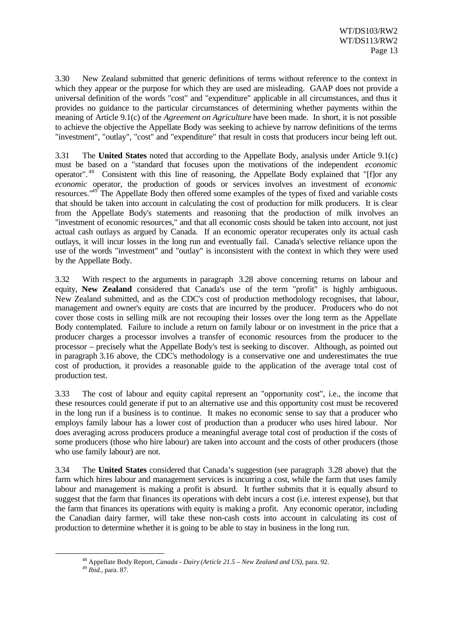3.30 New Zealand submitted that generic definitions of terms without reference to the context in which they appear or the purpose for which they are used are misleading. GAAP does not provide a universal definition of the words "cost" and "expenditure" applicable in all circumstances, and thus it provides no guidance to the particular circumstances of determining whether payments within the meaning of Article 9.1(c) of the *Agreement on Agriculture* have been made. In short, it is not possible to achieve the objective the Appellate Body was seeking to achieve by narrow definitions of the terms "investment", "outlay", "cost" and "expenditure" that result in costs that producers incur being left out.

3.31 The **United States** noted that according to the Appellate Body, analysis under Article 9.1(c) must be based on a "standard that focuses upon the motivations of the independent *economic* operator". <sup>48</sup> Consistent with this line of reasoning, the Appellate Body explained that "[f]or any *economic* operator, the production of goods or services involves an investment of *economic* resources."<sup>49</sup> The Appellate Body then offered some examples of the types of fixed and variable costs that should be taken into account in calculating the cost of production for milk producers. It is clear from the Appellate Body's statements and reasoning that the production of milk involves an "investment of economic resources," and that all economic costs should be taken into account, not just actual cash outlays as argued by Canada. If an economic operator recuperates only its actual cash outlays, it will incur losses in the long run and eventually fail. Canada's selective reliance upon the use of the words "investment" and "outlay" is inconsistent with the context in which they were used by the Appellate Body.

3.32 With respect to the arguments in paragraph 3.28 above concerning returns on labour and equity, **New Zealand** considered that Canada's use of the term "profit" is highly ambiguous. New Zealand submitted, and as the CDC's cost of production methodology recognises, that labour, management and owner's equity are costs that are incurred by the producer. Producers who do not cover those costs in selling milk are not recouping their losses over the long term as the Appellate Body contemplated. Failure to include a return on family labour or on investment in the price that a producer charges a processor involves a transfer of economic resources from the producer to the processor – precisely what the Appellate Body's test is seeking to discover. Although, as pointed out in paragraph 3.16 above, the CDC's methodology is a conservative one and underestimates the true cost of production, it provides a reasonable guide to the application of the average total cost of production test.

3.33 The cost of labour and equity capital represent an "opportunity cost", i.e., the income that these resources could generate if put to an alternative use and this opportunity cost must be recovered in the long run if a business is to continue. It makes no economic sense to say that a producer who employs family labour has a lower cost of production than a producer who uses hired labour. Nor does averaging across producers produce a meaningful average total cost of production if the costs of some producers (those who hire labour) are taken into account and the costs of other producers (those who use family labour) are not.

3.34 The **United States** considered that Canada's suggestion (see paragraph 3.28 above) that the farm which hires labour and management services is incurring a cost, while the farm that uses family labour and management is making a profit is absurd. It further submits that it is equally absurd to suggest that the farm that finances its operations with debt incurs a cost (i.e. interest expense), but that the farm that finances its operations with equity is making a profit. Any economic operator, including the Canadian dairy farmer, will take these non-cash costs into account in calculating its cost of production to determine whether it is going to be able to stay in business in the long run.

<sup>48</sup> Appellate Body Report, *Canada - Dairy (Article 21.5 – New Zealand and US)*, para. 92.

<sup>49</sup> *Ibid.,* para. 87.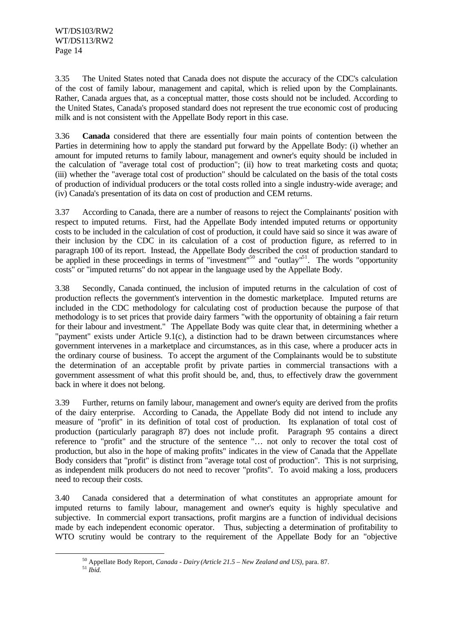3.35 The United States noted that Canada does not dispute the accuracy of the CDC's calculation of the cost of family labour, management and capital, which is relied upon by the Complainants. Rather, Canada argues that, as a conceptual matter, those costs should not be included. According to the United States, Canada's proposed standard does not represent the true economic cost of producing milk and is not consistent with the Appellate Body report in this case.

3.36 **Canada** considered that there are essentially four main points of contention between the Parties in determining how to apply the standard put forward by the Appellate Body: (i) whether an amount for imputed returns to family labour, management and owner's equity should be included in the calculation of "average total cost of production"; (ii) how to treat marketing costs and quota; (iii) whether the "average total cost of production" should be calculated on the basis of the total costs of production of individual producers or the total costs rolled into a single industry-wide average; and (iv) Canada's presentation of its data on cost of production and CEM returns.

3.37 According to Canada, there are a number of reasons to reject the Complainants' position with respect to imputed returns. First, had the Appellate Body intended imputed returns or opportunity costs to be included in the calculation of cost of production, it could have said so since it was aware of their inclusion by the CDC in its calculation of a cost of production figure, as referred to in paragraph 100 of its report. Instead, the Appellate Body described the cost of production standard to be applied in these proceedings in terms of "investment"<sup>50</sup> and "outlay"<sup>51</sup>. The words "opportunity" costs" or "imputed returns" do not appear in the language used by the Appellate Body.

3.38 Secondly, Canada continued, the inclusion of imputed returns in the calculation of cost of production reflects the government's intervention in the domestic marketplace. Imputed returns are included in the CDC methodology for calculating cost of production because the purpose of that methodology is to set prices that provide dairy farmers "with the opportunity of obtaining a fair return for their labour and investment." The Appellate Body was quite clear that, in determining whether a "payment" exists under Article 9.1(c), a distinction had to be drawn between circumstances where government intervenes in a marketplace and circumstances, as in this case, where a producer acts in the ordinary course of business. To accept the argument of the Complainants would be to substitute the determination of an acceptable profit by private parties in commercial transactions with a government assessment of what this profit should be, and, thus, to effectively draw the government back in where it does not belong.

3.39 Further, returns on family labour, management and owner's equity are derived from the profits of the dairy enterprise. According to Canada, the Appellate Body did not intend to include any measure of "profit" in its definition of total cost of production. Its explanation of total cost of production (particularly paragraph 87) does not include profit. Paragraph 95 contains a direct reference to "profit" and the structure of the sentence "… not only to recover the total cost of production, but also in the hope of making profits" indicates in the view of Canada that the Appellate Body considers that "profit" is distinct from "average total cost of production". This is not surprising, as independent milk producers do not need to recover "profits". To avoid making a loss, producers need to recoup their costs.

3.40 Canada considered that a determination of what constitutes an appropriate amount for imputed returns to family labour, management and owner's equity is highly speculative and subjective. In commercial export transactions, profit margins are a function of individual decisions made by each independent economic operator. Thus, subjecting a determination of profitability to WTO scrutiny would be contrary to the requirement of the Appellate Body for an "objective

<sup>50</sup> Appellate Body Report, *Canada - Dairy (Article 21.5 – New Zealand and US),* para. 87.

<sup>51</sup> *Ibid.*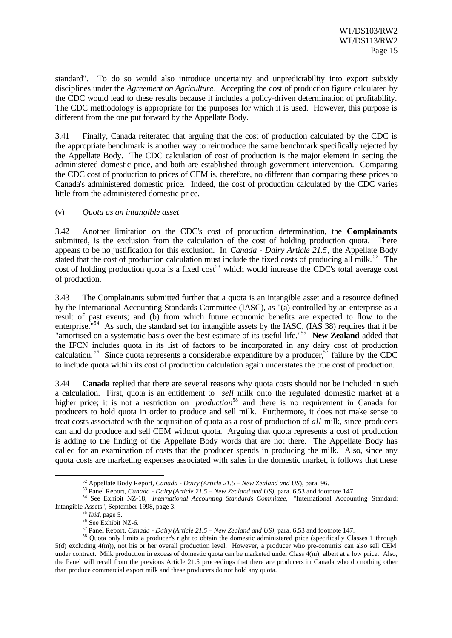standard". To do so would also introduce uncertainty and unpredictability into export subsidy disciplines under the *Agreement on Agriculture*. Accepting the cost of production figure calculated by the CDC would lead to these results because it includes a policy-driven determination of profitability. The CDC methodology is appropriate for the purposes for which it is used. However, this purpose is different from the one put forward by the Appellate Body.

3.41 Finally, Canada reiterated that arguing that the cost of production calculated by the CDC is the appropriate benchmark is another way to reintroduce the same benchmark specifically rejected by the Appellate Body. The CDC calculation of cost of production is the major element in setting the administered domestic price, and both are established through government intervention. Comparing the CDC cost of production to prices of CEM is, therefore, no different than comparing these prices to Canada's administered domestic price. Indeed, the cost of production calculated by the CDC varies little from the administered domestic price.

#### (v) *Quota as an intangible asset*

3.42 Another limitation on the CDC's cost of production determination, the **Complainants** submitted, is the exclusion from the calculation of the cost of holding production quota. There appears to be no justification for this exclusion. In *Canada - Dairy Article 21.5*, the Appellate Body stated that the cost of production calculation must include the fixed costs of producing all milk.<sup>52</sup> The cost of holding production quota is a fixed  $\cos^{53}$  which would increase the CDC's total average cost of production.

3.43 The Complainants submitted further that a quota is an intangible asset and a resource defined by the International Accounting Standards Committee (IASC), as "(a) controlled by an enterprise as a result of past events; and (b) from which future economic benefits are expected to flow to the enterprise.<sup> $154$ </sup> As such, the standard set for intangible assets by the IASC, (IAS 38) requires that it be "amortised on a systematic basis over the best estimate of its useful life."<sup>55</sup> **New Zealand** added that the IFCN includes quota in its list of factors to be incorporated in any dairy cost of production calculation.<sup>56</sup> Since quota represents a considerable expenditure by a producer,<sup>57</sup> failure by the CDC to include quota within its cost of production calculation again understates the true cost of production.

3.44 **Canada** replied that there are several reasons why quota costs should not be included in such a calculation. First, quota is an entitlement to *sell* milk onto the regulated domestic market at a higher price; it is not a restriction on *production*<sup>58</sup> and there is no requirement in Canada for producers to hold quota in order to produce and sell milk. Furthermore, it does not make sense to treat costs associated with the acquisition of quota as a cost of production of *all* milk, since producers can and do produce and sell CEM without quota. Arguing that quota represents a cost of production is adding to the finding of the Appellate Body words that are not there. The Appellate Body has called for an examination of costs that the producer spends in producing the milk. Also, since any quota costs are marketing expenses associated with sales in the domestic market, it follows that these

<sup>52</sup> Appellate Body Report, *Canada - Dairy (Article 21.5 – New Zealand and US*), para. 96.

<sup>53</sup> Panel Report, *Canada - Dairy (Article 21.5 – New Zealand and US)*, para. 6.53 and footnote 147.

<sup>54</sup> See Exhibit NZ-18, *International Accounting Standards Committee,* "International Accounting Standard: Intangible Assets", September 1998, page 3.

<sup>55</sup> *Ibid,* page 5.

<sup>56</sup> See Exhibit NZ-6.

<sup>57</sup> Panel Report, *Canada - Dairy (Article 21.5 – New Zealand and US)*, para. 6.53 and footnote 147.

<sup>&</sup>lt;sup>58</sup> Quota only limits a producer's right to obtain the domestic administered price (specifically Classes 1 through 5(d) excluding 4(m)), not his or her overall production level. However, a producer who pre-commits can also sell CEM under contract. Milk production in excess of domestic quota can be marketed under Class 4(m), albeit at a low price. Also, the Panel will recall from the previous Article 21.5 proceedings that there are producers in Canada who do nothing other than produce commercial export milk and these producers do not hold any quota.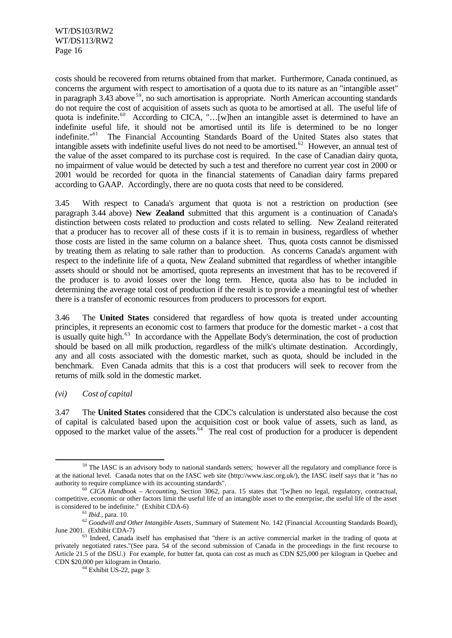WT/DS103/RW2 WT/DS113/RW2 Page 16

costs should be recovered from returns obtained from that market. Furthermore, Canada continued, as concerns the argument with respect to amortisation of a quota due to its nature as an "intangible asset" in paragraph 3.43 above<sup>59</sup>, no such amortisation is appropriate. North American accounting standards do not require the cost of acquisition of assets such as quota to be amortised at all. The useful life of quota is indefinite.<sup>60</sup> According to CICA, "...[w]hen an intangible asset is determined to have an indefinite useful life, it should not be amortised until its life is determined to be no longer indefinite."<sup>61</sup> The Financial Accounting Standards Board of the United States also states that intangible assets with indefinite useful lives do not need to be amortised.<sup>62</sup> However, an annual test of the value of the asset compared to its purchase cost is required. In the case of Canadian dairy quota, no impairment of value would be detected by such a test and therefore no current year cost in 2000 or 2001 would be recorded for quota in the financial statements of Canadian dairy farms prepared according to GAAP. Accordingly, there are no quota costs that need to be considered.

3.45 With respect to Canada's argument that quota is not a restriction on production (see paragraph 3.44 above) **New Zealand** submitted that this argument is a continuation of Canada's distinction between costs related to production and costs related to selling. New Zealand reiterated that a producer has to recover all of these costs if it is to remain in business, regardless of whether those costs are listed in the same column on a balance sheet. Thus, quota costs cannot be dismissed by treating them as relating to sale rather than to production. As concerns Canada's argument with respect to the indefinite life of a quota, New Zealand submitted that regardless of whether intangible assets should or should not be amortised, quota represents an investment that has to be recovered if the producer is to avoid losses over the long term. Hence, quota also has to be included in determining the average total cost of production if the result is to provide a meaningful test of whether there is a transfer of economic resources from producers to processors for export.

3.46 The **United States** considered that regardless of how quota is treated under accounting principles, it represents an economic cost to farmers that produce for the domestic market - a cost that is usually quite high.<sup>63</sup> In accordance with the Appellate Body's determination, the cost of production should be based on all milk production, regardless of the milk's ultimate destination. Accordingly, any and all costs associated with the domestic market, such as quota, should be included in the benchmark. Even Canada admits that this is a cost that producers will seek to recover from the returns of milk sold in the domestic market.

## *(vi) Cost of capital*

l

3.47 The **United States** considered that the CDC's calculation is understated also because the cost of capital is calculated based upon the acquisition cost or book value of assets, such as land, as opposed to the market value of the assets. $64$  The real cost of production for a producer is dependent

<sup>&</sup>lt;sup>59</sup> The IASC is an advisory body to national standards setters; however all the regulatory and compliance force is at the national level. Canada notes that on the IASC web site (http://www.iasc.org.uk/), the IASC itself says that it "has no authority to require compliance with its accounting standards".

<sup>60</sup> *CICA Handbook – Accounting*, Section 3062, para. 15 states that "[w]hen no legal, regulatory, contractual, competitive, economic or other factors limit the useful life of an intangible asset to the enterprise, the useful life of the asset is considered to be indefinite." (Exhibit CDA-6)

<sup>61</sup> *Ibid.,* para. 10.

<sup>62</sup> *Goodwill and Other Intangible Assets*, Summary of Statement No. 142 (Financial Accounting Standards Board), June 2001. (Exhibit CDA-7)

 $63$  Indeed, Canada itself has emphasised that "there is an active commercial market in the trading of quota at privately negotiated rates."(See para. 54 of the second submission of Canada in the proceedings in the first recourse to Article 21.5 of the DSU.) For example, for butter fat, quota can cost as much as CDN \$25,000 per kilogram in Quebec and CDN \$20,000 per kilogram in Ontario.

<sup>64</sup> Exhibit US-22, page 3.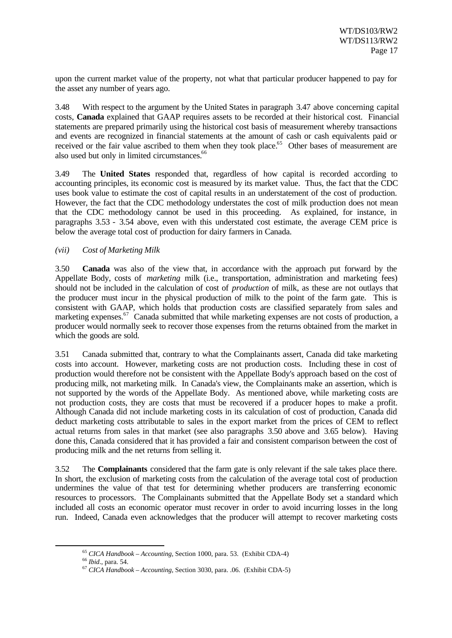upon the current market value of the property, not what that particular producer happened to pay for the asset any number of years ago.

3.48 With respect to the argument by the United States in paragraph 3.47 above concerning capital costs, **Canada** explained that GAAP requires assets to be recorded at their historical cost. Financial statements are prepared primarily using the historical cost basis of measurement whereby transactions and events are recognized in financial statements at the amount of cash or cash equivalents paid or received or the fair value ascribed to them when they took place.<sup>65</sup> Other bases of measurement are also used but only in limited circumstances.<sup>66</sup>

3.49 The **United States** responded that, regardless of how capital is recorded according to accounting principles, its economic cost is measured by its market value. Thus, the fact that the CDC uses book value to estimate the cost of capital results in an understatement of the cost of production. However, the fact that the CDC methodology understates the cost of milk production does not mean that the CDC methodology cannot be used in this proceeding. As explained, for instance, in paragraphs 3.53 - 3.54 above, even with this understated cost estimate, the average CEM price is below the average total cost of production for dairy farmers in Canada.

## *(vii) Cost of Marketing Milk*

3.50 **Canada** was also of the view that, in accordance with the approach put forward by the Appellate Body, costs of *marketing* milk (i.e.*,* transportation, administration and marketing fees) should not be included in the calculation of cost of *production* of milk, as these are not outlays that the producer must incur in the physical production of milk to the point of the farm gate. This is consistent with GAAP, which holds that production costs are classified separately from sales and marketing expenses.<sup>67</sup> Canada submitted that while marketing expenses are not costs of production, a producer would normally seek to recover those expenses from the returns obtained from the market in which the goods are sold.

3.51 Canada submitted that, contrary to what the Complainants assert, Canada did take marketing costs into account. However, marketing costs are not production costs. Including these in cost of production would therefore not be consistent with the Appellate Body's approach based on the cost of producing milk, not marketing milk. In Canada's view, the Complainants make an assertion, which is not supported by the words of the Appellate Body. As mentioned above, while marketing costs are not production costs, they are costs that must be recovered if a producer hopes to make a profit. Although Canada did not include marketing costs in its calculation of cost of production, Canada did deduct marketing costs attributable to sales in the export market from the prices of CEM to reflect actual returns from sales in that market (see also paragraphs 3.50 above and 3.65 below). Having done this, Canada considered that it has provided a fair and consistent comparison between the cost of producing milk and the net returns from selling it.

3.52 The **Complainants** considered that the farm gate is only relevant if the sale takes place there. In short, the exclusion of marketing costs from the calculation of the average total cost of production undermines the value of that test for determining whether producers are transferring economic resources to processors. The Complainants submitted that the Appellate Body set a standard which included all costs an economic operator must recover in order to avoid incurring losses in the long run. Indeed, Canada even acknowledges that the producer will attempt to recover marketing costs

<sup>65</sup> *CICA Handbook – Accounting*, Section 1000, para. 53. (Exhibit CDA-4)

<sup>66</sup> *Ibid*., para. 54.

<sup>67</sup> *CICA Handbook – Accounting*, Section 3030, para. .06. (Exhibit CDA-5)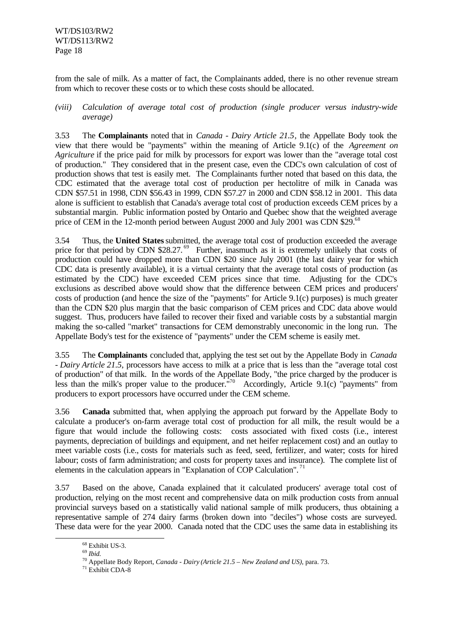from the sale of milk. As a matter of fact, the Complainants added, there is no other revenue stream from which to recover these costs or to which these costs should be allocated.

*(viii) Calculation of average total cost of production (single producer versus industry-wide average)*

3.53 The **Complainants** noted that in *Canada - Dairy Article 21.5*, the Appellate Body took the view that there would be "payments" within the meaning of Article 9.1(c) of the *Agreement on Agriculture* if the price paid for milk by processors for export was lower than the "average total cost of production." They considered that in the present case, even the CDC's own calculation of cost of production shows that test is easily met. The Complainants further noted that based on this data, the CDC estimated that the average total cost of production per hectolitre of milk in Canada was CDN \$57.51 in 1998, CDN \$56.43 in 1999, CDN \$57.27 in 2000 and CDN \$58.12 in 2001. This data alone is sufficient to establish that Canada's average total cost of production exceeds CEM prices by a substantial margin. Public information posted by Ontario and Quebec show that the weighted average price of CEM in the 12-month period between August 2000 and July 2001 was CDN \$29.<sup>68</sup>

3.54 Thus, the **United States** submitted, the average total cost of production exceeded the average price for that period by CDN \$28.27.<sup>69</sup> Further, inasmuch as it is extremely unlikely that costs of production could have dropped more than CDN \$20 since July 2001 (the last dairy year for which CDC data is presently available), it is a virtual certainty that the average total costs of production (as estimated by the CDC) have exceeded CEM prices since that time. Adjusting for the CDC's exclusions as described above would show that the difference between CEM prices and producers' costs of production (and hence the size of the "payments" for Article 9.1(c) purposes) is much greater than the CDN \$20 plus margin that the basic comparison of CEM prices and CDC data above would suggest. Thus, producers have failed to recover their fixed and variable costs by a substantial margin making the so-called "market" transactions for CEM demonstrably uneconomic in the long run. The Appellate Body's test for the existence of "payments" under the CEM scheme is easily met.

3.55 The **Complainants** concluded that, applying the test set out by the Appellate Body in *Canada - Dairy Article 21.5*, processors have access to milk at a price that is less than the "average total cost of production" of that milk. In the words of the Appellate Body, "the price charged by the producer is less than the milk's proper value to the producer.<sup>"70</sup> Accordingly, Article 9.1(c) "payments" from producers to export processors have occurred under the CEM scheme.

3.56 **Canada** submitted that, when applying the approach put forward by the Appellate Body to calculate a producer's on-farm average total cost of production for all milk, the result would be a figure that would include the following costs: costs associated with fixed costs (i.e., interest payments, depreciation of buildings and equipment, and net heifer replacement cost) and an outlay to meet variable costs (i.e., costs for materials such as feed, seed, fertilizer, and water; costs for hired labour; costs of farm administration; and costs for property taxes and insurance). The complete list of elements in the calculation appears in "Explanation of COP Calculation".<sup>71</sup>

3.57 Based on the above, Canada explained that it calculated producers' average total cost of production, relying on the most recent and comprehensive data on milk production costs from annual provincial surveys based on a statistically valid national sample of milk producers, thus obtaining a representative sample of 274 dairy farms (broken down into "deciles") whose costs are surveyed. These data were for the year 2000. Canada noted that the CDC uses the same data in establishing its

<sup>68</sup> Exhibit US-3.

<sup>69</sup> *Ibid.*

<sup>70</sup> Appellate Body Report, *Canada - Dairy (Article 21.5 – New Zealand and US)*, para. 73.

<sup>71</sup> Exhibit CDA-8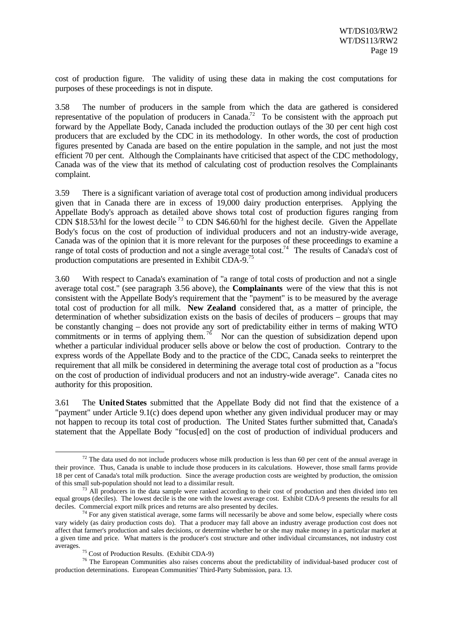cost of production figure. The validity of using these data in making the cost computations for purposes of these proceedings is not in dispute.

3.58 The number of producers in the sample from which the data are gathered is considered representative of the population of producers in Canada.<sup>72</sup> To be consistent with the approach put forward by the Appellate Body, Canada included the production outlays of the 30 per cent high cost producers that are excluded by the CDC in its methodology. In other words, the cost of production figures presented by Canada are based on the entire population in the sample, and not just the most efficient 70 per cent. Although the Complainants have criticised that aspect of the CDC methodology, Canada was of the view that its method of calculating cost of production resolves the Complainants complaint.

3.59 There is a significant variation of average total cost of production among individual producers given that in Canada there are in excess of 19,000 dairy production enterprises. Applying the Appellate Body's approach as detailed above shows total cost of production figures ranging from CDN \$18.53/hl for the lowest decile  $^{73}$  to CDN \$46.60/hl for the highest decile. Given the Appellate Body's focus on the cost of production of individual producers and not an industry-wide average, Canada was of the opinion that it is more relevant for the purposes of these proceedings to examine a range of total costs of production and not a single average total cost.<sup>74</sup> The results of Canada's cost of production computations are presented in Exhibit CDA-9.<sup>75</sup>

3.60 With respect to Canada's examination of "a range of total costs of production and not a single average total cost." (see paragraph 3.56 above), the **Complainants** were of the view that this is not consistent with the Appellate Body's requirement that the "payment" is to be measured by the average total cost of production for all milk. **New Zealand** considered that, as a matter of principle, the determination of whether subsidization exists on the basis of deciles of producers – groups that may be constantly changing – does not provide any sort of predictability either in terms of making WTO commitments or in terms of applying them.<sup>76</sup> Nor can the question of subsidization depend upon whether a particular individual producer sells above or below the cost of production. Contrary to the express words of the Appellate Body and to the practice of the CDC, Canada seeks to reinterpret the requirement that all milk be considered in determining the average total cost of production as a "focus on the cost of production of individual producers and not an industry-wide average". Canada cites no authority for this proposition.

3.61 The **United States** submitted that the Appellate Body did not find that the existence of a "payment" under Article 9.1(c) does depend upon whether any given individual producer may or may not happen to recoup its total cost of production. The United States further submitted that, Canada's statement that the Appellate Body "focus[ed] on the cost of production of individual producers and

 $72$  The data used do not include producers whose milk production is less than 60 per cent of the annual average in their province. Thus, Canada is unable to include those producers in its calculations. However, those small farms provide 18 per cent of Canada's total milk production. Since the average production costs are weighted by production, the omission of this small sub-population should not lead to a dissimilar result.

 $^{73}$  All producers in the data sample were ranked according to their cost of production and then divided into ten equal groups (deciles). The lowest decile is the one with the lowest average cost. Exhibit CDA-9 presents the results for all deciles. Commercial export milk prices and returns are also presented by deciles.

 $74$  For any given statistical average, some farms will necessarily be above and some below, especially where costs vary widely (as dairy production costs do). That a producer may fall above an industry average production cost does not affect that farmer's production and sales decisions, or determine whether he or she may make money in a particular market at a given time and price. What matters is the producer's cost structure and other individual circumstances, not industry cost averages.

<sup>75</sup> Cost of Production Results. (Exhibit CDA-9)

<sup>&</sup>lt;sup>76</sup> The European Communities also raises concerns about the predictability of individual-based producer cost of production determinations. European Communities' Third-Party Submission, para. 13.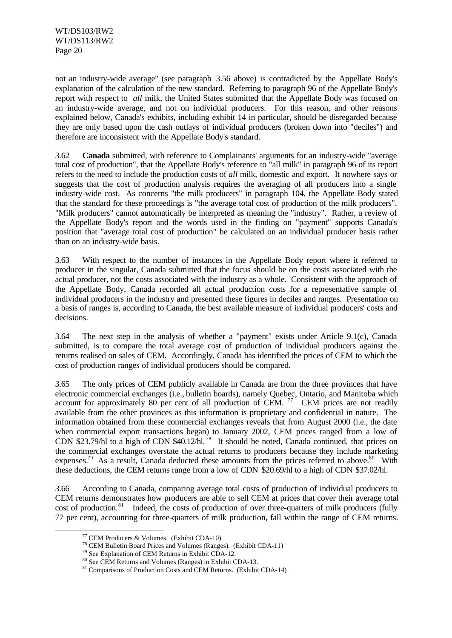not an industry-wide average" (see paragraph 3.56 above) is contradicted by the Appellate Body's explanation of the calculation of the new standard. Referring to paragraph 96 of the Appellate Body's report with respect to *all* milk, the United States submitted that the Appellate Body was focused on an industry-wide average, and not on individual producers. For this reason, and other reasons explained below, Canada's exhibits, including exhibit 14 in particular, should be disregarded because they are only based upon the cash outlays of individual producers (broken down into "deciles") and therefore are inconsistent with the Appellate Body's standard.

3.62 **Canada** submitted, with reference to Complainants' arguments for an industry-wide "average total cost of production", that the Appellate Body's reference to "all milk" in paragraph 96 of its report refers to the need to include the production costs of *all* milk, domestic and export. It nowhere says or suggests that the cost of production analysis requires the averaging of all producers into a single industry-wide cost. As concerns "the milk producers" in paragraph 104, the Appellate Body stated that the standard for these proceedings is "the average total cost of production of the milk producers". "Milk producers" cannot automatically be interpreted as meaning the "industry". Rather, a review of the Appellate Body's report and the words used in the finding on "payment" supports Canada's position that "average total cost of production" be calculated on an individual producer basis rather than on an industry-wide basis.

3.63 With respect to the number of instances in the Appellate Body report where it referred to producer in the singular, Canada submitted that the focus should be on the costs associated with the actual producer, not the costs associated with the industry as a whole. Consistent with the approach of the Appellate Body, Canada recorded all actual production costs for a representative sample of individual producers in the industry and presented these figures in deciles and ranges. Presentation on a basis of ranges is, according to Canada, the best available measure of individual producers' costs and decisions.

3.64 The next step in the analysis of whether a "payment" exists under Article 9.1(c), Canada submitted, is to compare the total average cost of production of individual producers against the returns realised on sales of CEM. Accordingly, Canada has identified the prices of CEM to which the cost of production ranges of individual producers should be compared.

3.65 The only prices of CEM publicly available in Canada are from the three provinces that have electronic commercial exchanges (i.e., bulletin boards), namely Quebec, Ontario, and Manitoba which account for approximately 80 per cent of all production of CEM.  $<sup>77</sup>$  CEM prices are not readily</sup> available from the other provinces as this information is proprietary and confidential in nature. The information obtained from these commercial exchanges reveals that from August 2000 (i.e., the date when commercial export transactions began) to January 2002, CEM prices ranged from a low of CDN \$23.79/hl to a high of CDN \$40.12/hl. <sup>78</sup> It should be noted, Canada continued, that prices on the commercial exchanges overstate the actual returns to producers because they include marketing expenses.<sup>79</sup> As a result, Canada deducted these amounts from the prices referred to above.<sup>80</sup> With these deductions, the CEM returns range from a low of CDN \$20.69/hl to a high of CDN \$37.02/hl.

3.66 According to Canada, comparing average total costs of production of individual producers to CEM returns demonstrates how producers are able to sell CEM at prices that cover their average total cost of production.<sup>81</sup> Indeed, the costs of production of over three-quarters of milk producers (fully 77 per cent), accounting for three-quarters of milk production, fall within the range of CEM returns.

<sup>77</sup> CEM Producers & Volumes. (Exhibit CDA-10)

<sup>78</sup> CEM Bulletin Board Prices and Volumes (Ranges). (Exhibit CDA-11)

<sup>79</sup> See Explanation of CEM Returns in Exhibit CDA-12.

<sup>80</sup> See CEM Returns and Volumes (Ranges) in Exhibit CDA-13.

<sup>81</sup> Comparisons of Production Costs and CEM Returns. (Exhibit CDA-14)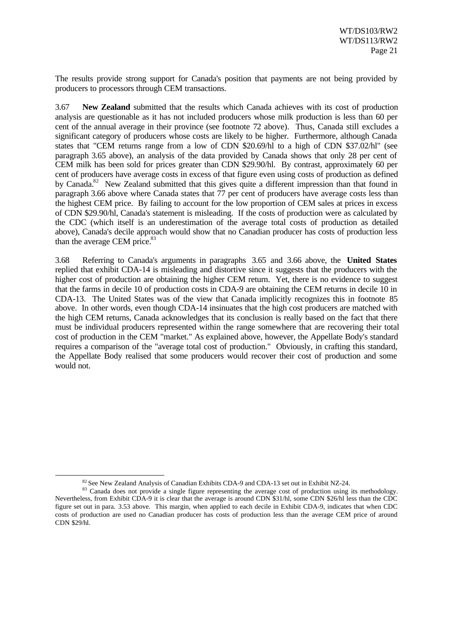The results provide strong support for Canada's position that payments are not being provided by producers to processors through CEM transactions.

3.67 **New Zealand** submitted that the results which Canada achieves with its cost of production analysis are questionable as it has not included producers whose milk production is less than 60 per cent of the annual average in their province (see footnote 72 above). Thus, Canada still excludes a significant category of producers whose costs are likely to be higher. Furthermore, although Canada states that "CEM returns range from a low of CDN \$20.69/hl to a high of CDN \$37.02/hl" (see paragraph 3.65 above), an analysis of the data provided by Canada shows that only 28 per cent of CEM milk has been sold for prices greater than CDN \$29.90/hl. By contrast, approximately 60 per cent of producers have average costs in excess of that figure even using costs of production as defined by Canada.<sup>82</sup> New Zealand submitted that this gives quite a different impression than that found in paragraph 3.66 above where Canada states that 77 per cent of producers have average costs less than the highest CEM price. By failing to account for the low proportion of CEM sales at prices in excess of CDN \$29.90/hl, Canada's statement is misleading. If the costs of production were as calculated by the CDC (which itself is an underestimation of the average total costs of production as detailed above), Canada's decile approach would show that no Canadian producer has costs of production less than the average CEM price. $83$ 

3.68 Referring to Canada's arguments in paragraphs 3.65 and 3.66 above, the **United States** replied that exhibit CDA-14 is misleading and distortive since it suggests that the producers with the higher cost of production are obtaining the higher CEM return. Yet, there is no evidence to suggest that the farms in decile 10 of production costs in CDA-9 are obtaining the CEM returns in decile 10 in CDA-13. The United States was of the view that Canada implicitly recognizes this in footnote 85 above. In other words, even though CDA-14 insinuates that the high cost producers are matched with the high CEM returns, Canada acknowledges that its conclusion is really based on the fact that there must be individual producers represented within the range somewhere that are recovering their total cost of production in the CEM "market." As explained above, however, the Appellate Body's standard requires a comparison of the "average total cost of production." Obviously, in crafting this standard, the Appellate Body realised that some producers would recover their cost of production and some would not.

<sup>82</sup> See New Zealand Analysis of Canadian Exhibits CDA-9 and CDA-13 set out in Exhibit NZ-24.

<sup>&</sup>lt;sup>83</sup> Canada does not provide a single figure representing the average cost of production using its methodology. Nevertheless, from Exhibit CDA-9 it is clear that the average is around CDN \$31/hl, some CDN \$26/hl less than the CDC figure set out in para. 3.53 above. This margin, when applied to each decile in Exhibit CDA-9, indicates that when CDC costs of production are used no Canadian producer has costs of production less than the average CEM price of around CDN \$29/hl.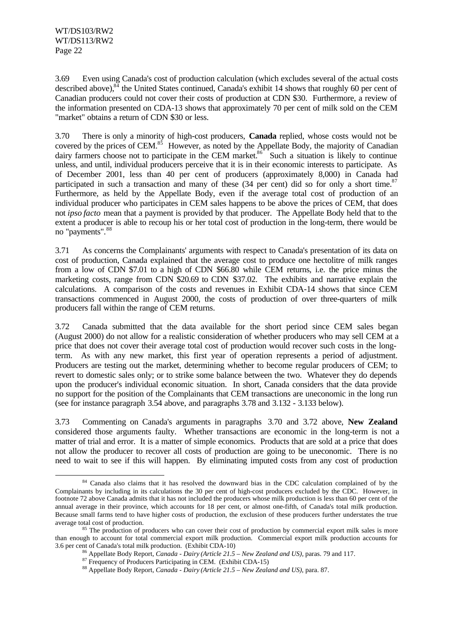l

3.69 Even using Canada's cost of production calculation (which excludes several of the actual costs described above), $84$  the United States continued, Canada's exhibit 14 shows that roughly 60 per cent of Canadian producers could not cover their costs of production at CDN \$30. Furthermore, a review of the information presented on CDA-13 shows that approximately 70 per cent of milk sold on the CEM "market" obtains a return of CDN \$30 or less.

3.70 There is only a minority of high-cost producers, **Canada** replied, whose costs would not be covered by the prices of CEM.<sup>85</sup> However, as noted by the Appellate Body, the majority of Canadian dairy farmers choose not to participate in the CEM market.<sup>86</sub> Such a situation is likely to continue</sup> unless, and until, individual producers perceive that it is in their economic interests to participate. As of December 2001, less than 40 per cent of producers (approximately 8,000) in Canada had participated in such a transaction and many of these  $(34 \text{ per cent})$  did so for only a short time.<sup>87</sup> Furthermore, as held by the Appellate Body, even if the average total cost of production of an individual producer who participates in CEM sales happens to be above the prices of CEM, that does not *ipso facto* mean that a payment is provided by that producer. The Appellate Body held that to the extent a producer is able to recoup his or her total cost of production in the long-term, there would be no "payments". 88

3.71 As concerns the Complainants' arguments with respect to Canada's presentation of its data on cost of production, Canada explained that the average cost to produce one hectolitre of milk ranges from a low of CDN \$7.01 to a high of CDN \$66.80 while CEM returns, i.e. the price minus the marketing costs, range from CDN \$20.69 to CDN \$37.02. The exhibits and narrative explain the calculations. A comparison of the costs and revenues in Exhibit CDA-14 shows that since CEM transactions commenced in August 2000, the costs of production of over three-quarters of milk producers fall within the range of CEM returns.

3.72 Canada submitted that the data available for the short period since CEM sales began (August 2000) do not allow for a realistic consideration of whether producers who may sell CEM at a price that does not cover their average total cost of production would recover such costs in the longterm. As with any new market, this first year of operation represents a period of adjustment. Producers are testing out the market, determining whether to become regular producers of CEM; to revert to domestic sales only; or to strike some balance between the two. Whatever they do depends upon the producer's individual economic situation. In short, Canada considers that the data provide no support for the position of the Complainants that CEM transactions are uneconomic in the long run (see for instance paragraph 3.54 above, and paragraphs 3.78 and 3.132 - 3.133 below).

3.73 Commenting on Canada's arguments in paragraphs 3.70 and 3.72 above, **New Zealand** considered those arguments faulty. Whether transactions are economic in the long-term is not a matter of trial and error. It is a matter of simple economics. Products that are sold at a price that does not allow the producer to recover all costs of production are going to be uneconomic. There is no need to wait to see if this will happen. By eliminating imputed costs from any cost of production

<sup>&</sup>lt;sup>84</sup> Canada also claims that it has resolved the downward bias in the CDC calculation complained of by the Complainants by including in its calculations the 30 per cent of high-cost producers excluded by the CDC. However, in footnote 72 above Canada admits that it has not included the producers whose milk production is less than 60 per cent of the annual average in their province, which accounts for 18 per cent, or almost one-fifth, of Canada's total milk production. Because small farms tend to have higher costs of production, the exclusion of these producers further understates the true average total cost of production.

<sup>&</sup>lt;sup>85</sup> The production of producers who can cover their cost of production by commercial export milk sales is more than enough to account for total commercial export milk production. Commercial export milk production accounts for 3.6 per cent of Canada's total milk production. (Exhibit CDA-10)

<sup>86</sup> Appellate Body Report, *Canada - Dairy (Article 21.5 – New Zealand and US),* paras. 79 and 117.

<sup>&</sup>lt;sup>87</sup> Frequency of Producers Participating in CEM. (Exhibit CDA-15)

<sup>88</sup> Appellate Body Report, *Canada - Dairy (Article 21.5 – New Zealand and US)*, para. 87.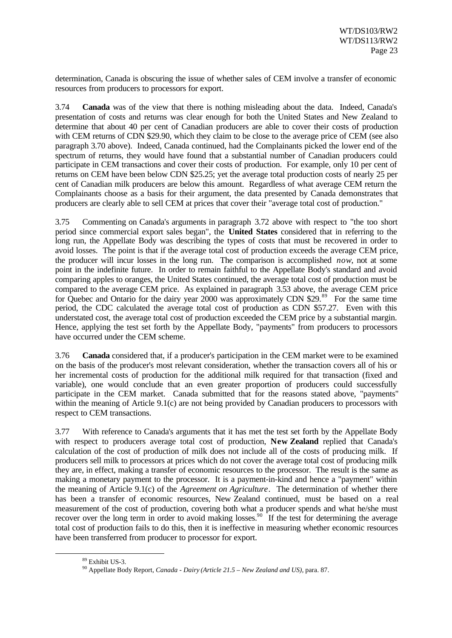determination, Canada is obscuring the issue of whether sales of CEM involve a transfer of economic resources from producers to processors for export.

3.74 **Canada** was of the view that there is nothing misleading about the data. Indeed, Canada's presentation of costs and returns was clear enough for both the United States and New Zealand to determine that about 40 per cent of Canadian producers are able to cover their costs of production with CEM returns of CDN \$29.90, which they claim to be close to the average price of CEM (see also paragraph 3.70 above). Indeed, Canada continued, had the Complainants picked the lower end of the spectrum of returns, they would have found that a substantial number of Canadian producers could participate in CEM transactions and cover their costs of production. For example, only 10 per cent of returns on CEM have been below CDN \$25.25; yet the average total production costs of nearly 25 per cent of Canadian milk producers are below this amount. Regardless of what average CEM return the Complainants choose as a basis for their argument, the data presented by Canada demonstrates that producers are clearly able to sell CEM at prices that cover their "average total cost of production."

3.75 Commenting on Canada's arguments in paragraph 3.72 above with respect to "the too short period since commercial export sales began", the **United States** considered that in referring to the long run, the Appellate Body was describing the types of costs that must be recovered in order to avoid losses. The point is that if the average total cost of production exceeds the average CEM price, the producer will incur losses in the long run. The comparison is accomplished *now*, not at some point in the indefinite future. In order to remain faithful to the Appellate Body's standard and avoid comparing apples to oranges, the United States continued, the average total cost of production must be compared to the average CEM price. As explained in paragraph 3.53 above, the average CEM price for Quebec and Ontario for the dairy year  $2000$  was approximately CDN \$29.<sup>89</sup> For the same time period, the CDC calculated the average total cost of production as CDN \$57.27. Even with this understated cost, the average total cost of production exceeded the CEM price by a substantial margin. Hence, applying the test set forth by the Appellate Body, "payments" from producers to processors have occurred under the CEM scheme.

3.76 **Canada** considered that, if a producer's participation in the CEM market were to be examined on the basis of the producer's most relevant consideration, whether the transaction covers all of his or her incremental costs of production for the additional milk required for that transaction (fixed and variable), one would conclude that an even greater proportion of producers could successfully participate in the CEM market. Canada submitted that for the reasons stated above, "payments" within the meaning of Article 9.1(c) are not being provided by Canadian producers to processors with respect to CEM transactions.

3.77 With reference to Canada's arguments that it has met the test set forth by the Appellate Body with respect to producers average total cost of production, **New Zealand** replied that Canada's calculation of the cost of production of milk does not include all of the costs of producing milk. If producers sell milk to processors at prices which do not cover the average total cost of producing milk they are, in effect, making a transfer of economic resources to the processor. The result is the same as making a monetary payment to the processor. It is a payment-in-kind and hence a "payment" within the meaning of Article 9.1(c) of the *Agreement on Agriculture*. The determination of whether there has been a transfer of economic resources, New Zealand continued, must be based on a real measurement of the cost of production, covering both what a producer spends and what he/she must recover over the long term in order to avoid making losses.<sup>90</sup> If the test for determining the average total cost of production fails to do this, then it is ineffective in measuring whether economic resources have been transferred from producer to processor for export.

<sup>89</sup> Exhibit US-3.

<sup>90</sup> Appellate Body Report, *Canada - Dairy (Article 21.5 – New Zealand and US),* para. 87.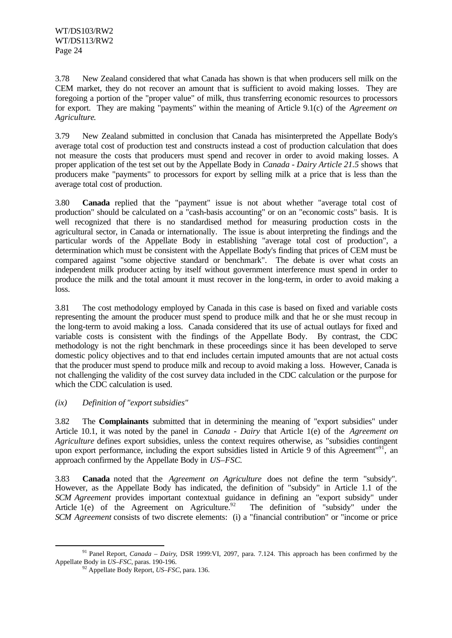3.78 New Zealand considered that what Canada has shown is that when producers sell milk on the CEM market, they do not recover an amount that is sufficient to avoid making losses. They are foregoing a portion of the "proper value" of milk, thus transferring economic resources to processors for export. They are making "payments" within the meaning of Article 9.1(c) of the *Agreement on Agriculture*.

3.79 New Zealand submitted in conclusion that Canada has misinterpreted the Appellate Body's average total cost of production test and constructs instead a cost of production calculation that does not measure the costs that producers must spend and recover in order to avoid making losses. A proper application of the test set out by the Appellate Body in *Canada - Dairy Article 21.5* shows that producers make "payments" to processors for export by selling milk at a price that is less than the average total cost of production.

3.80 **Canada** replied that the "payment" issue is not about whether "average total cost of production" should be calculated on a "cash-basis accounting" or on an "economic costs" basis. It is well recognized that there is no standardised method for measuring production costs in the agricultural sector, in Canada or internationally. The issue is about interpreting the findings and the particular words of the Appellate Body in establishing "average total cost of production", a determination which must be consistent with the Appellate Body's finding that prices of CEM must be compared against "some objective standard or benchmark". The debate is over what costs an independent milk producer acting by itself without government interference must spend in order to produce the milk and the total amount it must recover in the long-term, in order to avoid making a loss.

3.81 The cost methodology employed by Canada in this case is based on fixed and variable costs representing the amount the producer must spend to produce milk and that he or she must recoup in the long-term to avoid making a loss. Canada considered that its use of actual outlays for fixed and variable costs is consistent with the findings of the Appellate Body. By contrast, the CDC methodology is not the right benchmark in these proceedings since it has been developed to serve domestic policy objectives and to that end includes certain imputed amounts that are not actual costs that the producer must spend to produce milk and recoup to avoid making a loss. However, Canada is not challenging the validity of the cost survey data included in the CDC calculation or the purpose for which the CDC calculation is used.

## *(ix) Definition of "export subsidies"*

l

3.82 The **Complainants** submitted that in determining the meaning of "export subsidies" under Article 10.1, it was noted by the panel in *Canada - Dairy* that Article 1(e) of the *Agreement on Agriculture* defines export subsidies, unless the context requires otherwise, as "subsidies contingent upon export performance, including the export subsidies listed in Article 9 of this Agreement<sup>"91</sup>, an approach confirmed by the Appellate Body in *US–FSC*.

3.83 **Canada** noted that the *Agreement on Agriculture* does not define the term "subsidy". However, as the Appellate Body has indicated, the definition of "subsidy" in Article 1.1 of the *SCM Agreement* provides important contextual guidance in defining an "export subsidy" under Article  $1(e)$  of the Agreement on Agriculture.<sup>92</sup> The definition of "subsidy" under the *SCM Agreement* consists of two discrete elements: (i) a "financial contribution" or "income or price

<sup>91</sup> Panel Report, *Canada – Dairy*, DSR 1999:VI, 2097, para. 7.124. This approach has been confirmed by the Appellate Body in *US–FSC*, paras. 190-196.

<sup>92</sup> Appellate Body Report, *US–FSC*, para. 136.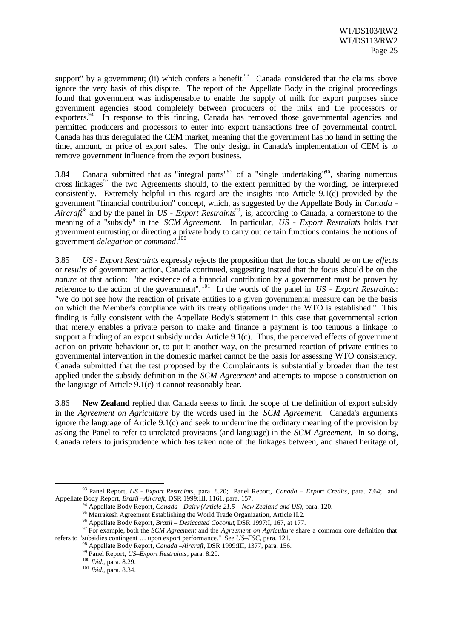support" by a government; (ii) which confers a benefit.<sup>93</sup> Canada considered that the claims above ignore the very basis of this dispute. The report of the Appellate Body in the original proceedings found that government was indispensable to enable the supply of milk for export purposes since government agencies stood completely between producers of the milk and the processors or exporters.<sup>94</sup> In response to this finding, Canada has removed those governmental agencies and permitted producers and processors to enter into export transactions free of governmental control. Canada has thus deregulated the CEM market, meaning that the government has no hand in setting the time, amount, or price of export sales. The only design in Canada's implementation of CEM is to remove government influence from the export business.

3.84 Canada submitted that as "integral parts"<sup>95</sup> of a "single undertaking"<sup>96</sup>, sharing numerous cross linkages $97$  the two Agreements should, to the extent permitted by the wording, be interpreted consistently. Extremely helpful in this regard are the insights into Article 9.1(c) provided by the government "financial contribution" concept, which, as suggested by the Appellate Body in *Canada -* Aircraft<sup>98</sup> and by the panel in US - Export Restraints<sup>99</sup>, is, according to Canada, a cornerstone to the meaning of a "subsidy" in the *SCM Agreement.* In particular, *US - Export Restraints* holds that government entrusting or directing a private body to carry out certain functions contains the notions of government *delegation* or *command*. 100

3.85 *US - Export Restraints* expressly rejects the proposition that the focus should be on the *effects* or *results* of government action, Canada continued, suggesting instead that the focus should be on the *nature* of that action: "the existence of a financial contribution by a government must be proven by reference to the action of the government".<sup>101</sup> In the words of the panel in *US - Export Restraints*: "we do not see how the reaction of private entities to a given governmental measure can be the basis on which the Member's compliance with its treaty obligations under the WTO is established." This finding is fully consistent with the Appellate Body's statement in this case that governmental action that merely enables a private person to make and finance a payment is too tenuous a linkage to support a finding of an export subsidy under Article 9.1(c). Thus, the perceived effects of government action on private behaviour or, to put it another way, on the presumed reaction of private entities to governmental intervention in the domestic market cannot be the basis for assessing WTO consistency. Canada submitted that the test proposed by the Complainants is substantially broader than the test applied under the subsidy definition in the *SCM Agreement* and attempts to impose a construction on the language of Article 9.1(c) it cannot reasonably bear.

3.86 **New Zealand** replied that Canada seeks to limit the scope of the definition of export subsidy in the *Agreement on Agriculture* by the words used in the *SCM Agreement*. Canada's arguments ignore the language of Article 9.1(c) and seek to undermine the ordinary meaning of the provision by asking the Panel to refer to unrelated provisions (and language) in the *SCM Agreement*. In so doing, Canada refers to jurisprudence which has taken note of the linkages between, and shared heritage of,

<sup>93</sup> Panel Report, *US - Export Restraints*, para. 8.20; Panel Report, *Canada – Export Credits*, para. 7.64; and Appellate Body Report, *Brazil –Aircraft*, DSR 1999:III, 1161, para. 157.

<sup>94</sup> Appellate Body Report, *Canada - Dairy (Article 21.5 – New Zealand and US)*, para. 120.

<sup>&</sup>lt;sup>95</sup> Marrakesh Agreement Establishing the World Trade Organization, Article II.2.

<sup>96</sup> Appellate Body Report, *Brazil – Desiccated Coconut*, DSR 1997:I, 167, at 177.

<sup>&</sup>lt;sup>97</sup> For example, both the *SCM Agreement* and the *Agreement on Agriculture* share a common core definition that refers to "subsidies contingent … upon export performance." See *US–FSC*, para. 121.

<sup>98</sup> Appellate Body Report, *Canada –Aircraft*, DSR 1999:III, 1377, para. 156.

<sup>99</sup> Panel Report, *US–Export Restraints*, para. 8.20.

<sup>100</sup> *Ibid*., para. 8.29.

<sup>101</sup> *Ibid*., para. 8.34.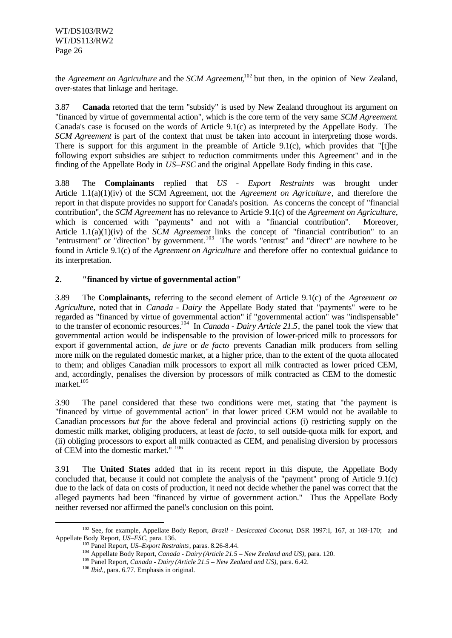the *Agreement on Agriculture* and the *SCM Agreement*, <sup>102</sup> but then, in the opinion of New Zealand, over-states that linkage and heritage.

3.87 **Canada** retorted that the term "subsidy" is used by New Zealand throughout its argument on "financed by virtue of governmental action", which is the core term of the very same *SCM Agreement*. Canada's case is focused on the words of Article 9.1(c) as interpreted by the Appellate Body. The *SCM Agreement* is part of the context that must be taken into account in interpreting those words. There is support for this argument in the preamble of Article 9.1(c), which provides that "[t]he following export subsidies are subject to reduction commitments under this Agreement" and in the finding of the Appellate Body in *US–FSC* and the original Appellate Body finding in this case.

3.88 The **Complainants** replied that *US - Export Restraints* was brought under Article 1.1(a)(1)(iv) of the SCM Agreement, not the *Agreement on Agriculture*, and therefore the report in that dispute provides no support for Canada's position. As concerns the concept of "financial contribution", the *SCM Agreement* has no relevance to Article 9.1(c) of the *Agreement on Agriculture*, which is concerned with "payments" and not with a "financial contribution". Moreover, Article 1.1(a)(1)(iv) of the *SCM Agreement* links the concept of "financial contribution" to an "entrustment" or "direction" by government.<sup>103</sup> The words "entrust" and "direct" are nowhere to be found in Article 9.1(c) of the *Agreement on Agriculture* and therefore offer no contextual guidance to its interpretation.

## **2. "financed by virtue of governmental action"**

3.89 The **Complainants,** referring to the second element of Article 9.1(c) of the *Agreement on Agriculture,* noted that in *Canada - Dairy* the Appellate Body stated that "payments" were to be regarded as "financed by virtue of governmental action" if "governmental action" was "indispensable" to the transfer of economic resources.<sup>104</sup> In *Canada - Dairy Article 21.5*, the panel took the view that governmental action would be indispensable to the provision of lower-priced milk to processors for export if governmental action, *de jure* or *de facto* prevents Canadian milk producers from selling more milk on the regulated domestic market, at a higher price, than to the extent of the quota allocated to them; and obliges Canadian milk processors to export all milk contracted as lower priced CEM, and, accordingly, penalises the diversion by processors of milk contracted as CEM to the domestic market.<sup>105</sup>

3.90 The panel considered that these two conditions were met, stating that "the payment is "financed by virtue of governmental action" in that lower priced CEM would not be available to Canadian processors *but for* the above federal and provincial actions (i) restricting supply on the domestic milk market, obliging producers, at least *de facto*, to sell outside-quota milk for export, and (ii) obliging processors to export all milk contracted as CEM, and penalising diversion by processors of CEM into the domestic market." <sup>106</sup>

3.91 The **United States** added that in its recent report in this dispute, the Appellate Body concluded that, because it could not complete the analysis of the "payment" prong of Article 9.1(c) due to the lack of data on costs of production, it need not decide whether the panel was correct that the alleged payments had been "financed by virtue of government action." Thus the Appellate Body neither reversed nor affirmed the panel's conclusion on this point.

<sup>102</sup> See, for example, Appellate Body Report, *Brazil - Desiccated Coconut*, DSR 1997:I, 167, at 169-170; and Appellate Body Report, *US–FSC*, para. 136.

<sup>103</sup> Panel Report, *US–Export Restraints*, paras. 8.26-8.44.

<sup>104</sup> Appellate Body Report, *Canada - Dairy (Article 21.5 – New Zealand and US),* para*.* 120.

<sup>105</sup> Panel Report, *Canada - Dairy (Article 21.5 – New Zealand and US)*, para. 6.42.

<sup>106</sup> *Ibid*., para. 6.77. Emphasis in original.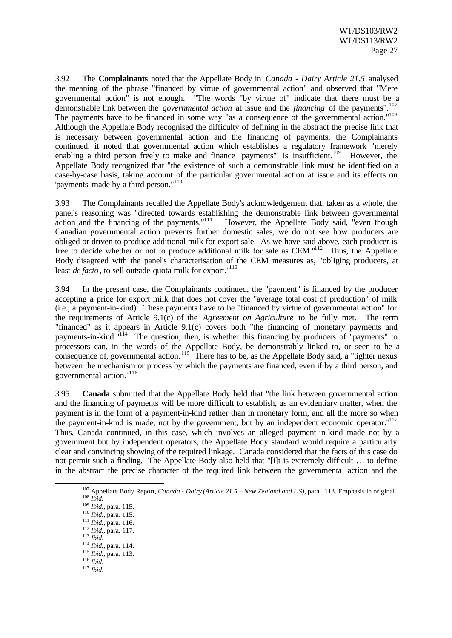3.92 The **Complainants** noted that the Appellate Body in *Canada - Dairy Article 21.5* analysed the meaning of the phrase "financed by virtue of governmental action" and observed that "Mere governmental action" is not enough. "The words "by virtue of" indicate that there must be a demonstrable link between the *governmental action* at issue and the *financing* of the payments".<sup>107</sup> The payments have to be financed in some way "as a consequence of the governmental action."<sup>108</sup> Although the Appellate Body recognised the difficulty of defining in the abstract the precise link that is necessary between governmental action and the financing of payments, the Complainants continued, it noted that governmental action which establishes a regulatory framework "merely enabling a third person freely to make and finance 'payments'" is insufficient.<sup>109</sup> However, the Appellate Body recognized that "the existence of such a demonstrable link must be identified on a case-by-case basis, taking account of the particular governmental action at issue and its effects on 'payments' made by a third person."<sup>110</sup>

3.93 The Complainants recalled the Appellate Body's acknowledgement that, taken as a whole, the panel's reasoning was "directed towards establishing the demonstrable link between governmental action and the financing of the payments."<sup>111</sup> However, the Appellate Body said, "even though Canadian governmental action prevents further domestic sales, we do not see how producers are obliged or driven to produce additional milk for export sale. As we have said above, each producer is free to decide whether or not to produce additional milk for sale as CEM."<sup>112</sup> Thus, the Appellate Body disagreed with the panel's characterisation of the CEM measures as, "obliging producers, at least *de facto*, to sell outside-quota milk for export."<sup>113</sup>

3.94 In the present case, the Complainants continued, the "payment" is financed by the producer accepting a price for export milk that does not cover the "average total cost of production" of milk (i.e., a payment-in-kind). These payments have to be "financed by virtue of governmental action" for the requirements of Article 9.1(c) of the *Agreement on Agriculture* to be fully met. The term "financed" as it appears in Article 9.1(c) covers both "the financing of monetary payments and payments-in-kind."<sup>114</sup> The question, then, is whether this financing by producers of "payments" to processors can, in the words of the Appellate Body, be demonstrably linked to, or seen to be a consequence of, governmental action.<sup>115</sup> There has to be, as the Appellate Body said, a "tighter nexus between the mechanism or process by which the payments are financed, even if by a third person, and governmental action."<sup>116</sup>

3.95 **Canada** submitted that the Appellate Body held that "the link between governmental action and the financing of payments will be more difficult to establish, as an evidentiary matter, when the payment is in the form of a payment-in-kind rather than in monetary form, and all the more so when the payment-in-kind is made, not by the government, but by an independent economic operator. $117$ Thus, Canada continued, in this case, which involves an alleged payment-in-kind made not by a government but by independent operators, the Appellate Body standard would require a particularly clear and convincing showing of the required linkage. Canada considered that the facts of this case do not permit such a finding. The Appellate Body also held that "[i]t is extremely difficult … to define in the abstract the precise character of the required link between the governmental action and the

<sup>113</sup> *Ibid.*

<sup>116</sup> *Ibid.*

l

<sup>117</sup> *Ibid.*

<sup>107</sup> Appellate Body Report, *Canada - Dairy (Article 21.5 – New Zealand and US),* para. 113. Emphasis in original. <sup>108</sup> *Ibid*.

<sup>109</sup> *Ibid*., para. 115.

<sup>110</sup> *Ibid*., para. 115.

<sup>111</sup> *Ibid.*, para. 116.

<sup>112</sup> *Ibid.,* para*.* 117.

<sup>114</sup> *Ibid.,* para. 114.

<sup>115</sup> *Ibid*., para. 113.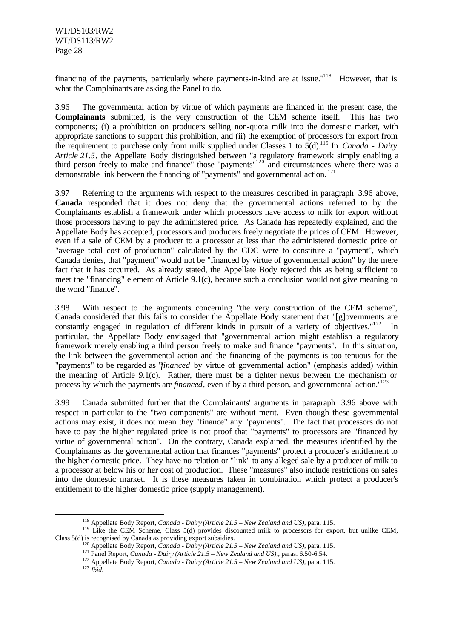financing of the payments, particularly where payments-in-kind are at issue."<sup>118</sup> However, that is what the Complainants are asking the Panel to do.

3.96 The governmental action by virtue of which payments are financed in the present case, the **Complainants** submitted, is the very construction of the CEM scheme itself. This has two components; (i) a prohibition on producers selling non-quota milk into the domestic market, with appropriate sanctions to support this prohibition, and (ii) the exemption of processors for export from the requirement to purchase only from milk supplied under Classes 1 to 5(d).<sup>119</sup> In *Canada - Dairy Article 21.5*, the Appellate Body distinguished between "a regulatory framework simply enabling a third person freely to make and finance" those "payments"<sup>120</sup> and circumstances where there was a demonstrable link between the financing of "payments" and governmental action.<sup>121</sup>

3.97 Referring to the arguments with respect to the measures described in paragraph 3.96 above, **Canada** responded that it does not deny that the governmental actions referred to by the Complainants establish a framework under which processors have access to milk for export without those processors having to pay the administered price. As Canada has repeatedly explained, and the Appellate Body has accepted, processors and producers freely negotiate the prices of CEM. However, even if a sale of CEM by a producer to a processor at less than the administered domestic price or "average total cost of production" calculated by the CDC were to constitute a "payment", which Canada denies, that "payment" would not be "financed by virtue of governmental action" by the mere fact that it has occurred. As already stated, the Appellate Body rejected this as being sufficient to meet the "financing" element of Article 9.1(c), because such a conclusion would not give meaning to the word "finance".

3.98 With respect to the arguments concerning "the very construction of the CEM scheme", Canada considered that this fails to consider the Appellate Body statement that "[g]overnments are constantly engaged in regulation of different kinds in pursuit of a variety of objectives."<sup>122</sup> In particular, the Appellate Body envisaged that "governmental action might establish a regulatory framework merely enabling a third person freely to make and finance "payments". In this situation, the link between the governmental action and the financing of the payments is too tenuous for the "payments" to be regarded as "*financed* by virtue of governmental action" (emphasis added) within the meaning of Article 9.1(c). Rather, there must be a tighter nexus between the mechanism or process by which the payments are *financed*, even if by a third person, and governmental action."<sup>123</sup>

3.99 Canada submitted further that the Complainants' arguments in paragraph 3.96 above with respect in particular to the "two components" are without merit. Even though these governmental actions may exist, it does not mean they "finance" any "payments". The fact that processors do not have to pay the higher regulated price is not proof that "payments" to processors are "financed by virtue of governmental action". On the contrary, Canada explained, the measures identified by the Complainants as the governmental action that finances "payments" protect a producer's entitlement to the higher domestic price. They have no relation or "link" to any alleged sale by a producer of milk to a processor at below his or her cost of production. These "measures" also include restrictions on sales into the domestic market. It is these measures taken in combination which protect a producer's entitlement to the higher domestic price (supply management).

<sup>118</sup> Appellate Body Report, *Canada - Dairy (Article 21.5 – New Zealand and US),* para. 115.

 $119$  Like the CEM Scheme, Class 5(d) provides discounted milk to processors for export, but unlike CEM, Class 5(d) is recognised by Canada as providing export subsidies.

<sup>120</sup> Appellate Body Report, *Canada - Dairy (Article 21.5 – New Zealand and US)*, para. 115.

<sup>121</sup> Panel Report, *Canada - Dairy (Article 21.5 – New Zealand and US),*, paras. 6.50-6.54.

<sup>122</sup> Appellate Body Report, *Canada - Dairy (Article 21.5 – New Zealand and US)*, para. 115.

<sup>123</sup> *Ibid*.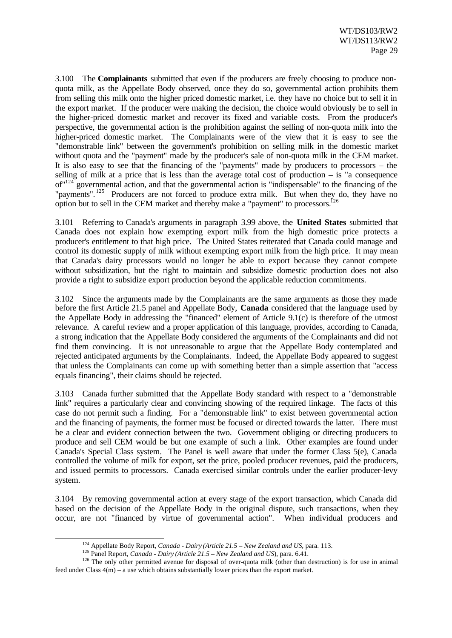3.100 The **Complainants** submitted that even if the producers are freely choosing to produce nonquota milk, as the Appellate Body observed, once they do so, governmental action prohibits them from selling this milk onto the higher priced domestic market, i.e. they have no choice but to sell it in the export market. If the producer were making the decision, the choice would obviously be to sell in the higher-priced domestic market and recover its fixed and variable costs. From the producer's perspective, the governmental action is the prohibition against the selling of non-quota milk into the higher-priced domestic market. The Complainants were of the view that it is easy to see the "demonstrable link" between the government's prohibition on selling milk in the domestic market without quota and the "payment" made by the producer's sale of non-quota milk in the CEM market. It is also easy to see that the financing of the "payments" made by producers to processors – the selling of milk at a price that is less than the average total cost of production – is "a consequence of<sup>"124</sup> governmental action, and that the governmental action is "indispensable" to the financing of the "payments".<sup>125</sup> Producers are not forced to produce extra milk. But when they do, they have no option but to sell in the CEM market and thereby make a "payment" to processors.<sup>126</sup>

3.101 Referring to Canada's arguments in paragraph 3.99 above, the **United States** submitted that Canada does not explain how exempting export milk from the high domestic price protects a producer's entitlement to that high price. The United States reiterated that Canada could manage and control its domestic supply of milk without exempting export milk from the high price. It may mean that Canada's dairy processors would no longer be able to export because they cannot compete without subsidization, but the right to maintain and subsidize domestic production does not also provide a right to subsidize export production beyond the applicable reduction commitments.

3.102 Since the arguments made by the Complainants are the same arguments as those they made before the first Article 21.5 panel and Appellate Body, **Canada** considered that the language used by the Appellate Body in addressing the "financed" element of Article 9.1(c) is therefore of the utmost relevance. A careful review and a proper application of this language, provides, according to Canada, a strong indication that the Appellate Body considered the arguments of the Complainants and did not find them convincing. It is not unreasonable to argue that the Appellate Body contemplated and rejected anticipated arguments by the Complainants. Indeed, the Appellate Body appeared to suggest that unless the Complainants can come up with something better than a simple assertion that "access equals financing", their claims should be rejected.

3.103 Canada further submitted that the Appellate Body standard with respect to a "demonstrable link" requires a particularly clear and convincing showing of the required linkage. The facts of this case do not permit such a finding. For a "demonstrable link" to exist between governmental action and the financing of payments, the former must be focused or directed towards the latter. There must be a clear and evident connection between the two. Government obliging or directing producers to produce and sell CEM would be but one example of such a link. Other examples are found under Canada's Special Class system. The Panel is well aware that under the former Class 5(e), Canada controlled the volume of milk for export, set the price, pooled producer revenues, paid the producers, and issued permits to processors. Canada exercised similar controls under the earlier producer-levy system.

3.104 By removing governmental action at every stage of the export transaction, which Canada did based on the decision of the Appellate Body in the original dispute, such transactions, when they occur, are not "financed by virtue of governmental action". When individual producers and

<sup>124</sup> Appellate Body Report, *Canada - Dairy (Article 21.5 – New Zealand and US*, para. 113.

<sup>125</sup> Panel Report, *Canada - Dairy (Article 21.5 – New Zealand and US*), para*.* 6.41.

<sup>&</sup>lt;sup>126</sup> The only other permitted avenue for disposal of over-quota milk (other than destruction) is for use in animal feed under Class 4(m) – a use which obtains substantially lower prices than the export market.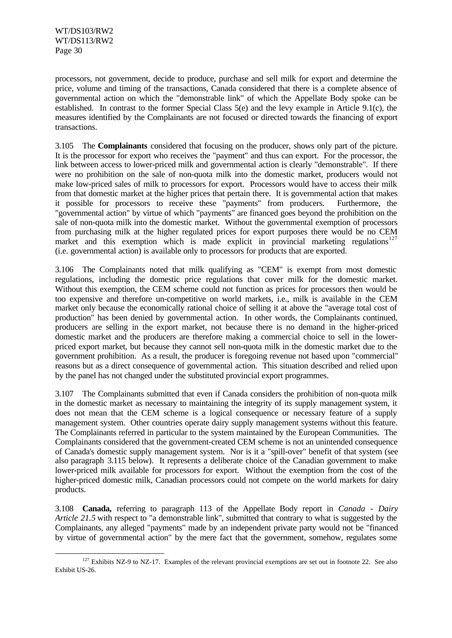processors, not government, decide to produce, purchase and sell milk for export and determine the price, volume and timing of the transactions, Canada considered that there is a complete absence of governmental action on which the "demonstrable link" of which the Appellate Body spoke can be established. In contrast to the former Special Class 5(e) and the levy example in Article 9.1(c), the measures identified by the Complainants are not focused or directed towards the financing of export transactions.

3.105 The **Complainants** considered that focusing on the producer, shows only part of the picture. It is the processor for export who receives the "payment" and thus can export. For the processor, the link between access to lower-priced milk and governmental action is clearly "demonstrable". If there were no prohibition on the sale of non-quota milk into the domestic market, producers would not make low-priced sales of milk to processors for export. Processors would have to access their milk from that domestic market at the higher prices that pertain there. It is governmental action that makes it possible for processors to receive these "payments" from producers. Furthermore, the "governmental action" by virtue of which "payments" are financed goes beyond the prohibition on the sale of non-quota milk into the domestic market. Without the governmental exemption of processors from purchasing milk at the higher regulated prices for export purposes there would be no CEM market and this exemption which is made explicit in provincial marketing regulations<sup>127</sup> (i.e. governmental action) is available only to processors for products that are exported.

3.106 The Complainants noted that milk qualifying as "CEM" is exempt from most domestic regulations, including the domestic price regulations that cover milk for the domestic market. Without this exemption, the CEM scheme could not function as prices for processors then would be too expensive and therefore un-competitive on world markets, i.e., milk is available in the CEM market only because the economically rational choice of selling it at above the "average total cost of production" has been denied by governmental action. In other words, the Complainants continued, producers are selling in the export market, not because there is no demand in the higher-priced domestic market and the producers are therefore making a commercial choice to sell in the lowerpriced export market, but because they cannot sell non-quota milk in the domestic market due to the government prohibition. As a result, the producer is foregoing revenue not based upon "commercial" reasons but as a direct consequence of governmental action. This situation described and relied upon by the panel has not changed under the substituted provincial export programmes.

3.107 The Complainants submitted that even if Canada considers the prohibition of non-quota milk in the domestic market as necessary to maintaining the integrity of its supply management system, it does not mean that the CEM scheme is a logical consequence or necessary feature of a supply management system. Other countries operate dairy supply management systems without this feature. The Complainants referred in particular to the system maintained by the European Communities. The Complainants considered that the government-created CEM scheme is not an unintended consequence of Canada's domestic supply management system. Nor is it a "spill-over" benefit of that system (see also paragraph 3.115 below). It represents a deliberate choice of the Canadian government to make lower-priced milk available for processors for export. Without the exemption from the cost of the higher-priced domestic milk, Canadian processors could not compete on the world markets for dairy products.

3.108 **Canada,** referring to paragraph 113 of the Appellate Body report in *Canada - Dairy Article 21.5* with respect to "a demonstrable link", submitted that contrary to what is suggested by the Complainants, any alleged "payments" made by an independent private party would not be "financed by virtue of governmental action" by the mere fact that the government, somehow, regulates some

l <sup>127</sup> Exhibits NZ-9 to NZ-17. Examples of the relevant provincial exemptions are set out in footnote 22. See also Exhibit US-26.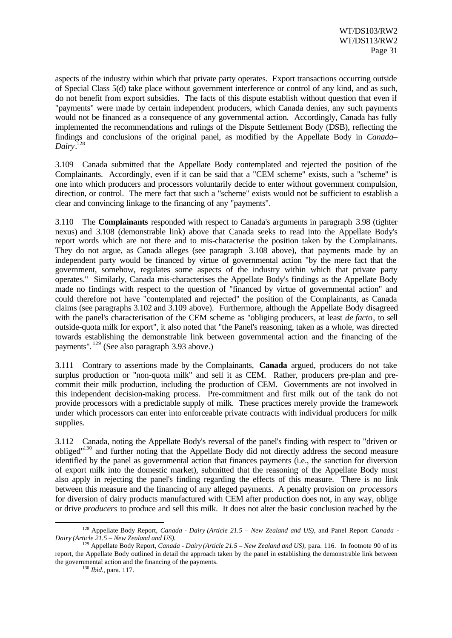aspects of the industry within which that private party operates. Export transactions occurring outside of Special Class 5(d) take place without government interference or control of any kind, and as such, do not benefit from export subsidies. The facts of this dispute establish without question that even if "payments" were made by certain independent producers, which Canada denies, any such payments would not be financed as a consequence of any governmental action. Accordingly, Canada has fully implemented the recommendations and rulings of the Dispute Settlement Body (DSB), reflecting the findings and conclusions of the original panel, as modified by the Appellate Body in *Canada– Dairy*. 128

3.109 Canada submitted that the Appellate Body contemplated and rejected the position of the Complainants. Accordingly, even if it can be said that a "CEM scheme" exists, such a "scheme" is one into which producers and processors voluntarily decide to enter without government compulsion, direction, or control. The mere fact that such a "scheme" exists would not be sufficient to establish a clear and convincing linkage to the financing of any "payments".

3.110 The **Complainants** responded with respect to Canada's arguments in paragraph 3.98 (tighter nexus) and 3.108 (demonstrable link) above that Canada seeks to read into the Appellate Body's report words which are not there and to mis-characterise the position taken by the Complainants. They do not argue, as Canada alleges (see paragraph 3.108 above), that payments made by an independent party would be financed by virtue of governmental action "by the mere fact that the government, somehow, regulates some aspects of the industry within which that private party operates." Similarly, Canada mis-characterises the Appellate Body's findings as the Appellate Body made no findings with respect to the question of "financed by virtue of governmental action" and could therefore not have "contemplated and rejected" the position of the Complainants, as Canada claims (see paragraphs 3.102 and 3.109 above). Furthermore, although the Appellate Body disagreed with the panel's characterisation of the CEM scheme as "obliging producers, at least *de facto*, to sell outside-quota milk for export", it also noted that "the Panel's reasoning, taken as a whole, was directed towards establishing the demonstrable link between governmental action and the financing of the payments". <sup>129</sup> (See also paragraph 3.93 above.)

3.111 Contrary to assertions made by the Complainants, **Canada** argued, producers do not take surplus production or "non-quota milk" and sell it as CEM. Rather, producers pre-plan and precommit their milk production, including the production of CEM. Governments are not involved in this independent decision-making process. Pre-commitment and first milk out of the tank do not provide processors with a predictable supply of milk. These practices merely provide the framework under which processors can enter into enforceable private contracts with individual producers for milk supplies.

3.112 Canada, noting the Appellate Body's reversal of the panel's finding with respect to "driven or obliged"<sup>130</sup> and further noting that the Appellate Body did not directly address the second measure identified by the panel as governmental action that finances payments (i.e., the sanction for diversion of export milk into the domestic market), submitted that the reasoning of the Appellate Body must also apply in rejecting the panel's finding regarding the effects of this measure. There is no link between this measure and the financing of any alleged payments. A penalty provision on *processors* for diversion of dairy products manufactured with CEM after production does not, in any way, oblige or drive *producers* to produce and sell this milk. It does not alter the basic conclusion reached by the

<sup>128</sup> Appellate Body Report, *Canada - Dairy (Article 21.5 – New Zealand and US)*, and Panel Report *Canada - Dairy (Article 21.5 – New Zealand and US).*

<sup>129</sup> Appellate Body Report, *Canada - Dairy (Article 21.5 – New Zealand and US)*, para. 116. In footnote 90 of its report, the Appellate Body outlined in detail the approach taken by the panel in establishing the demonstrable link between the governmental action and the financing of the payments.

<sup>130</sup> *Ibid.*, para. 117.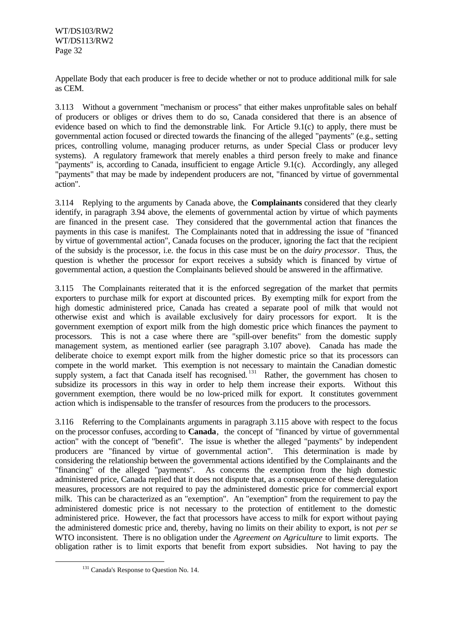Appellate Body that each producer is free to decide whether or not to produce additional milk for sale as CEM.

3.113 Without a government "mechanism or process" that either makes unprofitable sales on behalf of producers or obliges or drives them to do so, Canada considered that there is an absence of evidence based on which to find the demonstrable link. For Article 9.1(c) to apply, there must be governmental action focused or directed towards the financing of the alleged "payments" (e.g., setting prices, controlling volume, managing producer returns, as under Special Class or producer levy systems). A regulatory framework that merely enables a third person freely to make and finance "payments" is, according to Canada, insufficient to engage Article 9.1(c). Accordingly, any alleged "payments" that may be made by independent producers are not, "financed by virtue of governmental action".

3.114 Replying to the arguments by Canada above, the **Complainants** considered that they clearly identify, in paragraph 3.94 above, the elements of governmental action by virtue of which payments are financed in the present case. They considered that the governmental action that finances the payments in this case is manifest. The Complainants noted that in addressing the issue of "financed by virtue of governmental action", Canada focuses on the producer, ignoring the fact that the recipient of the subsidy is the processor, i.e. the focus in this case must be on the *dairy processor*. Thus, the question is whether the processor for export receives a subsidy which is financed by virtue of governmental action, a question the Complainants believed should be answered in the affirmative.

3.115 The Complainants reiterated that it is the enforced segregation of the market that permits exporters to purchase milk for export at discounted prices. By exempting milk for export from the high domestic administered price, Canada has created a separate pool of milk that would not otherwise exist and which is available exclusively for dairy processors for export. It is the government exemption of export milk from the high domestic price which finances the payment to processors. This is not a case where there are "spill-over benefits" from the domestic supply management system, as mentioned earlier (see paragraph 3.107 above). Canada has made the deliberate choice to exempt export milk from the higher domestic price so that its processors can compete in the world market. This exemption is not necessary to maintain the Canadian domestic supply system, a fact that Canada itself has recognised. <sup>131</sup> Rather, the government has chosen to subsidize its processors in this way in order to help them increase their exports. Without this government exemption, there would be no low-priced milk for export. It constitutes government action which is indispensable to the transfer of resources from the producers to the processors.

3.116 Referring to the Complainants arguments in paragraph 3.115 above with respect to the focus on the processor confuses, according to **Canada**, the concept of "financed by virtue of governmental action" with the concept of "benefit". The issue is whether the alleged "payments" by independent producers are "financed by virtue of governmental action". This determination is made by considering the relationship between the governmental actions identified by the Complainants and the "financing" of the alleged "payments". As concerns the exemption from the high domestic administered price, Canada replied that it does not dispute that, as a consequence of these deregulation measures, processors are not required to pay the administered domestic price for commercial export milk. This can be characterized as an "exemption". An "exemption" from the requirement to pay the administered domestic price is not necessary to the protection of entitlement to the domestic administered price. However, the fact that processors have access to milk for export without paying the administered domestic price and, thereby, having no limits on their ability to export, is not *per se* WTO inconsistent. There is no obligation under the *Agreement on Agriculture* to limit exports. The obligation rather is to limit exports that benefit from export subsidies. Not having to pay the

<sup>&</sup>lt;sup>131</sup> Canada's Response to Question No. 14.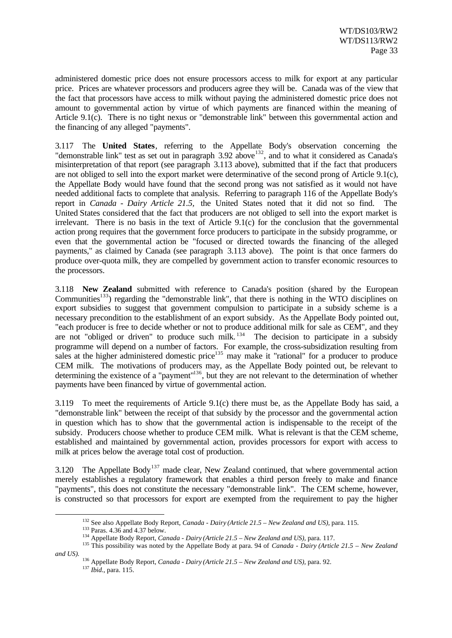administered domestic price does not ensure processors access to milk for export at any particular price. Prices are whatever processors and producers agree they will be. Canada was of the view that the fact that processors have access to milk without paying the administered domestic price does not amount to governmental action by virtue of which payments are financed within the meaning of Article 9.1(c). There is no tight nexus or "demonstrable link" between this governmental action and the financing of any alleged "payments".

3.117 The **United States**, referring to the Appellate Body's observation concerning the "demonstrable link" test as set out in paragraph  $3.92$  above<sup>132</sup>, and to what it considered as Canada's misinterpretation of that report (see paragraph 3.113 above), submitted that if the fact that producers are not obliged to sell into the export market were determinative of the second prong of Article 9.1(c), the Appellate Body would have found that the second prong was not satisfied as it would not have needed additional facts to complete that analysis. Referring to paragraph 116 of the Appellate Body's report in *Canada - Dairy Article 21.5,* the United States noted that it did not so find. The United States considered that the fact that producers are not obliged to sell into the export market is irrelevant. There is no basis in the text of Article 9.1(c) for the conclusion that the governmental action prong requires that the government force producers to participate in the subsidy programme, or even that the governmental action be "focused or directed towards the financing of the alleged payments," as claimed by Canada (see paragraph 3.113 above). The point is that once farmers do produce over-quota milk, they are compelled by government action to transfer economic resources to the processors.

3.118 **New Zealand** submitted with reference to Canada's position (shared by the European Communities<sup>133</sup>) regarding the "demonstrable link", that there is nothing in the WTO disciplines on export subsidies to suggest that government compulsion to participate in a subsidy scheme is a necessary precondition to the establishment of an export subsidy. As the Appellate Body pointed out, "each producer is free to decide whether or not to produce additional milk for sale as CEM", and they are not "obliged or driven" to produce such milk.<sup>134</sup> The decision to participate in a subsidy programme will depend on a number of factors. For example, the cross-subsidization resulting from sales at the higher administered domestic price<sup>135</sup> may make it "rational" for a producer to produce CEM milk. The motivations of producers may, as the Appellate Body pointed out, be relevant to determining the existence of a "payment"<sup>136</sup>, but they are not relevant to the determination of whether payments have been financed by virtue of governmental action.

3.119 To meet the requirements of Article 9.1(c) there must be, as the Appellate Body has said, a "demonstrable link" between the receipt of that subsidy by the processor and the governmental action in question which has to show that the governmental action is indispensable to the receipt of the subsidy. Producers choose whether to produce CEM milk. What is relevant is that the CEM scheme, established and maintained by governmental action, provides processors for export with access to milk at prices below the average total cost of production.

3.120 The Appellate Body<sup>137</sup> made clear, New Zealand continued, that where governmental action merely establishes a regulatory framework that enables a third person freely to make and finance "payments", this does not constitute the necessary "demonstrable link". The CEM scheme, however, is constructed so that processors for export are exempted from the requirement to pay the higher

<sup>132</sup> See also Appellate Body Report, *Canada - Dairy (Article 21.5 – New Zealand and US),* para*.* 115.

<sup>&</sup>lt;sup>133</sup> Paras. 4.36 and 4.37 below.

<sup>134</sup> Appellate Body Report, *Canada - Dairy (Article 21.5 – New Zealand and US),* para*.* 117.

<sup>135</sup> This possibility was noted by the Appellate Body at para. 94 of *Canada - Dairy (Article 21.5 – New Zealand and US).*

<sup>136</sup> Appellate Body Report, *Canada - Dairy (Article 21.5 – New Zealand and US),* para. 92.

<sup>137</sup> *Ibid.*, para. 115.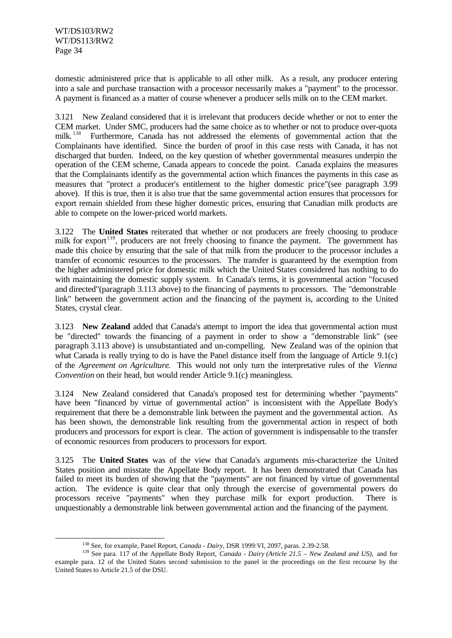l

domestic administered price that is applicable to all other milk. As a result, any producer entering into a sale and purchase transaction with a processor necessarily makes a "payment" to the processor. A payment is financed as a matter of course whenever a producer sells milk on to the CEM market.

3.121 New Zealand considered that it is irrelevant that producers decide whether or not to enter the CEM market. Under SMC, producers had the same choice as to whether or not to produce over-quota milk.<sup>138</sup> Furthermore, Canada has not addressed the elements of governmental action that the Complainants have identified. Since the burden of proof in this case rests with Canada, it has not discharged that burden. Indeed, on the key question of whether governmental measures underpin the operation of the CEM scheme, Canada appears to concede the point. Canada explains the measures that the Complainants identify as the governmental action which finances the payments in this case as measures that "protect a producer's entitlement to the higher domestic price"(see paragraph 3.99 above). If this is true, then it is also true that the same governmental action ensures that processors for export remain shielded from these higher domestic prices, ensuring that Canadian milk products are able to compete on the lower-priced world markets.

3.122 The **United States** reiterated that whether or not producers are freely choosing to produce milk for export<sup>139</sup>, producers are not freely choosing to finance the payment. The government has made this choice by ensuring that the sale of that milk from the producer to the processor includes a transfer of economic resources to the processors. The transfer is guaranteed by the exemption from the higher administered price for domestic milk which the United States considered has nothing to do with maintaining the domestic supply system. In Canada's terms, it is governmental action "focused and directed"(paragraph 3.113 above) to the financing of payments to processors. The "demonstrable link" between the government action and the financing of the payment is, according to the United States, crystal clear.

3.123 **New Zealand** added that Canada's attempt to import the idea that governmental action must be "directed" towards the financing of a payment in order to show a "demonstrable link" (see paragraph 3.113 above) is unsubstantiated and un-compelling. New Zealand was of the opinion that what Canada is really trying to do is have the Panel distance itself from the language of Article 9.1(c) of the *Agreement on Agriculture*. This would not only turn the interpretative rules of the *Vienna Convention* on their head, but would render Article 9.1(c) meaningless.

3.124 New Zealand considered that Canada's proposed test for determining whether "payments" have been "financed by virtue of governmental action" is inconsistent with the Appellate Body's requirement that there be a demonstrable link between the payment and the governmental action. As has been shown, the demonstrable link resulting from the governmental action in respect of both producers and processors for export is clear. The action of government is indispensable to the transfer of economic resources from producers to processors for export.

3.125 The **United States** was of the view that Canada's arguments mis-characterize the United States position and misstate the Appellate Body report. It has been demonstrated that Canada has failed to meet its burden of showing that the "payments" are not financed by virtue of governmental action. The evidence is quite clear that only through the exercise of governmental powers do processors receive "payments" when they purchase milk for export production. There is unquestionably a demonstrable link between governmental action and the financing of the payment.

<sup>138</sup> See, for example, Panel Report, *Canada - Dairy,* DSR 1999:VI, 2097, paras. 2.39-2.58.

<sup>139</sup> See para. 117 of the Appellate Body Report, *Canada - Dairy (Article 21.5 – New Zealand and US),* and for example para. 12 of the United States second submission to the panel in the proceedings on the first recourse by the United States to Article 21.5 of the DSU.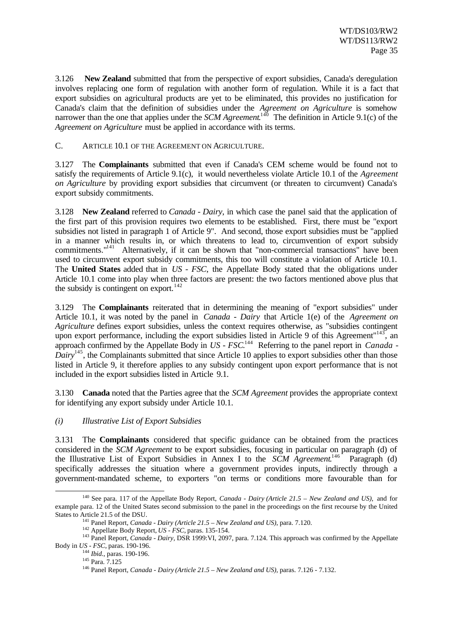3.126 **New Zealand** submitted that from the perspective of export subsidies, Canada's deregulation involves replacing one form of regulation with another form of regulation. While it is a fact that export subsidies on agricultural products are yet to be eliminated, this provides no justification for Canada's claim that the definition of subsidies under the *Agreement on Agriculture* is somehow narrower than the one that applies under the *SCM Agreement*.<sup>140</sup> The definition in Article 9.1(c) of the *Agreement on Agriculture* must be applied in accordance with its terms.

C. ARTICLE 10.1 OF THE AGREEMENT ON AGRICULTURE.

3.127 The **Complainants** submitted that even if Canada's CEM scheme would be found not to satisfy the requirements of Article 9.1(c), it would nevertheless violate Article 10.1 of the *Agreement on Agriculture* by providing export subsidies that circumvent (or threaten to circumvent) Canada's export subsidy commitments.

3.128 **New Zealand** referred to *Canada - Dairy*, in which case the panel said that the application of the first part of this provision requires two elements to be established. First, there must be "export subsidies not listed in paragraph 1 of Article 9". And second, those export subsidies must be "applied" in a manner which results in, or which threatens to lead to, circumvention of export subsidy commitments."<sup>141</sup> Alternatively, if it can be shown that "non-commercial transactions" have been used to circumvent export subsidy commitments, this too will constitute a violation of Article 10.1. The **United States** added that in *US - FSC*, the Appellate Body stated that the obligations under Article 10.1 come into play when three factors are present: the two factors mentioned above plus that the subsidy is contingent on export.<sup>142</sup>

3.129 The **Complainants** reiterated that in determining the meaning of "export subsidies" under Article 10.1, it was noted by the panel in *Canada - Dairy* that Article 1(e) of the *Agreement on Agriculture* defines export subsidies, unless the context requires otherwise, as "subsidies contingent upon export performance, including the export subsidies listed in Article 9 of this Agreement<sup>"143</sup>, an approach confirmed by the Appellate Body in *US - FSC*<sup>144</sup> Referring to the panel report in *Canada* -Dairy<sup>145</sup>, the Complainants submitted that since Article 10 applies to export subsidies other than those listed in Article 9, it therefore applies to any subsidy contingent upon export performance that is not included in the export subsidies listed in Article 9.1.

3.130 **Canada** noted that the Parties agree that the *SCM Agreement* provides the appropriate context for identifying any export subsidy under Article 10.1.

#### *(i) Illustrative List of Export Subsidies*

3.131 The **Complainants** considered that specific guidance can be obtained from the practices considered in the *SCM Agreement* to be export subsidies, focusing in particular on paragraph (d) of the Illustrative List of Export Subsidies in Annex I to the *SCM Agreement*.<sup>146</sup> Paragraph (d) specifically addresses the situation where a government provides inputs, indirectly through a government-mandated scheme, to exporters "on terms or conditions more favourable than for

l <sup>140</sup> See para. 117 of the Appellate Body Report, *Canada - Dairy (Article 21.5 – New Zealand and US),* and for example para. 12 of the United States second submission to the panel in the proceedings on the first recourse by the United States to Article 21.5 of the DSU.

<sup>141</sup> Panel Report, *Canada - Dairy (Article 21.5 – New Zealand and US)*, para. 7.120.

<sup>142</sup> Appellate Body Report, *US - FSC,* paras. 135-154.

<sup>143</sup> Panel Report, *Canada - Dairy,* DSR 1999:VI, 2097, para. 7.124. This approach was confirmed by the Appellate Body in *US - FSC*, paras. 190-196.

<sup>144</sup> *Ibid.*, paras. 190-196.

<sup>145</sup> Para. 7.125

<sup>146</sup> Panel Report, *Canada - Dairy (Article 21.5 – New Zealand and US),* paras. 7.126 - 7.132.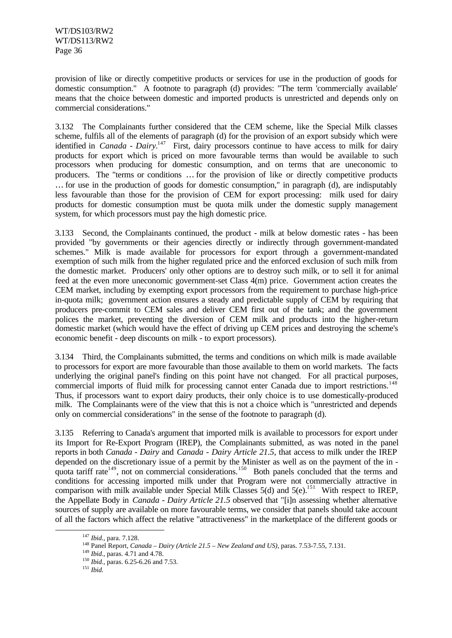provision of like or directly competitive products or services for use in the production of goods for domestic consumption." A footnote to paragraph (d) provides: "The term 'commercially available' means that the choice between domestic and imported products is unrestricted and depends only on commercial considerations."

3.132 The Complainants further considered that the CEM scheme, like the Special Milk classes scheme, fulfils all of the elements of paragraph (d) for the provision of an export subsidy which were identified in *Canada - Dairy*.<sup>147</sup> First, dairy processors continue to have access to milk for dairy products for export which is priced on more favourable terms than would be available to such processors when producing for domestic consumption, and on terms that are uneconomic to producers. The "terms or conditions … for the provision of like or directly competitive products … for use in the production of goods for domestic consumption," in paragraph (d), are indisputably less favourable than those for the provision of CEM for export processing: milk used for dairy products for domestic consumption must be quota milk under the domestic supply management system, for which processors must pay the high domestic price.

3.133 Second, the Complainants continued, the product - milk at below domestic rates - has been provided "by governments or their agencies directly or indirectly through government-mandated schemes." Milk is made available for processors for export through a government-mandated exemption of such milk from the higher regulated price and the enforced exclusion of such milk from the domestic market. Producers' only other options are to destroy such milk, or to sell it for animal feed at the even more uneconomic government-set Class 4(m) price. Government action creates the CEM market, including by exempting export processors from the requirement to purchase high-price in-quota milk; government action ensures a steady and predictable supply of CEM by requiring that producers pre-commit to CEM sales and deliver CEM first out of the tank; and the government polices the market, preventing the diversion of CEM milk and products into the higher-return domestic market (which would have the effect of driving up CEM prices and destroying the scheme's economic benefit - deep discounts on milk - to export processors).

3.134 Third, the Complainants submitted, the terms and conditions on which milk is made available to processors for export are more favourable than those available to them on world markets. The facts underlying the original panel's finding on this point have not changed. For all practical purposes, commercial imports of fluid milk for processing cannot enter Canada due to import restrictions.<sup>148</sup> Thus, if processors want to export dairy products, their only choice is to use domestically-produced milk. The Complainants were of the view that this is not a choice which is "unrestricted and depends only on commercial considerations" in the sense of the footnote to paragraph (d).

3.135 Referring to Canada's argument that imported milk is available to processors for export under its Import for Re-Export Program (IREP), the Complainants submitted, as was noted in the panel reports in both *Canada - Dairy* and *Canada - Dairy Article 21.5*, that access to milk under the IREP depended on the discretionary issue of a permit by the Minister as well as on the payment of the in quota tariff rate<sup>149</sup>, not on commercial considerations.<sup>150</sup> Both panels concluded that the terms and conditions for accessing imported milk under that Program were not commercially attractive in comparison with milk available under Special Milk Classes 5(d) and  $5(e)$ <sup>151</sup> With respect to IREP, the Appellate Body in *Canada - Dairy Article 21.5* observed that "[i]n assessing whether alternative sources of supply are available on more favourable terms, we consider that panels should take account of all the factors which affect the relative "attractiveness" in the marketplace of the different goods or

<sup>147</sup> *Ibid.*, para. 7.128.

<sup>148</sup> Panel Report, *Canada – Dairy (Article 21.5 – New Zealand and US),* paras. 7.53-7.55, 7.131.

<sup>149</sup> *Ibid.,* paras. 4.71 and 4.78.

<sup>150</sup> *Ibid.,* paras. 6.25-6.26 and 7.53.

<sup>151</sup> *Ibid.*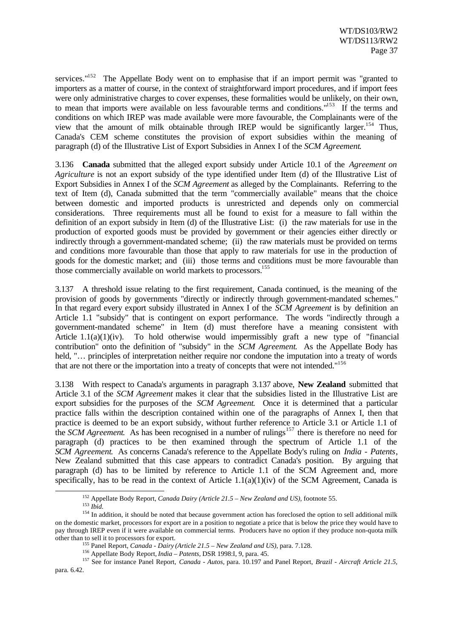services. $152$  The Appellate Body went on to emphasise that if an import permit was "granted to importers as a matter of course, in the context of straightforward import procedures, and if import fees were only administrative charges to cover expenses, these formalities would be unlikely, on their own, to mean that imports were available on less favourable terms and conditions."<sup>153</sup> If the terms and conditions on which IREP was made available were more favourable, the Complainants were of the view that the amount of milk obtainable through IREP would be significantly larger.<sup>154</sup> Thus, Canada's CEM scheme constitutes the provision of export subsidies within the meaning of paragraph (d) of the Illustrative List of Export Subsidies in Annex I of the *SCM Agreement*.

3.136 **Canada** submitted that the alleged export subsidy under Article 10.1 of the *Agreement on Agriculture* is not an export subsidy of the type identified under Item (d) of the Illustrative List of Export Subsidies in Annex I of the *SCM Agreement* as alleged by the Complainants. Referring to the text of Item (d), Canada submitted that the term "commercially available" means that the choice between domestic and imported products is unrestricted and depends only on commercial considerations. Three requirements must all be found to exist for a measure to fall within the definition of an export subsidy in Item (d) of the Illustrative List: (i) the raw materials for use in the production of exported goods must be provided by government or their agencies either directly or indirectly through a government-mandated scheme; (ii) the raw materials must be provided on terms and conditions more favourable than those that apply to raw materials for use in the production of goods for the domestic market; and (iii) those terms and conditions must be more favourable than those commercially available on world markets to processors.<sup>155</sup>

3.137 A threshold issue relating to the first requirement, Canada continued, is the meaning of the provision of goods by governments "directly or indirectly through government-mandated schemes." In that regard every export subsidy illustrated in Annex I of the *SCM Agreement* is by definition an Article 1.1 "subsidy" that is contingent on export performance. The words "indirectly through a government-mandated scheme" in Item (d) must therefore have a meaning consistent with Article  $1.1(a)(1)(iv)$ . To hold otherwise would impermissibly graft a new type of "financial" contribution" onto the definition of "subsidy" in the *SCM Agreement*. As the Appellate Body has held, "... principles of interpretation neither require nor condone the imputation into a treaty of words that are not there or the importation into a treaty of concepts that were not intended."<sup>156</sup>

3.138 With respect to Canada's arguments in paragraph 3.137 above, **New Zealand** submitted that Article 3.1 of the *SCM Agreement* makes it clear that the subsidies listed in the Illustrative List are export subsidies for the purposes of the *SCM Agreement*. Once it is determined that a particular practice falls within the description contained within one of the paragraphs of Annex I, then that practice is deemed to be an export subsidy, without further reference to Article 3.1 or Article 1.1 of the *SCM Agreement*. As has been recognised in a number of rulings<sup>157</sup> there is therefore no need for paragraph (d) practices to be then examined through the spectrum of Article 1.1 of the *SCM Agreement*. As concerns Canada's reference to the Appellate Body's ruling on *India - Patents*, New Zealand submitted that this case appears to contradict Canada's position. By arguing that paragraph (d) has to be limited by reference to Article 1.1 of the SCM Agreement and, more specifically, has to be read in the context of Article  $1.1(a)(1)(iv)$  of the SCM Agreement, Canada is

<sup>152</sup> Appellate Body Report, *Canada Dairy (Article 21.5 – New Zealand and US),* footnote 55.

<sup>153</sup> *Ibid.*

<sup>&</sup>lt;sup>154</sup> In addition, it should be noted that because government action has foreclosed the option to sell additional milk on the domestic market, processors for export are in a position to negotiate a price that is below the price they would have to pay through IREP even if it were available on commercial terms. Producers have no option if they produce non-quota milk other than to sell it to processors for export.

<sup>155</sup> Panel Report, *Canada - Dairy (Article 21.5 – New Zealand and US)*, para. 7.128.

<sup>156</sup> Appellate Body Report, *India – Patents,* DSR 1998:I, 9, para. 45.

<sup>157</sup> See for instance Panel Report, *Canada - Autos*, para. 10.197 and Panel Report, *Brazil - Aircraft Article 21.5,* para*.* 6.42.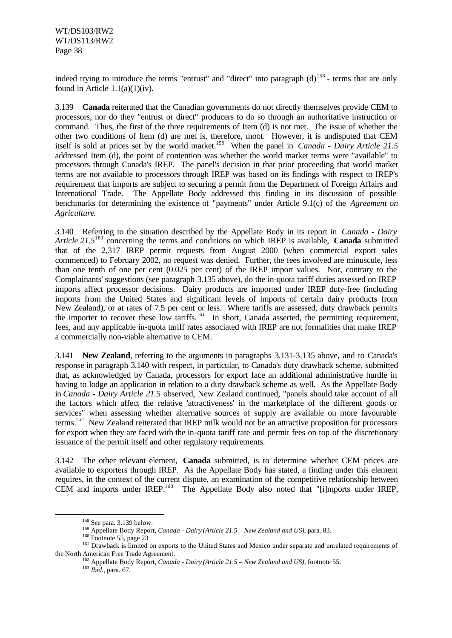indeed trying to introduce the terms "entrust" and "direct" into paragraph  $(d)$ <sup>158</sup> - terms that are only found in Article  $1.1(a)(1)(iv)$ .

3.139 **Canada** reiterated that the Canadian governments do not directly themselves provide CEM to processors, nor do they "entrust or direct" producers to do so through an authoritative instruction or command. Thus, the first of the three requirements of Item (d) is not met. The issue of whether the other two conditions of Item (d) are met is, therefore, moot. However, it is undisputed that CEM itself is sold at prices set by the world market.<sup>159</sup> When the panel in *Canada - Dairy Article 21.5* addressed Item (d), the point of contention was whether the world market terms were "available" to processors through Canada's IREP. The panel's decision in that prior proceeding that world market terms are not available to processors through IREP was based on its findings with respect to IREP's requirement that imports are subject to securing a permit from the Department of Foreign Affairs and International Trade. The Appellate Body addressed this finding in its discussion of possible benchmarks for determining the existence of "payments" under Article 9.1(c) of the *Agreement on Agriculture*.

3.140 Referring to the situation described by the Appellate Body in its report in *Canada - Dairy Article 21.5*<sup>160</sup> concerning the terms and conditions on which IREP is available, **Canada** submitted that of the 2,317 IREP permit requests from August 2000 (when commercial export sales commenced) to February 2002, no request was denied. Further, the fees involved are minuscule, less than one tenth of one per cent (0.025 per cent) of the IREP import values. Nor, contrary to the Complainants' suggestions (see paragraph 3.135 above), do the in-quota tariff duties assessed on IREP imports affect processor decisions. Dairy products are imported under IREP duty-free (including imports from the United States and significant levels of imports of certain dairy products from New Zealand), or at rates of 7.5 per cent or less. Where tariffs are assessed, duty drawback permits the importer to recover these low tariffs.<sup>161</sup> In short, Canada asserted, the permitting requirement, fees, and any applicable in-quota tariff rates associated with IREP are not formalities that make IREP a commercially non-viable alternative to CEM.

3.141 **New Zealand**, referring to the arguments in paragraphs 3.131-3.135 above, and to Canada's response in paragraph 3.140 with respect, in particular, to Canada's duty drawback scheme, submitted that, as acknowledged by Canada, processors for export face an additional administrative hurdle in having to lodge an application in relation to a duty drawback scheme as well. As the Appellate Body in *Canada - Dairy Article 21.*5 observed, New Zealand continued, "panels should take account of all the factors which affect the relative 'attractiveness' in the marketplace of the different goods or services" when assessing whether alternative sources of supply are available on more favourable terms.<sup>162</sup> New Zealand reiterated that IREP milk would not be an attractive proposition for processors for export when they are faced with the in-quota tariff rate and permit fees on top of the discretionary issuance of the permit itself and other regulatory requirements.

3.142 The other relevant element, **Canada** submitted, is to determine whether CEM prices are available to exporters through IREP. As the Appellate Body has stated, a finding under this element requires, in the context of the current dispute, an examination of the competitive relationship between CEM and imports under IREP.<sup>163</sup> The Appellate Body also noted that "[i]mports under IREP,

<sup>&</sup>lt;sup>158</sup> See para. 3.139 below.

<sup>159</sup> Appellate Body Report, *Canada - Dairy (Article 21.5 – New Zealand and US)*, para. 83.

 $160$  Footnote 55, page 23

<sup>&</sup>lt;sup>161</sup> Drawback is limited on exports to the United States and Mexico under separate and unrelated requirements of the North American Free Trade Agreement.

<sup>162</sup> Appellate Body Report, *Canada - Dairy (Article 21.5 – New Zealand and US)*, footnote 55.

<sup>163</sup> *Ibid.*, para. 67.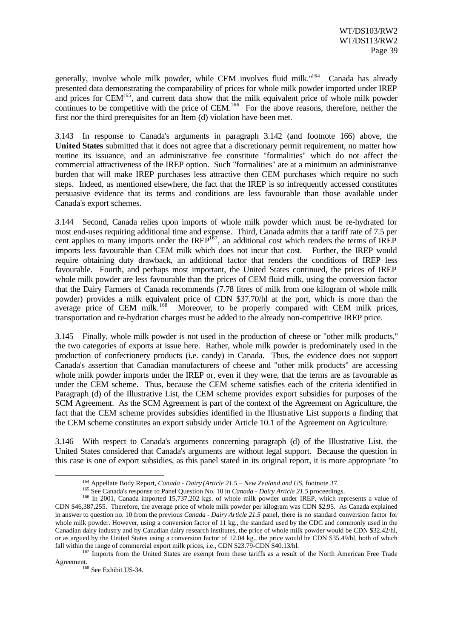generally, involve whole milk powder, while CEM involves fluid milk."<sup>164</sup> Canada has already presented data demonstrating the comparability of prices for whole milk powder imported under IREP and prices for  $CEM<sup>165</sup>$ , and current data show that the milk equivalent price of whole milk powder continues to be competitive with the price of CEM.<sup>166</sup> For the above reasons, therefore, neither the first nor the third prerequisites for an Item (d) violation have been met.

3.143 In response to Canada's arguments in paragraph 3.142 (and footnote 166) above, the **United States** submitted that it does not agree that a discretionary permit requirement, no matter how routine its issuance, and an administrative fee constitute "formalities" which do not affect the commercial attractiveness of the IREP option. Such "formalities" are at a minimum an administrative burden that will make IREP purchases less attractive then CEM purchases which require no such steps. Indeed, as mentioned elsewhere, the fact that the IREP is so infrequently accessed constitutes persuasive evidence that its terms and conditions are less favourable than those available under Canada's export schemes.

3.144 Second, Canada relies upon imports of whole milk powder which must be re-hydrated for most end-uses requiring additional time and expense. Third, Canada admits that a tariff rate of 7.5 per cent applies to many imports under the IREP<sup>167</sup>, an additional cost which renders the terms of IREP imports less favourable than CEM milk which does not incur that cost. Further, the IREP would require obtaining duty drawback, an additional factor that renders the conditions of IREP less favourable. Fourth, and perhaps most important, the United States continued, the prices of IREP whole milk powder are less favourable than the prices of CEM fluid milk, using the conversion factor that the Dairy Farmers of Canada recommends (7.78 litres of milk from one kilogram of whole milk powder) provides a milk equivalent price of CDN \$37.70/hl at the port, which is more than the average price of CEM milk.<sup>168</sup> Moreover, to be properly compared with CEM milk prices, transportation and re-hydration charges must be added to the already non-competitive IREP price.

3.145 Finally, whole milk powder is not used in the production of cheese or "other milk products," the two categories of exports at issue here. Rather, whole milk powder is predominately used in the production of confectionery products (i.e. candy) in Canada. Thus, the evidence does not support Canada's assertion that Canadian manufacturers of cheese and "other milk products" are accessing whole milk powder imports under the IREP or, even if they were, that the terms are as favourable as under the CEM scheme. Thus, because the CEM scheme satisfies each of the criteria identified in Paragraph (d) of the Illustrative List, the CEM scheme provides export subsidies for purposes of the SCM Agreement. As the SCM Agreement is part of the context of the Agreement on Agriculture, the fact that the CEM scheme provides subsidies identified in the Illustrative List supports a finding that the CEM scheme constitutes an export subsidy under Article 10.1 of the Agreement on Agriculture.

3.146 With respect to Canada's arguments concerning paragraph (d) of the Illustrative List, the United States considered that Canada's arguments are without legal support. Because the question in this case is one of export subsidies, as this panel stated in its original report, it is more appropriate "to

<sup>164</sup> Appellate Body Report, *Canada - Dairy (Article 21.5 – New Zealand and US*, footnote 37.

<sup>&</sup>lt;sup>165</sup> See Canada's response to Panel Question No. 10 in *Canada - Dairy Article 21.5* proceedings.

<sup>&</sup>lt;sup>166</sup> In 2001, Canada imported 15,737,202 kgs. of whole milk powder under IREP, which represents a value of CDN \$46,387,255. Therefore, the average price of whole milk powder per kilogram was CDN \$2.95. As Canada explained in answer to question no. 10 from the previous *Canada - Dairy Article 21.5* panel, there is no standard conversion factor for whole milk powder. However, using a conversion factor of 11 kg., the standard used by the CDC and commonly used in the Canadian dairy industry and by Canadian dairy research institutes, the price of whole milk powder would be CDN \$32.42/hl, or as argued by the United States using a conversion factor of 12.04 kg., the price would be CDN \$35.49/hl, both of which fall within the range of commercial export milk prices, i.e., CDN \$23.79-CDN \$40.13/hl.

<sup>&</sup>lt;sup>167</sup> Imports from the United States are exempt from these tariffs as a result of the North American Free Trade Agreement.

<sup>&</sup>lt;sup>168</sup> See Exhibit US-34.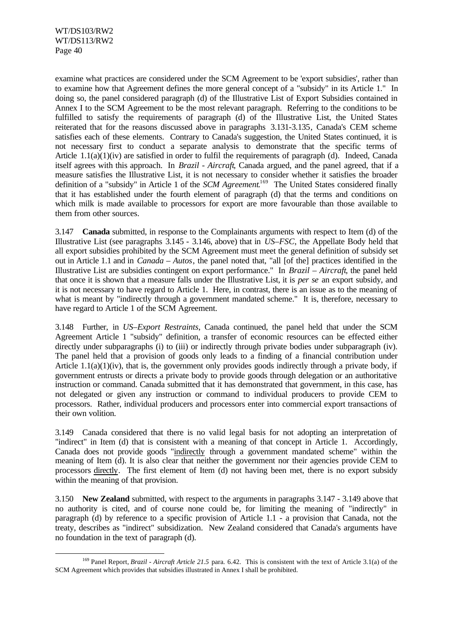l

examine what practices are considered under the SCM Agreement to be 'export subsidies', rather than to examine how that Agreement defines the more general concept of a "subsidy" in its Article 1." In doing so, the panel considered paragraph (d) of the Illustrative List of Export Subsidies contained in Annex I to the SCM Agreement to be the most relevant paragraph. Referring to the conditions to be fulfilled to satisfy the requirements of paragraph (d) of the Illustrative List, the United States reiterated that for the reasons discussed above in paragraphs 3.131-3.135, Canada's CEM scheme satisfies each of these elements. Contrary to Canada's suggestion, the United States continued, it is not necessary first to conduct a separate analysis to demonstrate that the specific terms of Article 1.1(a)(1)(iv) are satisfied in order to fulfil the requirements of paragraph (d). Indeed, Canada itself agrees with this approach. In *Brazil - Aircraft*, Canada argued, and the panel agreed, that if a measure satisfies the Illustrative List, it is not necessary to consider whether it satisfies the broader definition of a "subsidy" in Article 1 of the *SCM Agreement*. <sup>169</sup> The United States considered finally that it has established under the fourth element of paragraph (d) that the terms and conditions on which milk is made available to processors for export are more favourable than those available to them from other sources.

3.147 **Canada** submitted, in response to the Complainants arguments with respect to Item (d) of the Illustrative List (see paragraphs 3.145 - 3.146, above) that in *US–FSC*, the Appellate Body held that all export subsidies prohibited by the SCM Agreement must meet the general definition of subsidy set out in Article 1.1 and in *Canada – Autos*, the panel noted that, "all [of the] practices identified in the Illustrative List are subsidies contingent on export performance." In *Brazil – Aircraft*, the panel held that once it is shown that a measure falls under the Illustrative List, it is *per se* an export subsidy, and it is not necessary to have regard to Article 1. Here, in contrast, there is an issue as to the meaning of what is meant by "indirectly through a government mandated scheme." It is, therefore, necessary to have regard to Article 1 of the SCM Agreement.

3.148 Further, in *US–Export Restraints*, Canada continued, the panel held that under the SCM Agreement Article 1 "subsidy" definition, a transfer of economic resources can be effected either directly under subparagraphs (i) to (iii) or indirectly through private bodies under subparagraph (iv). The panel held that a provision of goods only leads to a finding of a financial contribution under Article 1.1(a)(1)(iv), that is, the government only provides goods indirectly through a private body, if government entrusts or directs a private body to provide goods through delegation or an authoritative instruction or command. Canada submitted that it has demonstrated that government, in this case, has not delegated or given any instruction or command to individual producers to provide CEM to processors. Rather, individual producers and processors enter into commercial export transactions of their own volition.

3.149 Canada considered that there is no valid legal basis for not adopting an interpretation of "indirect" in Item (d) that is consistent with a meaning of that concept in Article 1. Accordingly, Canada does not provide goods "indirectly through a government mandated scheme" within the meaning of Item (d). It is also clear that neither the government nor their agencies provide CEM to processors directly. The first element of Item (d) not having been met, there is no export subsidy within the meaning of that provision.

3.150 **New Zealand** submitted, with respect to the arguments in paragraphs 3.147 - 3.149 above that no authority is cited, and of course none could be, for limiting the meaning of "indirectly" in paragraph (d) by reference to a specific provision of Article 1.1 - a provision that Canada, not the treaty, describes as "indirect" subsidization. New Zealand considered that Canada's arguments have no foundation in the text of paragraph (d).

<sup>169</sup> Panel Report, *Brazil - Aircraft Article 21.5* para*.* 6.42. This is consistent with the text of Article 3.1(a) of the SCM Agreement which provides that subsidies illustrated in Annex I shall be prohibited.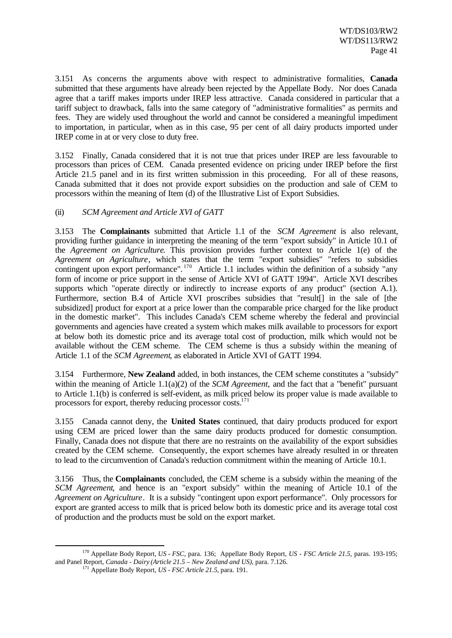3.151 As concerns the arguments above with respect to administrative formalities, **Canada** submitted that these arguments have already been rejected by the Appellate Body. Nor does Canada agree that a tariff makes imports under IREP less attractive. Canada considered in particular that a tariff subject to drawback, falls into the same category of "administrative formalities" as permits and fees. They are widely used throughout the world and cannot be considered a meaningful impediment to importation, in particular, when as in this case, 95 per cent of all dairy products imported under IREP come in at or very close to duty free.

3.152 Finally, Canada considered that it is not true that prices under IREP are less favourable to processors than prices of CEM. Canada presented evidence on pricing under IREP before the first Article 21.5 panel and in its first written submission in this proceeding. For all of these reasons, Canada submitted that it does not provide export subsidies on the production and sale of CEM to processors within the meaning of Item (d) of the Illustrative List of Export Subsidies.

## (ii) *SCM Agreement and Article XVI of GATT*

3.153 The **Complainants** submitted that Article 1.1 of the *SCM Agreement* is also relevant, providing further guidance in interpreting the meaning of the term "export subsidy" in Article 10.1 of the *Agreement on Agriculture*. This provision provides further context to Article 1(e) of the *Agreement on Agriculture*, which states that the term "export subsidies" "refers to subsidies contingent upon export performance".<sup>170</sup> Article 1.1 includes within the definition of a subsidy "any form of income or price support in the sense of Article XVI of GATT 1994". Article XVI describes supports which "operate directly or indirectly to increase exports of any product" (section A.1). Furthermore, section B.4 of Article XVI proscribes subsidies that "result[] in the sale of [the subsidized] product for export at a price lower than the comparable price charged for the like product in the domestic market". This includes Canada's CEM scheme whereby the federal and provincial governments and agencies have created a system which makes milk available to processors for export at below both its domestic price and its average total cost of production, milk which would not be available without the CEM scheme. The CEM scheme is thus a subsidy within the meaning of Article 1.1 of the *SCM Agreement*, as elaborated in Article XVI of GATT 1994.

3.154 Furthermore, **New Zealand** added, in both instances, the CEM scheme constitutes a "subsidy" within the meaning of Article 1.1(a)(2) of the *SCM Agreement,* and the fact that a "benefit" pursuant to Article 1.1(b) is conferred is self-evident, as milk priced below its proper value is made available to processors for export, thereby reducing processor costs.<sup>171</sup>

3.155 Canada cannot deny, the **United States** continued, that dairy products produced for export using CEM are priced lower than the same dairy products produced for domestic consumption. Finally, Canada does not dispute that there are no restraints on the availability of the export subsidies created by the CEM scheme. Consequently, the export schemes have already resulted in or threaten to lead to the circumvention of Canada's reduction commitment within the meaning of Article 10.1.

3.156 Thus, the **Complainants** concluded, the CEM scheme is a subsidy within the meaning of the *SCM Agreement*, and hence is an "export subsidy" within the meaning of Article 10.1 of the *Agreement on Agriculture*. It is a subsidy "contingent upon export performance". Only processors for export are granted access to milk that is priced below both its domestic price and its average total cost of production and the products must be sold on the export market.

<sup>170</sup> Appellate Body Report, *US - FSC*, para. 136; Appellate Body Report, *US - FSC Article 21.5*, paras. 193-195; and Panel Report, *Canada - Dairy (Article 21.5 – New Zealand and US)*, para. 7.126.

<sup>171</sup> Appellate Body Report, *US - FSC Article 21.5*, para. 191.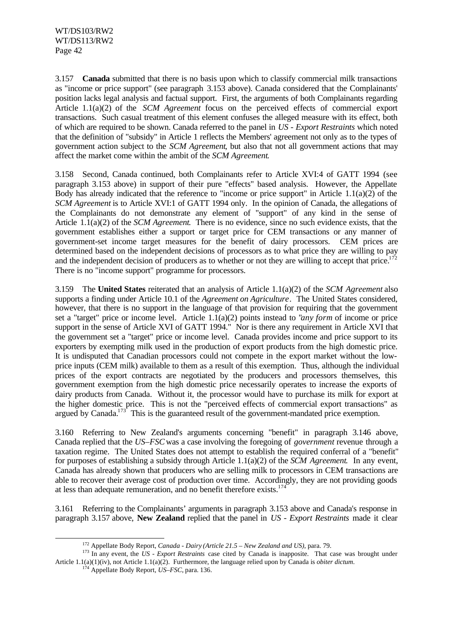3.157 **Canada** submitted that there is no basis upon which to classify commercial milk transactions as "income or price support" (see paragraph 3.153 above). Canada considered that the Complainants' position lacks legal analysis and factual support. First, the arguments of both Complainants regarding Article 1.1(a)(2) of the *SCM Agreement* focus on the perceived effects of commercial export transactions. Such casual treatment of this element confuses the alleged measure with its effect, both of which are required to be shown. Canada referred to the panel in *US - Export Restraints* which noted that the definition of "subsidy" in Article 1 reflects the Members' agreement not only as to the types of government action subject to the *SCM Agreement*, but also that not all government actions that may affect the market come within the ambit of the *SCM Agreement*.

3.158 Second, Canada continued, both Complainants refer to Article XVI:4 of GATT 1994 (see paragraph 3.153 above) in support of their pure "effects" based analysis. However, the Appellate Body has already indicated that the reference to "income or price support" in Article  $1.1(a)(2)$  of the *SCM Agreement* is to Article XVI:1 of GATT 1994 only. In the opinion of Canada, the allegations of the Complainants do not demonstrate any element of "support" of any kind in the sense of Article 1.1(a)(2) of the *SCM Agreement*. There is no evidence, since no such evidence exists, that the government establishes either a support or target price for CEM transactions or any manner of government-set income target measures for the benefit of dairy processors. CEM prices are determined based on the independent decisions of processors as to what price they are willing to pay and the independent decision of producers as to whether or not they are willing to accept that price.<sup>172</sup> There is no "income support" programme for processors.

3.159 The **United States** reiterated that an analysis of Article 1.1(a)(2) of the *SCM Agreement* also supports a finding under Article 10.1 of the *Agreement on Agriculture*. The United States considered, however, that there is no support in the language of that provision for requiring that the government set a "target" price or income level. Article 1.1(a)(2) points instead to "*any form* of income or price support in the sense of Article XVI of GATT 1994." Nor is there any requirement in Article XVI that the government set a "target" price or income level. Canada provides income and price support to its exporters by exempting milk used in the production of export products from the high domestic price. It is undisputed that Canadian processors could not compete in the export market without the lowprice inputs (CEM milk) available to them as a result of this exemption. Thus, although the individual prices of the export contracts are negotiated by the producers and processors themselves, this government exemption from the high domestic price necessarily operates to increase the exports of dairy products from Canada. Without it, the processor would have to purchase its milk for export at the higher domestic price. This is not the "perceived effects of commercial export transactions" as argued by Canada.<sup>173</sup> This is the guaranteed result of the government-mandated price exemption.

3.160 Referring to New Zealand's arguments concerning "benefit" in paragraph 3.146 above, Canada replied that the *US–FSC* was a case involving the foregoing of *government* revenue through a taxation regime. The United States does not attempt to establish the required conferral of a "benefit" for purposes of establishing a subsidy through Article 1.1(a)(2) of the *SCM Agreement*. In any event, Canada has already shown that producers who are selling milk to processors in CEM transactions are able to recover their average cost of production over time. Accordingly, they are not providing goods at less than adequate remuneration, and no benefit therefore exists.<sup>174</sup>

3.161 Referring to the Complainants' arguments in paragraph 3.153 above and Canada's response in paragraph 3.157 above, **New Zealand** replied that the panel in *US - Export Restraints* made it clear

<sup>172</sup> Appellate Body Report, *Canada - Dairy (Article 21.5 – New Zealand and US)*, para. 79.

<sup>&</sup>lt;sup>173</sup> In any event, the US - Export Restraints case cited by Canada is inapposite. That case was brought under Article 1.1(a)(1)(iv), not Article 1.1(a)(2). Furthermore, the language relied upon by Canada is *obiter dictum*.

<sup>174</sup> Appellate Body Report, *US–FSC*, para. 136.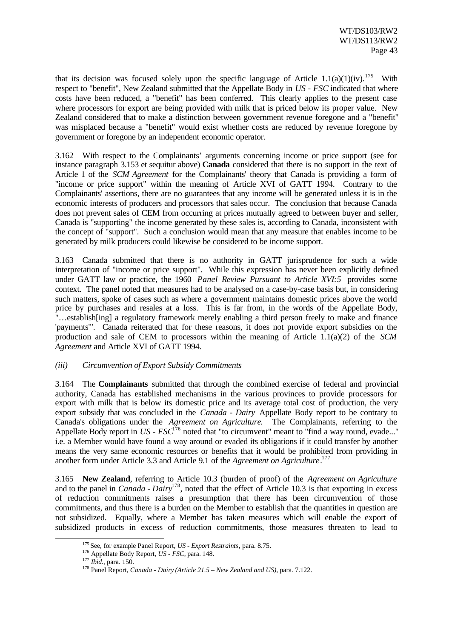that its decision was focused solely upon the specific language of Article 1.1(a)(1)(iv).<sup>175</sup> With respect to "benefit", New Zealand submitted that the Appellate Body in *US - FSC* indicated that where costs have been reduced, a "benefit" has been conferred. This clearly applies to the present case where processors for export are being provided with milk that is priced below its proper value. New Zealand considered that to make a distinction between government revenue foregone and a "benefit" was misplaced because a "benefit" would exist whether costs are reduced by revenue foregone by government or foregone by an independent economic operator.

3.162 With respect to the Complainants' arguments concerning income or price support (see for instance paragraph 3.153 et sequitur above) **Canada** considered that there is no support in the text of Article 1 of the *SCM Agreement* for the Complainants' theory that Canada is providing a form of "income or price support" within the meaning of Article XVI of GATT 1994. Contrary to the Complainants' assertions, there are no guarantees that any income will be generated unless it is in the economic interests of producers and processors that sales occur. The conclusion that because Canada does not prevent sales of CEM from occurring at prices mutually agreed to between buyer and seller, Canada is "supporting" the income generated by these sales is, according to Canada, inconsistent with the concept of "support". Such a conclusion would mean that any measure that enables income to be generated by milk producers could likewise be considered to be income support.

3.163 Canada submitted that there is no authority in GATT jurisprudence for such a wide interpretation of "income or price support". While this expression has never been explicitly defined under GATT law or practice, the 1960 *Panel Review Pursuant to Article XVI:5* provides some context. The panel noted that measures had to be analysed on a case-by-case basis but, in considering such matters, spoke of cases such as where a government maintains domestic prices above the world price by purchases and resales at a loss. This is far from, in the words of the Appellate Body, "…establish[ing] a regulatory framework merely enabling a third person freely to make and finance 'payments'". Canada reiterated that for these reasons, it does not provide export subsidies on the production and sale of CEM to processors within the meaning of Article 1.1(a)(2) of the *SCM Agreement* and Article XVI of GATT 1994.

#### *(iii) Circumvention of Export Subsidy Commitments*

3.164 The **Complainants** submitted that through the combined exercise of federal and provincial authority, Canada has established mechanisms in the various provinces to provide processors for export with milk that is below its domestic price and its average total cost of production, the very export subsidy that was concluded in the *Canada - Dairy* Appellate Body report to be contrary to Canada's obligations under the *Agreement on Agriculture*. The Complainants, referring to the Appellate Body report in *US - FSC*<sup>176</sup> noted that "to circumvent" meant to "find a way round, evade..." i.e. a Member would have found a way around or evaded its obligations if it could transfer by another means the very same economic resources or benefits that it would be prohibited from providing in another form under Article 3.3 and Article 9.1 of the *Agreement on Agriculture*. 177

3.165 **New Zealand**, referring to Article 10.3 (burden of proof) of the *Agreement on Agriculture* and to the panel in *Canada - Dairy*<sup>178</sup>, noted that the effect of Article 10.3 is that exporting in excess of reduction commitments raises a presumption that there has been circumvention of those commitments, and thus there is a burden on the Member to establish that the quantities in question are not subsidized. Equally, where a Member has taken measures which will enable the export of subsidized products in excess of reduction commitments, those measures threaten to lead to

<sup>175</sup> See, for example Panel Report, *US - Export Restraints*, para. 8.75.

<sup>176</sup> Appellate Body Report, *US - FSC*, para. 148.

<sup>177</sup> *Ibid.*, para. 150.

<sup>178</sup> Panel Report, *Canada - Dairy (Article 21.5 – New Zealand and US),* para*.* 7.122.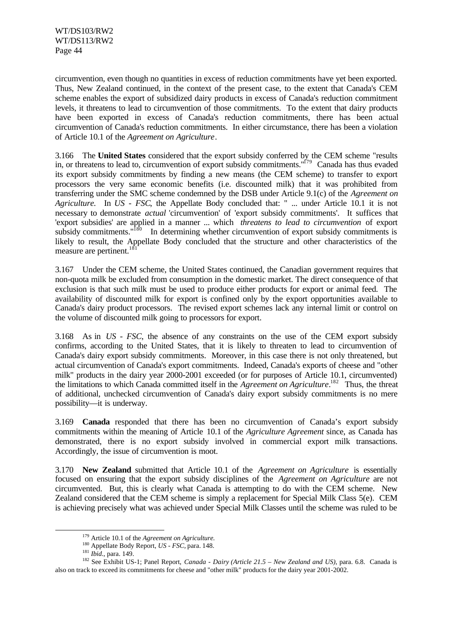circumvention, even though no quantities in excess of reduction commitments have yet been exported. Thus, New Zealand continued, in the context of the present case, to the extent that Canada's CEM scheme enables the export of subsidized dairy products in excess of Canada's reduction commitment levels, it threatens to lead to circumvention of those commitments. To the extent that dairy products have been exported in excess of Canada's reduction commitments, there has been actual circumvention of Canada's reduction commitments. In either circumstance, there has been a violation of Article 10.1 of the *Agreement on Agriculture*.

3.166 The **United States** considered that the export subsidy conferred by the CEM scheme "results in, or threatens to lead to, circumvention of export subsidy commitments."<sup>179</sup> Canada has thus evaded its export subsidy commitments by finding a new means (the CEM scheme) to transfer to export processors the very same economic benefits (i.e. discounted milk) that it was prohibited from transferring under the SMC scheme condemned by the DSB under Article 9.1(c) of the *Agreement on Agriculture.* In *US - FSC*, the Appellate Body concluded that: " ... under Article 10.1 it is not necessary to demonstrate *actual* 'circumvention' of 'export subsidy commitments'. It suffices that 'export subsidies' are applied in a manner ... which *threatens to lead to circumvention* of export In determining whether circumvention of export subsidy commitments is likely to result, the Appellate Body concluded that the structure and other characteristics of the measure are pertinent.<sup>181</sup>

3.167 Under the CEM scheme, the United States continued, the Canadian government requires that non-quota milk be excluded from consumption in the domestic market. The direct consequence of that exclusion is that such milk must be used to produce either products for export or animal feed. The availability of discounted milk for export is confined only by the export opportunities available to Canada's dairy product processors. The revised export schemes lack any internal limit or control on the volume of discounted milk going to processors for export.

3.168 As in *US - FSC*, the absence of any constraints on the use of the CEM export subsidy confirms, according to the United States, that it is likely to threaten to lead to circumvention of Canada's dairy export subsidy commitments. Moreover, in this case there is not only threatened, but actual circumvention of Canada's export commitments. Indeed, Canada's exports of cheese and "other milk" products in the dairy year 2000-2001 exceeded (or for purposes of Article 10.1, circumvented) the limitations to which Canada committed itself in the *Agreement on Agriculture*. <sup>182</sup> Thus, the threat of additional, unchecked circumvention of Canada's dairy export subsidy commitments is no mere possibility—it is underway.

3.169 **Canada** responded that there has been no circumvention of Canada's export subsidy commitments within the meaning of Article 10.1 of the *Agriculture Agreement* since, as Canada has demonstrated, there is no export subsidy involved in commercial export milk transactions. Accordingly, the issue of circumvention is moot.

3.170 **New Zealand** submitted that Article 10.1 of the *Agreement on Agriculture* is essentially focused on ensuring that the export subsidy disciplines of the *Agreement on Agriculture* are not circumvented. But, this is clearly what Canada is attempting to do with the CEM scheme. New Zealand considered that the CEM scheme is simply a replacement for Special Milk Class 5(e). CEM is achieving precisely what was achieved under Special Milk Classes until the scheme was ruled to be

<sup>179</sup> Article 10.1 of the *Agreement on Agriculture.*

<sup>180</sup> Appellate Body Report, *US - FSC,* para. 148.

<sup>181</sup> *Ibid*., para. 149.

<sup>182</sup> See Exhibit US-1; Panel Report, *Canada - Dairy (Article 21.5 – New Zealand and US)*, para. 6.8. Canada is also on track to exceed its commitments for cheese and "other milk" products for the dairy year 2001-2002.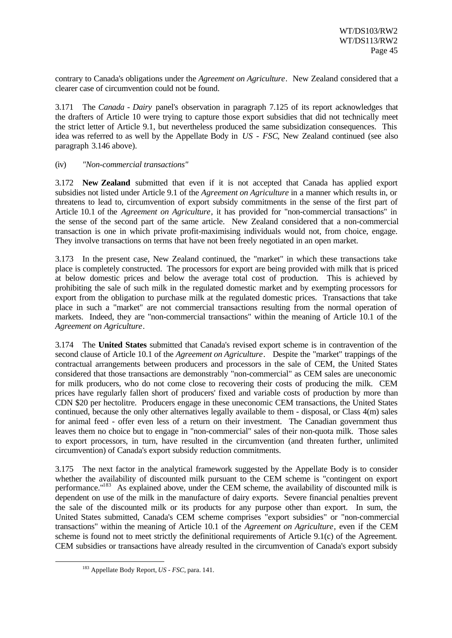contrary to Canada's obligations under the *Agreement on Agriculture*. New Zealand considered that a clearer case of circumvention could not be found.

3.171 The *Canada - Dairy* panel's observation in paragraph 7.125 of its report acknowledges that the drafters of Article 10 were trying to capture those export subsidies that did not technically meet the strict letter of Article 9.1, but nevertheless produced the same subsidization consequences. This idea was referred to as well by the Appellate Body in *US - FSC*, New Zealand continued (see also paragraph 3.146 above).

## (iv) *"Non-commercial transactions"*

3.172 **New Zealand** submitted that even if it is not accepted that Canada has applied export subsidies not listed under Article 9.1 of the *Agreement on Agriculture* in a manner which results in, or threatens to lead to, circumvention of export subsidy commitments in the sense of the first part of Article 10.1 of the *Agreement on Agriculture*, it has provided for "non-commercial transactions" in the sense of the second part of the same article. New Zealand considered that a non-commercial transaction is one in which private profit-maximising individuals would not, from choice, engage. They involve transactions on terms that have not been freely negotiated in an open market.

3.173 In the present case, New Zealand continued, the "market" in which these transactions take place is completely constructed. The processors for export are being provided with milk that is priced at below domestic prices and below the average total cost of production. This is achieved by prohibiting the sale of such milk in the regulated domestic market and by exempting processors for export from the obligation to purchase milk at the regulated domestic prices. Transactions that take place in such a "market" are not commercial transactions resulting from the normal operation of markets. Indeed, they are "non-commercial transactions" within the meaning of Article 10.1 of the *Agreement on Agriculture*.

3.174 The **United States** submitted that Canada's revised export scheme is in contravention of the second clause of Article 10.1 of the *Agreement on Agriculture*. Despite the "market" trappings of the contractual arrangements between producers and processors in the sale of CEM, the United States considered that those transactions are demonstrably "non-commercial" as CEM sales are uneconomic for milk producers, who do not come close to recovering their costs of producing the milk. CEM prices have regularly fallen short of producers' fixed and variable costs of production by more than CDN \$20 per hectolitre. Producers engage in these uneconomic CEM transactions, the United States continued, because the only other alternatives legally available to them - disposal, or Class 4(m) sales for animal feed - offer even less of a return on their investment. The Canadian government thus leaves them no choice but to engage in "non-commercial" sales of their non-quota milk. Those sales to export processors, in turn, have resulted in the circumvention (and threaten further, unlimited circumvention) of Canada's export subsidy reduction commitments.

3.175 The next factor in the analytical framework suggested by the Appellate Body is to consider whether the availability of discounted milk pursuant to the CEM scheme is "contingent on export performance."<sup>183</sup> As explained above, under the CEM scheme, the availability of discounted milk is dependent on use of the milk in the manufacture of dairy exports. Severe financial penalties prevent the sale of the discounted milk or its products for any purpose other than export. In sum, the United States submitted, Canada's CEM scheme comprises "export subsidies" or "non-commercial transactions" within the meaning of Article 10.1 of the *Agreement on Agriculture*, even if the CEM scheme is found not to meet strictly the definitional requirements of Article 9.1(c) of the Agreement*.* CEM subsidies or transactions have already resulted in the circumvention of Canada's export subsidy

<sup>183</sup> Appellate Body Report, *US - FSC*, para. 141.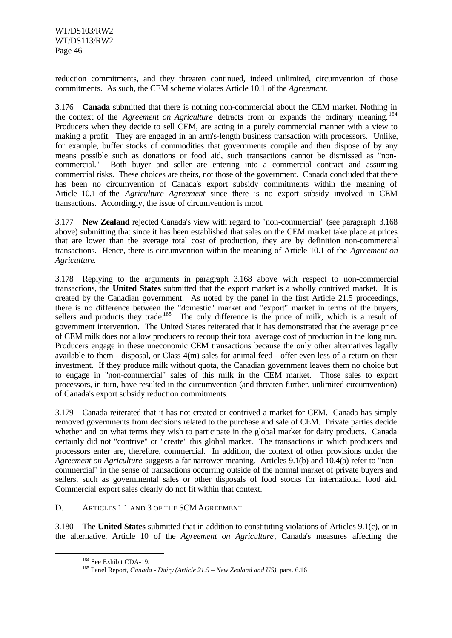WT/DS103/RW2 WT/DS113/RW2 Page 46

reduction commitments, and they threaten continued, indeed unlimited, circumvention of those commitments. As such, the CEM scheme violates Article 10.1 of the *Agreement*.

3.176 **Canada** submitted that there is nothing non-commercial about the CEM market. Nothing in the context of the *Agreement on Agriculture* detracts from or expands the ordinary meaning. Producers when they decide to sell CEM, are acting in a purely commercial manner with a view to making a profit. They are engaged in an arm's-length business transaction with processors. Unlike, for example, buffer stocks of commodities that governments compile and then dispose of by any means possible such as donations or food aid, such transactions cannot be dismissed as "noncommercial." Both buyer and seller are entering into a commercial contract and assuming commercial risks. These choices are theirs, not those of the government. Canada concluded that there has been no circumvention of Canada's export subsidy commitments within the meaning of Article 10.1 of the *Agriculture Agreement* since there is no export subsidy involved in CEM transactions. Accordingly, the issue of circumvention is moot.

3.177 **New Zealand** rejected Canada's view with regard to "non-commercial" (see paragraph 3.168 above) submitting that since it has been established that sales on the CEM market take place at prices that are lower than the average total cost of production, they are by definition non-commercial transactions. Hence, there is circumvention within the meaning of Article 10.1 of the *Agreement on Agriculture*.

3.178 Replying to the arguments in paragraph 3.168 above with respect to non-commercial transactions, the **United States** submitted that the export market is a wholly contrived market. It is created by the Canadian government. As noted by the panel in the first Article 21.5 proceedings, there is no difference between the "domestic" market and "export" market in terms of the buyers, sellers and products they trade.<sup>185</sup> The only difference is the price of milk, which is a result of government intervention. The United States reiterated that it has demonstrated that the average price of CEM milk does not allow producers to recoup their total average cost of production in the long run. Producers engage in these uneconomic CEM transactions because the only other alternatives legally available to them - disposal, or Class 4(m) sales for animal feed - offer even less of a return on their investment. If they produce milk without quota, the Canadian government leaves them no choice but to engage in "non-commercial" sales of this milk in the CEM market. Those sales to export processors, in turn, have resulted in the circumvention (and threaten further, unlimited circumvention) of Canada's export subsidy reduction commitments.

3.179 Canada reiterated that it has not created or contrived a market for CEM. Canada has simply removed governments from decisions related to the purchase and sale of CEM. Private parties decide whether and on what terms they wish to participate in the global market for dairy products. Canada certainly did not "contrive" or "create" this global market. The transactions in which producers and processors enter are, therefore, commercial. In addition, the context of other provisions under the *Agreement on Agriculture* suggests a far narrower meaning. Articles 9.1(b) and 10.4(a) refer to "noncommercial" in the sense of transactions occurring outside of the normal market of private buyers and sellers, such as governmental sales or other disposals of food stocks for international food aid. Commercial export sales clearly do not fit within that context.

#### D. ARTICLES 1.1 AND 3 OF THE SCM AGREEMENT

3.180 The **United States** submitted that in addition to constituting violations of Articles 9.1(c), or in the alternative, Article 10 of the *Agreement on Agriculture*, Canada's measures affecting the

<sup>184</sup> See Exhibit CDA-19.

<sup>185</sup> Panel Report, *Canada - Dairy (Article 21.5 – New Zealand and US)*, para. 6.16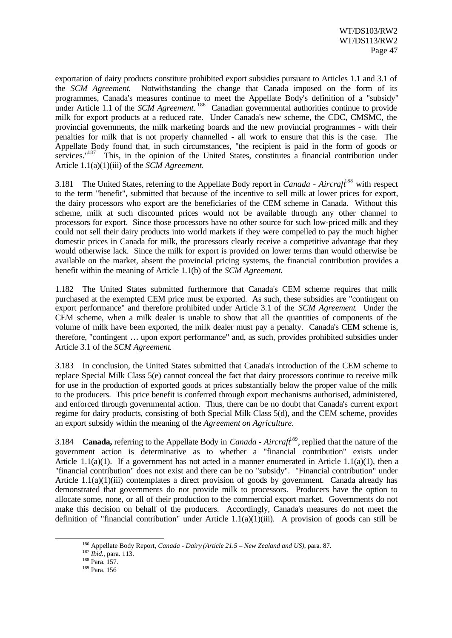exportation of dairy products constitute prohibited export subsidies pursuant to Articles 1.1 and 3.1 of the *SCM Agreement*. Notwithstanding the change that Canada imposed on the form of its programmes, Canada's measures continue to meet the Appellate Body's definition of a "subsidy" under Article 1.1 of the *SCM Agreement*.<sup>186</sup> Canadian governmental authorities continue to provide milk for export products at a reduced rate. Under Canada's new scheme, the CDC, CMSMC, the provincial governments, the milk marketing boards and the new provincial programmes - with their penalties for milk that is not properly channelled - all work to ensure that this is the case. The Appellate Body found that, in such circumstances, "the recipient is paid in the form of goods or services."<sup>187</sup> This, in the opinion of the United States, constitutes a financial contribution under Article 1.1(a)(1)(iii) of the *SCM Agreement*.

3.181 The United States, referring to the Appellate Body report in *Canada - Aircraft*<sup>188</sup> with respect to the term "benefit", submitted that because of the incentive to sell milk at lower prices for export, the dairy processors who export are the beneficiaries of the CEM scheme in Canada. Without this scheme, milk at such discounted prices would not be available through any other channel to processors for export. Since those processors have no other source for such low-priced milk and they could not sell their dairy products into world markets if they were compelled to pay the much higher domestic prices in Canada for milk, the processors clearly receive a competitive advantage that they would otherwise lack. Since the milk for export is provided on lower terms than would otherwise be available on the market, absent the provincial pricing systems, the financial contribution provides a benefit within the meaning of Article 1.1(b) of the *SCM Agreement*.

1.182 The United States submitted furthermore that Canada's CEM scheme requires that milk purchased at the exempted CEM price must be exported. As such, these subsidies are "contingent on export performance" and therefore prohibited under Article 3.1 of the *SCM Agreement*. Under the CEM scheme, when a milk dealer is unable to show that all the quantities of components of the volume of milk have been exported, the milk dealer must pay a penalty. Canada's CEM scheme is, therefore, "contingent … upon export performance" and, as such, provides prohibited subsidies under Article 3.1 of the *SCM Agreement*.

3.183 In conclusion, the United States submitted that Canada's introduction of the CEM scheme to replace Special Milk Class 5(e) cannot conceal the fact that dairy processors continue to receive milk for use in the production of exported goods at prices substantially below the proper value of the milk to the producers. This price benefit is conferred through export mechanisms authorised, administered, and enforced through governmental action. Thus, there can be no doubt that Canada's current export regime for dairy products, consisting of both Special Milk Class 5(d), and the CEM scheme, provides an export subsidy within the meaning of the *Agreement on Agriculture*.

3.184 Canada, referring to the Appellate Body in *Canada - Aircraft*<sup>189</sup>, replied that the nature of the government action is determinative as to whether a "financial contribution" exists under Article 1.1(a)(1). If a government has not acted in a manner enumerated in Article 1.1(a)(1), then a "financial contribution" does not exist and there can be no "subsidy". "Financial contribution" under Article  $1.1(a)(1)(iii)$  contemplates a direct provision of goods by government. Canada already has demonstrated that governments do not provide milk to processors. Producers have the option to allocate some, none, or all of their production to the commercial export market. Governments do not make this decision on behalf of the producers. Accordingly, Canada's measures do not meet the definition of "financial contribution" under Article  $1.1(a)(1)(iii)$ . A provision of goods can still be

<sup>186</sup> Appellate Body Report, *Canada - Dairy (Article 21.5 – New Zealand and US)*, para. 87.

<sup>187</sup> *Ibid.*, para. 113.

<sup>188</sup> Para. 157.

<sup>189</sup> Para. 156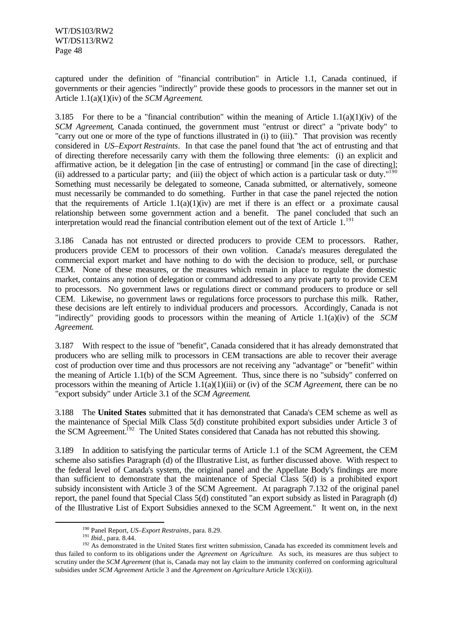WT/DS103/RW2 WT/DS113/RW2 Page 48

captured under the definition of "financial contribution" in Article 1.1, Canada continued, if governments or their agencies "indirectly" provide these goods to processors in the manner set out in Article 1.1(a)(1)(iv) of the *SCM Agreement*.

3.185 For there to be a "financial contribution" within the meaning of Article 1.1(a)(1)(iv) of the *SCM Agreement*, Canada continued, the government must "entrust or direct" a "private body" to "carry out one or more of the type of functions illustrated in (i) to (iii)." That provision was recently considered in *US–Export Restraints*. In that case the panel found that "the act of entrusting and that of directing therefore necessarily carry with them the following three elements: (i) an explicit and affirmative action, be it delegation [in the case of entrusting] or command [in the case of directing]; (ii) addressed to a particular party; and (iii) the object of which action is a particular task or duty."<sup>190</sup> Something must necessarily be delegated to someone, Canada submitted, or alternatively, someone must necessarily be commanded to do something. Further in that case the panel rejected the notion that the requirements of Article  $1.1(a)(1)(iv)$  are met if there is an effect or a proximate causal relationship between some government action and a benefit. The panel concluded that such an interpretation would read the financial contribution element out of the text of Article  $1.^{191}$ .

3.186 Canada has not entrusted or directed producers to provide CEM to processors. Rather, producers provide CEM to processors of their own volition. Canada's measures deregulated the commercial export market and have nothing to do with the decision to produce, sell, or purchase CEM. None of these measures, or the measures which remain in place to regulate the domestic market, contains any notion of delegation or command addressed to any private party to provide CEM to processors. No government laws or regulations direct or command producers to produce or sell CEM. Likewise, no government laws or regulations force processors to purchase this milk. Rather, these decisions are left entirely to individual producers and processors. Accordingly, Canada is not "indirectly" providing goods to processors within the meaning of Article 1.1(a)(iv) of the *SCM Agreement*.

3.187 With respect to the issue of "benefit", Canada considered that it has already demonstrated that producers who are selling milk to processors in CEM transactions are able to recover their average cost of production over time and thus processors are not receiving any "advantage" or "benefit" within the meaning of Article 1.1(b) of the SCM Agreement. Thus, since there is no "subsidy" conferred on processors within the meaning of Article 1.1(a)(1)(iii) or (iv) of the *SCM Agreement*, there can be no "export subsidy" under Article 3.1 of the *SCM Agreement*.

3.188 The **United States** submitted that it has demonstrated that Canada's CEM scheme as well as the maintenance of Special Milk Class 5(d) constitute prohibited export subsidies under Article 3 of the SCM Agreement.<sup>192</sup> The United States considered that Canada has not rebutted this showing.

3.189 In addition to satisfying the particular terms of Article 1.1 of the SCM Agreement, the CEM scheme also satisfies Paragraph (d) of the Illustrative List, as further discussed above. With respect to the federal level of Canada's system, the original panel and the Appellate Body's findings are more than sufficient to demonstrate that the maintenance of Special Class 5(d) is a prohibited export subsidy inconsistent with Article 3 of the SCM Agreement. At paragraph 7.132 of the original panel report, the panel found that Special Class 5(d) constituted "an export subsidy as listed in Paragraph (d) of the Illustrative List of Export Subsidies annexed to the SCM Agreement." It went on, in the next

<sup>190</sup> Panel Report, *US–Export Restraints*, para. 8.29.

<sup>191</sup> *Ibid.*, para. 8.44.

<sup>&</sup>lt;sup>192</sup> As demonstrated in the United States first written submission, Canada has exceeded its commitment levels and thus failed to conform to its obligations under the *Agreement on Agriculture*. As such, its measures are thus subject to scrutiny under the *SCM Agreement* (that is, Canada may not lay claim to the immunity conferred on conforming agricultural subsidies under *SCM Agreement* Article 3 and the *Agreement on Agriculture* Article 13(c)(ii)).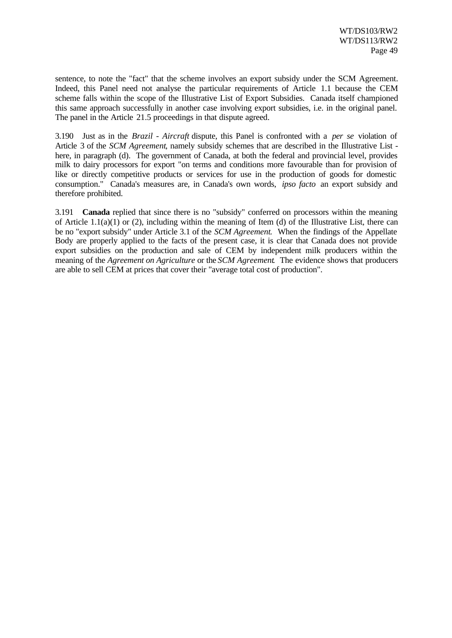sentence, to note the "fact" that the scheme involves an export subsidy under the SCM Agreement. Indeed, this Panel need not analyse the particular requirements of Article 1.1 because the CEM scheme falls within the scope of the Illustrative List of Export Subsidies. Canada itself championed this same approach successfully in another case involving export subsidies, i.e. in the original panel. The panel in the Article 21.5 proceedings in that dispute agreed.

3.190 Just as in the *Brazil - Aircraft* dispute, this Panel is confronted with a *per se* violation of Article 3 of the *SCM Agreement*, namely subsidy schemes that are described in the Illustrative List here, in paragraph (d). The government of Canada, at both the federal and provincial level, provides milk to dairy processors for export "on terms and conditions more favourable than for provision of like or directly competitive products or services for use in the production of goods for domestic consumption." Canada's measures are, in Canada's own words, *ipso facto* an export subsidy and therefore prohibited.

3.191 **Canada** replied that since there is no "subsidy" conferred on processors within the meaning of Article 1.1(a)(1) or (2), including within the meaning of Item (d) of the Illustrative List, there can be no "export subsidy" under Article 3.1 of the *SCM Agreement*. When the findings of the Appellate Body are properly applied to the facts of the present case, it is clear that Canada does not provide export subsidies on the production and sale of CEM by independent milk producers within the meaning of the *Agreement on Agriculture* or the *SCM Agreement*. The evidence shows that producers are able to sell CEM at prices that cover their "average total cost of production".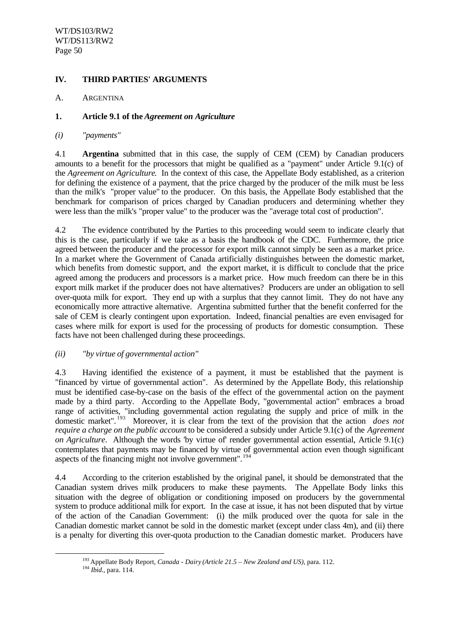## **IV. THIRD PARTIES' ARGUMENTS**

## A. ARGENTINA

## **1. Article 9.1 of the** *Agreement on Agriculture*

## *(i) "payments"*

4.1 **Argentina** submitted that in this case, the supply of CEM (CEM) by Canadian producers amounts to a benefit for the processors that might be qualified as a "payment" under Article 9.1(c) of the *Agreement on Agriculture*. In the context of this case, the Appellate Body established, as a criterion for defining the existence of a payment, that the price charged by the producer of the milk must be less than the milk's "proper value" to the producer.On this basis, the Appellate Body established that the benchmark for comparison of prices charged by Canadian producers and determining whether they were less than the milk's "proper value" to the producer was the "average total cost of production".

4.2 The evidence contributed by the Parties to this proceeding would seem to indicate clearly that this is the case, particularly if we take as a basis the handbook of the CDC. Furthermore, the price agreed between the producer and the processor for export milk cannot simply be seen as a market price. In a market where the Government of Canada artificially distinguishes between the domestic market, which benefits from domestic support, and the export market, it is difficult to conclude that the price agreed among the producers and processors is a market price. How much freedom can there be in this export milk market if the producer does not have alternatives? Producers are under an obligation to sell over-quota milk for export. They end up with a surplus that they cannot limit. They do not have any economically more attractive alternative. Argentina submitted further that the benefit conferred for the sale of CEM is clearly contingent upon exportation. Indeed, financial penalties are even envisaged for cases where milk for export is used for the processing of products for domestic consumption. These facts have not been challenged during these proceedings.

# *(ii) "by virtue of governmental action"*

4.3 Having identified the existence of a payment, it must be established that the payment is "financed by virtue of governmental action". As determined by the Appellate Body, this relationship must be identified case-by-case on the basis of the effect of the governmental action on the payment made by a third party. According to the Appellate Body, "governmental action" embraces a broad range of activities, "including governmental action regulating the supply and price of milk in the domestic market". <sup>193</sup> Moreover, it is clear from the text of the provision that the action *does not require a charge on the public account* to be considered a subsidy under Article 9.1(c) of the *Agreement on Agriculture*. Although the words 'by virtue of' render governmental action essential, Article 9.1(c) contemplates that payments may be financed by virtue of governmental action even though significant aspects of the financing might not involve government".<sup>194</sup>

4.4 According to the criterion established by the original panel, it should be demonstrated that the Canadian system drives milk producers to make these payments. The Appellate Body links this situation with the degree of obligation or conditioning imposed on producers by the governmental system to produce additional milk for export. In the case at issue, it has not been disputed that by virtue of the action of the Canadian Government: (i) the milk produced over the quota for sale in the Canadian domestic market cannot be sold in the domestic market (except under class 4m), and (ii) there is a penalty for diverting this over-quota production to the Canadian domestic market. Producers have

<sup>193</sup> Appellate Body Report, *Canada - Dairy (Article 21.5 – New Zealand and US)*, para. 112.

<sup>194</sup> *Ibid.*, para. 114.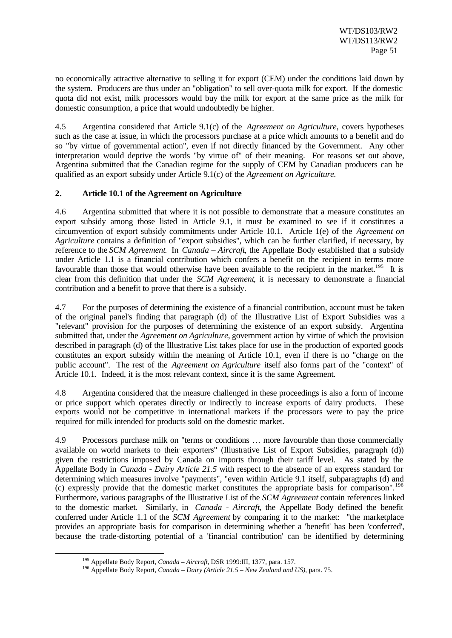no economically attractive alternative to selling it for export (CEM) under the conditions laid down by the system. Producers are thus under an "obligation" to sell over-quota milk for export. If the domestic quota did not exist, milk processors would buy the milk for export at the same price as the milk for domestic consumption, a price that would undoubtedly be higher.

4.5 Argentina considered that Article 9.1(c) of the *Agreement on Agriculture*, covers hypotheses such as the case at issue, in which the processors purchase at a price which amounts to a benefit and do so "by virtue of governmental action", even if not directly financed by the Government. Any other interpretation would deprive the words "by virtue of" of their meaning. For reasons set out above, Argentina submitted that the Canadian regime for the supply of CEM by Canadian producers can be qualified as an export subsidy under Article 9.1(c) of the *Agreement on Agriculture.*

# **2. Article 10.1 of the Agreement on Agriculture**

4.6 Argentina submitted that where it is not possible to demonstrate that a measure constitutes an export subsidy among those listed in Article 9.1, it must be examined to see if it constitutes a circumvention of export subsidy commitments under Article 10.1. Article 1(e) of the *Agreement on Agriculture* contains a definition of "export subsidies", which can be further clarified, if necessary, by reference to the *SCM Agreement*. In *Canada – Aircraft*, the Appellate Body established that a subsidy under Article 1.1 is a financial contribution which confers a benefit on the recipient in terms more favourable than those that would otherwise have been available to the recipient in the market.<sup>195</sup> It is clear from this definition that under the *SCM Agreement*, it is necessary to demonstrate a financial contribution and a benefit to prove that there is a subsidy.

4.7 For the purposes of determining the existence of a financial contribution, account must be taken of the original panel's finding that paragraph (d) of the Illustrative List of Export Subsidies was a "relevant" provision for the purposes of determining the existence of an export subsidy. Argentina submitted that, under the *Agreement on Agriculture*, government action by virtue of which the provision described in paragraph (d) of the Illustrative List takes place for use in the production of exported goods constitutes an export subsidy within the meaning of Article 10.1, even if there is no "charge on the public account". The rest of the *Agreement on Agriculture* itself also forms part of the "context" of Article 10.1. Indeed, it is the most relevant context, since it is the same Agreement.

4.8 Argentina considered that the measure challenged in these proceedings is also a form of income or price support which operates directly or indirectly to increase exports of dairy products. These exports would not be competitive in international markets if the processors were to pay the price required for milk intended for products sold on the domestic market.

4.9 Processors purchase milk on "terms or conditions … more favourable than those commercially available on world markets to their exporters" (Illustrative List of Export Subsidies, paragraph (d)) given the restrictions imposed by Canada on imports through their tariff level. As stated by the Appellate Body in *Canada - Dairy Article 21.5* with respect to the absence of an express standard for determining which measures involve "payments", "even within Article 9.1 itself, subparagraphs (d) and (c) expressly provide that the domestic market constitutes the appropriate basis for comparison".<sup>196</sup> Furthermore, various paragraphs of the Illustrative List of the *SCM Agreement* contain references linked to the domestic market. Similarly, in *Canada - Aircraft*, the Appellate Body defined the benefit conferred under Article 1.1 of the *SCM Agreement* by comparing it to the market: "the marketplace provides an appropriate basis for comparison in determining whether a 'benefit' has been 'conferred', because the trade-distorting potential of a 'financial contribution' can be identified by determining

<sup>195</sup> Appellate Body Report, *Canada – Aircraft,* DSR 1999:III, 1377, para. 157.

<sup>196</sup> Appellate Body Report, *Canada – Dairy (Article 21.5 – New Zealand and US)*, para. 75.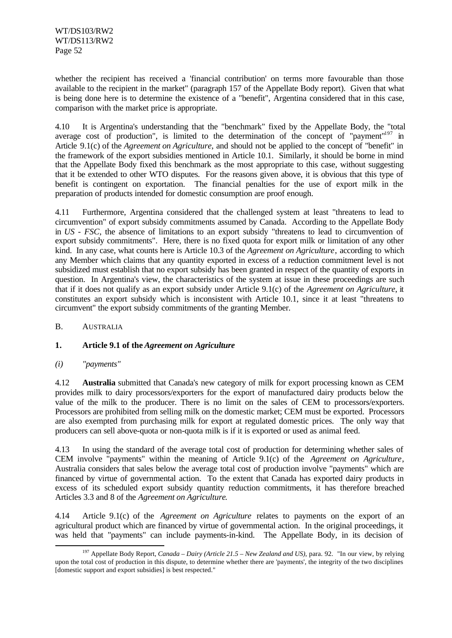whether the recipient has received a 'financial contribution' on terms more favourable than those available to the recipient in the market" (paragraph 157 of the Appellate Body report). Given that what is being done here is to determine the existence of a "benefit", Argentina considered that in this case, comparison with the market price is appropriate.

4.10 It is Argentina's understanding that the "benchmark" fixed by the Appellate Body, the "total average cost of production", is limited to the determination of the concept of "payment"<sup>197</sup> in Article 9.1(c) of the *Agreement on Agriculture*, and should not be applied to the concept of "benefit" in the framework of the export subsidies mentioned in Article 10.1. Similarly, it should be borne in mind that the Appellate Body fixed this benchmark as the most appropriate to this case, without suggesting that it be extended to other WTO disputes. For the reasons given above, it is obvious that this type of benefit is contingent on exportation. The financial penalties for the use of export milk in the preparation of products intended for domestic consumption are proof enough.

4.11 Furthermore, Argentina considered that the challenged system at least "threatens to lead to circumvention" of export subsidy commitments assumed by Canada. According to the Appellate Body in *US - FSC*, the absence of limitations to an export subsidy "threatens to lead to circumvention of export subsidy commitments". Here, there is no fixed quota for export milk or limitation of any other kind. In any case, what counts here is Article 10.3 of the *Agreement on Agriculture*, according to which any Member which claims that any quantity exported in excess of a reduction commitment level is not subsidized must establish that no export subsidy has been granted in respect of the quantity of exports in question. In Argentina's view, the characteristics of the system at issue in these proceedings are such that if it does not qualify as an export subsidy under Article 9.1(c) of the *Agreement on Agriculture*, it constitutes an export subsidy which is inconsistent with Article 10.1, since it at least "threatens to circumvent" the export subsidy commitments of the granting Member.

B. AUSTRALIA

# **1. Article 9.1 of the** *Agreement on Agriculture*

*(i) "payments"*

4.12 **Australia** submitted that Canada's new category of milk for export processing known as CEM provides milk to dairy processors/exporters for the export of manufactured dairy products below the value of the milk to the producer. There is no limit on the sales of CEM to processors/exporters. Processors are prohibited from selling milk on the domestic market; CEM must be exported. Processors are also exempted from purchasing milk for export at regulated domestic prices. The only way that producers can sell above-quota or non-quota milk is if it is exported or used as animal feed.

4.13 In using the standard of the average total cost of production for determining whether sales of CEM involve "payments" within the meaning of Article 9.1(c) of the *Agreement on Agriculture*, Australia considers that sales below the average total cost of production involve "payments" which are financed by virtue of governmental action. To the extent that Canada has exported dairy products in excess of its scheduled export subsidy quantity reduction commitments, it has therefore breached Articles 3.3 and 8 of the *Agreement on Agriculture*.

4.14 Article 9.1(c) of the *Agreement on Agriculture* relates to payments on the export of an agricultural product which are financed by virtue of governmental action. In the original proceedings, it was held that "payments" can include payments-in-kind. The Appellate Body, in its decision of l

<sup>197</sup> Appellate Body Report, *Canada – Dairy (Article 21.5 – New Zealand and US)*, para. 92. "In our view, by relying upon the total cost of production in this dispute, to determine whether there are 'payments', the integrity of the two disciplines [domestic support and export subsidies] is best respected."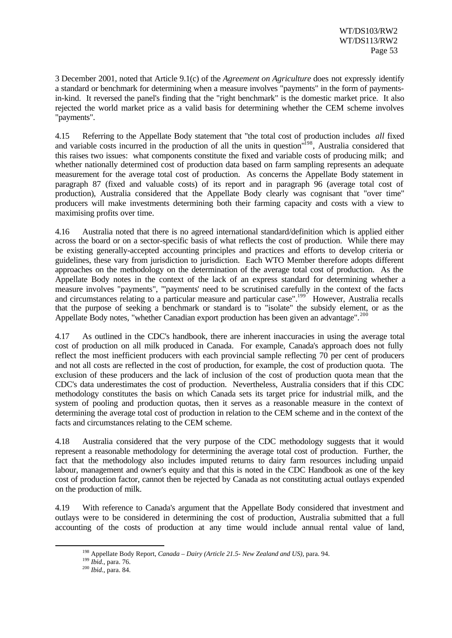3 December 2001, noted that Article 9.1(c) of the *Agreement on Agriculture* does not expressly identify a standard or benchmark for determining when a measure involves "payments" in the form of paymentsin-kind. It reversed the panel's finding that the "right benchmark" is the domestic market price. It also rejected the world market price as a valid basis for determining whether the CEM scheme involves "payments".

4.15 Referring to the Appellate Body statement that "the total cost of production includes *all* fixed and variable costs incurred in the production of all the units in question<sup>198</sup>, Australia considered that this raises two issues: what components constitute the fixed and variable costs of producing milk; and whether nationally determined cost of production data based on farm sampling represents an adequate measurement for the average total cost of production. As concerns the Appellate Body statement in paragraph 87 (fixed and valuable costs) of its report and in paragraph 96 (average total cost of production), Australia considered that the Appellate Body clearly was cognisant that "over time" producers will make investments determining both their farming capacity and costs with a view to maximising profits over time.

4.16 Australia noted that there is no agreed international standard/definition which is applied either across the board or on a sector-specific basis of what reflects the cost of production. While there may be existing generally-accepted accounting principles and practices and efforts to develop criteria or guidelines, these vary from jurisdiction to jurisdiction. Each WTO Member therefore adopts different approaches on the methodology on the determination of the average total cost of production. As the Appellate Body notes in the context of the lack of an express standard for determining whether a measure involves "payments", "'payments' need to be scrutinised carefully in the context of the facts and circumstances relating to a particular measure and particular case".<sup>199</sup> However, Australia recalls that the purpose of seeking a benchmark or standard is to "isolate" the subsidy element, or as the Appellate Body notes, "whether Canadian export production has been given an advantage".<sup>200</sup>

4.17 As outlined in the CDC's handbook, there are inherent inaccuracies in using the average total cost of production on all milk produced in Canada. For example, Canada's approach does not fully reflect the most inefficient producers with each provincial sample reflecting 70 per cent of producers and not all costs are reflected in the cost of production, for example, the cost of production quota. The exclusion of these producers and the lack of inclusion of the cost of production quota mean that the CDC's data underestimates the cost of production. Nevertheless, Australia considers that if this CDC methodology constitutes the basis on which Canada sets its target price for industrial milk, and the system of pooling and production quotas, then it serves as a reasonable measure in the context of determining the average total cost of production in relation to the CEM scheme and in the context of the facts and circumstances relating to the CEM scheme.

4.18 Australia considered that the very purpose of the CDC methodology suggests that it would represent a reasonable methodology for determining the average total cost of production. Further, the fact that the methodology also includes imputed returns to dairy farm resources including unpaid labour, management and owner's equity and that this is noted in the CDC Handbook as one of the key cost of production factor, cannot then be rejected by Canada as not constituting actual outlays expended on the production of milk.

4.19 With reference to Canada's argument that the Appellate Body considered that investment and outlays were to be considered in determining the cost of production, Australia submitted that a full accounting of the costs of production at any time would include annual rental value of land,

<sup>199</sup> *Ibid.*, para. 76.

<sup>198</sup> Appellate Body Report, *Canada – Dairy (Article 21.5- New Zealand and US)*, para. 94.

<sup>200</sup> *Ibid.*, para. 84.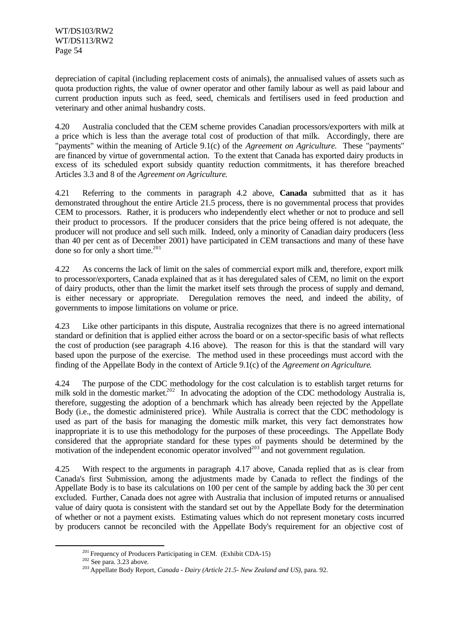depreciation of capital (including replacement costs of animals), the annualised values of assets such as quota production rights, the value of owner operator and other family labour as well as paid labour and current production inputs such as feed, seed, chemicals and fertilisers used in feed production and veterinary and other animal husbandry costs.

4.20 Australia concluded that the CEM scheme provides Canadian processors/exporters with milk at a price which is less than the average total cost of production of that milk. Accordingly, there are "payments" within the meaning of Article 9.1(c) of the *Agreement on Agriculture.* These "payments" are financed by virtue of governmental action. To the extent that Canada has exported dairy products in excess of its scheduled export subsidy quantity reduction commitments, it has therefore breached Articles 3.3 and 8 of the *Agreement on Agriculture*.

4.21 Referring to the comments in paragraph 4.2 above, **Canada** submitted that as it has demonstrated throughout the entire Article 21.5 process, there is no governmental process that provides CEM to processors. Rather, it is producers who independently elect whether or not to produce and sell their product to processors. If the producer considers that the price being offered is not adequate, the producer will not produce and sell such milk. Indeed, only a minority of Canadian dairy producers (less than 40 per cent as of December 2001) have participated in CEM transactions and many of these have done so for only a short time.<sup>201</sup>

4.22 As concerns the lack of limit on the sales of commercial export milk and, therefore, export milk to processor/exporters, Canada explained that as it has deregulated sales of CEM, no limit on the export of dairy products, other than the limit the market itself sets through the process of supply and demand, is either necessary or appropriate. Deregulation removes the need, and indeed the ability, of governments to impose limitations on volume or price.

4.23 Like other participants in this dispute, Australia recognizes that there is no agreed international standard or definition that is applied either across the board or on a sector-specific basis of what reflects the cost of production (see paragraph 4.16 above). The reason for this is that the standard will vary based upon the purpose of the exercise. The method used in these proceedings must accord with the finding of the Appellate Body in the context of Article 9.1(c) of the *Agreement on Agriculture*.

4.24 The purpose of the CDC methodology for the cost calculation is to establish target returns for milk sold in the domestic market.<sup>202</sup> In advocating the adoption of the CDC methodology Australia is, therefore, suggesting the adoption of a benchmark which has already been rejected by the Appellate Body (i.e., the domestic administered price). While Australia is correct that the CDC methodology is used as part of the basis for managing the domestic milk market, this very fact demonstrates how inappropriate it is to use this methodology for the purposes of these proceedings. The Appellate Body considered that the appropriate standard for these types of payments should be determined by the motivation of the independent economic operator involved<sup>203</sup> and not government regulation.

4.25 With respect to the arguments in paragraph 4.17 above, Canada replied that as is clear from Canada's first Submission, among the adjustments made by Canada to reflect the findings of the Appellate Body is to base its calculations on 100 per cent of the sample by adding back the 30 per cent excluded. Further, Canada does not agree with Australia that inclusion of imputed returns or annualised value of dairy quota is consistent with the standard set out by the Appellate Body for the determination of whether or not a payment exists. Estimating values which do not represent monetary costs incurred by producers cannot be reconciled with the Appellate Body's requirement for an objective cost of

<sup>201</sup> Frequency of Producers Participating in CEM. (Exhibit CDA-15)

 $202$  See para. 3.23 above.

<sup>203</sup> Appellate Body Report, *Canada - Dairy (Article 21.5- New Zealand and US)*, para. 92.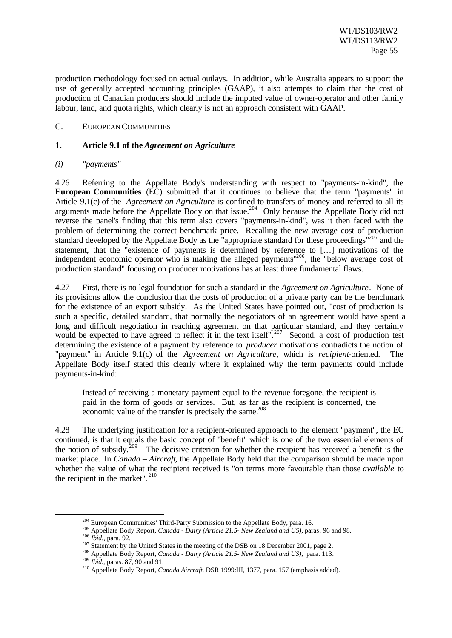production methodology focused on actual outlays. In addition, while Australia appears to support the use of generally accepted accounting principles (GAAP), it also attempts to claim that the cost of production of Canadian producers should include the imputed value of owner-operator and other family labour, land, and quota rights, which clearly is not an approach consistent with GAAP.

## C. EUROPEAN COMMUNITIES

## **1. Article 9.1 of the** *Agreement on Agriculture*

#### *(i) "payments"*

4.26 Referring to the Appellate Body's understanding with respect to "payments-in-kind", the **European Communities** (EC) submitted that it continues to believe that the term "payments" in Article 9.1(c) of the *Agreement on Agriculture* is confined to transfers of money and referred to all its arguments made before the Appellate Body on that issue.<sup>204</sup> Only because the Appellate Body did not reverse the panel's finding that this term also covers "payments-in-kind", was it then faced with the problem of determining the correct benchmark price. Recalling the new average cost of production standard developed by the Appellate Body as the "appropriate standard for these proceedings"<sup>205</sup> and the statement, that the "existence of payments is determined by reference to […] motivations of the independent economic operator who is making the alleged payments"<sup>206</sup>, the "below average cost of production standard" focusing on producer motivations has at least three fundamental flaws.

4.27 First, there is no legal foundation for such a standard in the *Agreement on Agriculture*. None of its provisions allow the conclusion that the costs of production of a private party can be the benchmark for the existence of an export subsidy. As the United States have pointed out, "cost of production is such a specific, detailed standard, that normally the negotiators of an agreement would have spent a long and difficult negotiation in reaching agreement on that particular standard, and they certainly would be expected to have agreed to reflect it in the text itself".<sup>207</sup> Second, a cost of production test determining the existence of a payment by reference to *producer* motivations contradicts the notion of "payment" in Article 9.1(c) of the *Agreement on Agriculture*, which is *recipient*-oriented. The Appellate Body itself stated this clearly where it explained why the term payments could include payments-in-kind:

Instead of receiving a monetary payment equal to the revenue foregone, the recipient is paid in the form of goods or services. But, as far as the recipient is concerned, the economic value of the transfer is precisely the same.<sup>208</sup>

4.28 The underlying justification for a recipient-oriented approach to the element "payment", the EC continued, is that it equals the basic concept of "benefit" which is one of the two essential elements of the notion of subsidy.<sup>209</sup> The decisive criterion for whether the recipient has received a benefit is the market place. In *Canada – Aircraft*, the Appellate Body held that the comparison should be made upon whether the value of what the recipient received is "on terms more favourable than those *available* to the recipient in the market". <sup>210</sup>

<sup>&</sup>lt;sup>204</sup> European Communities' Third-Party Submission to the Appellate Body, para. 16.

<sup>205</sup> Appellate Body Report, *Canada - Dairy (Article 21.5- New Zealand and US),* paras*.* 96 and 98. <sup>206</sup> *Ibid*., para. 92.

<sup>&</sup>lt;sup>207</sup> Statement by the United States in the meeting of the DSB on 18 December 2001, page 2.

<sup>208</sup> Appellate Body Report, *Canada - Dairy (Article 21.5- New Zealand and US)*, para. 113.

<sup>209</sup> *Ibid.*, paras. 87, 90 and 91.

<sup>210</sup> Appellate Body Report, *Canada Aircraft,* DSR 1999:III, 1377, para. 157 (emphasis added).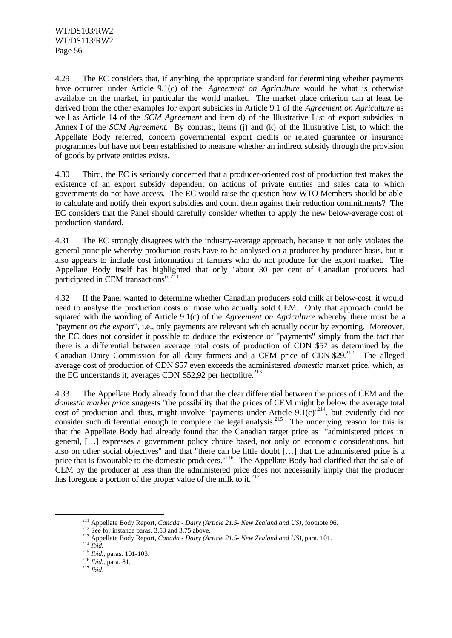4.29 The EC considers that, if anything, the appropriate standard for determining whether payments have occurred under Article 9.1(c) of the *Agreement on Agriculture* would be what is otherwise available on the market, in particular the world market. The market place criterion can at least be derived from the other examples for export subsidies in Article 9.1 of the *Agreement on Agriculture* as well as Article 14 of the *SCM Agreement* and item d) of the Illustrative List of export subsidies in Annex I of the *SCM Agreement*. By contrast, items (j) and (k) of the Illustrative List, to which the Appellate Body referred, concern governmental export credits or related guarantee or insurance programmes but have not been established to measure whether an indirect subsidy through the provision of goods by private entities exists.

4.30 Third, the EC is seriously concerned that a producer-oriented cost of production test makes the existence of an export subsidy dependent on actions of private entities and sales data to which governments do not have access. The EC would raise the question how WTO Members should be able to calculate and notify their export subsidies and count them against their reduction commitments? The EC considers that the Panel should carefully consider whether to apply the new below-average cost of production standard.

4.31 The EC strongly disagrees with the industry-average approach, because it not only violates the general principle whereby production costs have to be analysed on a producer-by-producer basis, but it also appears to include cost information of farmers who do not produce for the export market. The Appellate Body itself has highlighted that only "about 30 per cent of Canadian producers had participated in CEM transactions".<sup>211</sup>

4.32 If the Panel wanted to determine whether Canadian producers sold milk at below-cost, it would need to analyse the production costs of those who actually sold CEM. Only that approach could be squared with the wording of Article 9.1(c) of the *Agreement on Agriculture* whereby there must be a "payment *on the export*", i.e., only payments are relevant which actually occur by exporting. Moreover, the EC does not consider it possible to deduce the existence of "payments" simply from the fact that there is a differential between average total costs of production of CDN \$57 as determined by the Canadian Dairy Commission for all dairy farmers and a CEM price of CDN \$29.<sup>212</sup> The alleged average cost of production of CDN \$57 even exceeds the administered *domestic* market price, which, as the EC understands it, averages CDN  $$52.92$  per hectolitre.<sup>213</sup>

4.33 The Appellate Body already found that the clear differential between the prices of CEM and the *domestic market price* suggests "the possibility that the prices of CEM might be below the average total cost of production and, thus, might involve "payments under Article  $9.1(c)^{n^2}$ ", but evidently did not consider such differential enough to complete the legal analysis.<sup>215</sup> The underlying reason for this is that the Appellate Body had already found that the Canadian target price as "administered prices in general, […] expresses a government policy choice based, not only on economic considerations, but also on other social objectives" and that "there can be little doubt […] that the administered price is a price that is favourable to the domestic producers."<sup>216</sup> The Appellate Body had clarified that the sale of CEM by the producer at less than the administered price does not necessarily imply that the producer has foregone a portion of the proper value of the milk to it. $^{217}$ 

<sup>211</sup> Appellate Body Report, *Canada - Dairy (Article 21.5- New Zealand and US)*, footnote 96.

 $212$  See for instance paras. 3.53 and 3.75 above.

<sup>213</sup> Appellate Body Report, *Canada - Dairy (Article 21.5- New Zealand and US)*, para. 101*.*

<sup>214</sup> *Ibid*.

<sup>215</sup> *Ibid*., paras. 101-103.

<sup>216</sup> *Ibid*., para. 81.

<sup>217</sup> *Ibid*.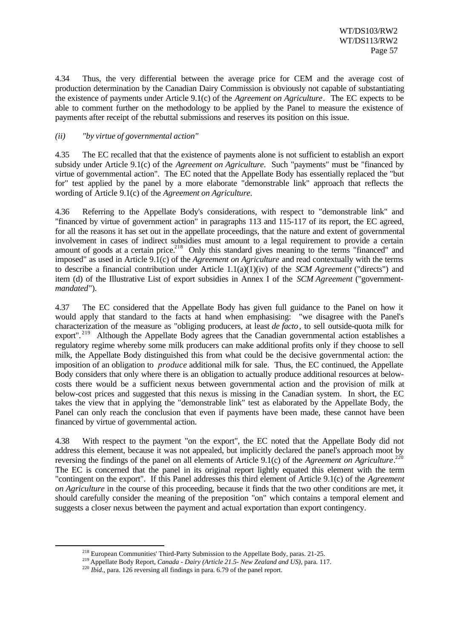4.34 Thus, the very differential between the average price for CEM and the average cost of production determination by the Canadian Dairy Commission is obviously not capable of substantiating the existence of payments under Article 9.1(c) of the *Agreement on Agriculture*. The EC expects to be able to comment further on the methodology to be applied by the Panel to measure the existence of payments after receipt of the rebuttal submissions and reserves its position on this issue.

## *(ii) "by virtue of governmental action"*

4.35 The EC recalled that that the existence of payments alone is not sufficient to establish an export subsidy under Article 9.1(c) of the *Agreement on Agriculture*. Such "payments" must be "financed by virtue of governmental action". The EC noted that the Appellate Body has essentially replaced the "but for" test applied by the panel by a more elaborate "demonstrable link" approach that reflects the wording of Article 9.1(c) of the *Agreement on Agriculture*.

4.36 Referring to the Appellate Body's considerations, with respect to "demonstrable link" and "financed by virtue of government action" in paragraphs 113 and 115-117 of its report, the EC agreed, for all the reasons it has set out in the appellate proceedings, that the nature and extent of governmental involvement in cases of indirect subsidies must amount to a legal requirement to provide a certain amount of goods at a certain price.<sup>218</sup> Only this standard gives meaning to the terms "financed" and imposed" as used in Article 9.1(c) of the *Agreement on Agriculture* and read contextually with the terms to describe a financial contribution under Article 1.1(a)(1)(iv) of the *SCM Agreement* ("directs") and item (d) of the Illustrative List of export subsidies in Annex I of the *SCM Agreement* ("government*mandated*").

4.37 The EC considered that the Appellate Body has given full guidance to the Panel on how it would apply that standard to the facts at hand when emphasising: "we disagree with the Panel's characterization of the measure as "obliging producers, at least *de facto*, to sell outside-quota milk for export".<sup>219</sup> Although the Appellate Body agrees that the Canadian governmental action establishes a regulatory regime whereby some milk producers can make additional profits only if they choose to sell milk, the Appellate Body distinguished this from what could be the decisive governmental action: the imposition of an obligation to *produce* additional milk for sale. Thus, the EC continued, the Appellate Body considers that only where there is an obligation to actually produce additional resources at belowcosts there would be a sufficient nexus between governmental action and the provision of milk at below-cost prices and suggested that this nexus is missing in the Canadian system. In short, the EC takes the view that in applying the "demonstrable link" test as elaborated by the Appellate Body, the Panel can only reach the conclusion that even if payments have been made, these cannot have been financed by virtue of governmental action.

4.38 With respect to the payment "on the export", the EC noted that the Appellate Body did not address this element, because it was not appealed, but implicitly declared the panel's approach moot by reversing the findings of the panel on all elements of Article 9.1(c) of the *Agreement on Agriculture*.<sup>220</sup> The EC is concerned that the panel in its original report lightly equated this element with the term "contingent on the export". If this Panel addresses this third element of Article 9.1(c) of the *Agreement on Agriculture* in the course of this proceeding, because it finds that the two other conditions are met, it should carefully consider the meaning of the preposition "on" which contains a temporal element and suggests a closer nexus between the payment and actual exportation than export contingency.

<sup>218</sup> European Communities' Third-Party Submission to the Appellate Body, paras. 21-25.

<sup>219</sup> Appellate Body Report, *Canada - Dairy (Article 21.5- New Zealand and US)*, para*.* 117.

<sup>&</sup>lt;sup>220</sup> *Ibid.*, para. 126 reversing all findings in para. 6.79 of the panel report.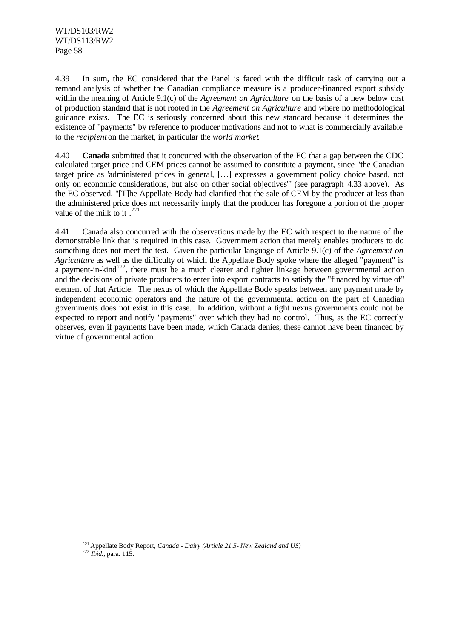4.39 In sum, the EC considered that the Panel is faced with the difficult task of carrying out a remand analysis of whether the Canadian compliance measure is a producer-financed export subsidy within the meaning of Article 9.1(c) of the *Agreement on Agriculture* on the basis of a new below cost of production standard that is not rooted in the *Agreement on Agriculture* and where no methodological guidance exists. The EC is seriously concerned about this new standard because it determines the existence of "payments" by reference to producer motivations and not to what is commercially available to the *recipient* on the market, in particular the *world market*.

4.40 **Canada** submitted that it concurred with the observation of the EC that a gap between the CDC calculated target price and CEM prices cannot be assumed to constitute a payment, since "the Canadian target price as 'administered prices in general, […] expresses a government policy choice based, not only on economic considerations, but also on other social objectives'" (see paragraph 4.33 above). As the EC observed, "[T]he Appellate Body had clarified that the sale of CEM by the producer at less than the administered price does not necessarily imply that the producer has foregone a portion of the proper value of the milk to it".<sup>221</sup>

4.41 Canada also concurred with the observations made by the EC with respect to the nature of the demonstrable link that is required in this case. Government action that merely enables producers to do something does not meet the test. Given the particular language of Article 9.1(c) of the *Agreement on Agriculture* as well as the difficulty of which the Appellate Body spoke where the alleged "payment" is a payment-in-kind<sup>222</sup>, there must be a much clearer and tighter linkage between governmental action and the decisions of private producers to enter into export contracts to satisfy the "financed by virtue of" element of that Article. The nexus of which the Appellate Body speaks between any payment made by independent economic operators and the nature of the governmental action on the part of Canadian governments does not exist in this case. In addition, without a tight nexus governments could not be expected to report and notify "payments" over which they had no control. Thus, as the EC correctly observes, even if payments have been made, which Canada denies, these cannot have been financed by virtue of governmental action.

<sup>221</sup> Appellate Body Report, *Canada - Dairy (Article 21.5- New Zealand and US)*

<sup>222</sup> *Ibid.,* para. 115.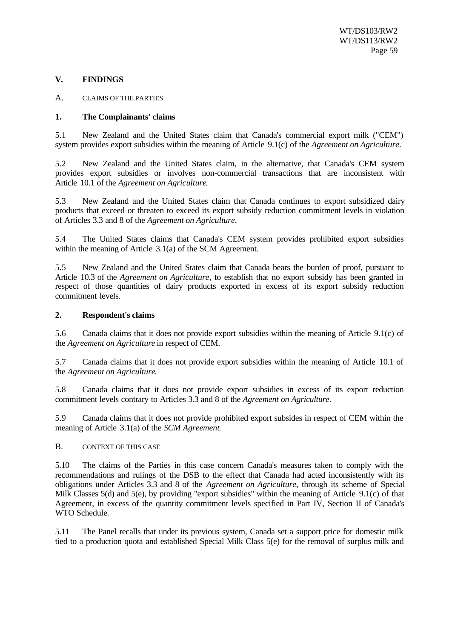## **V. FINDINGS**

A. CLAIMS OF THE PARTIES

## **1. The Complainants' claims**

5.1 New Zealand and the United States claim that Canada's commercial export milk ("CEM") system provides export subsidies within the meaning of Article 9.1(c) of the *Agreement on Agriculture*.

5.2 New Zealand and the United States claim, in the alternative, that Canada's CEM system provides export subsidies or involves non-commercial transactions that are inconsistent with Article 10.1 of the *Agreement on Agriculture*.

5.3 New Zealand and the United States claim that Canada continues to export subsidized dairy products that exceed or threaten to exceed its export subsidy reduction commitment levels in violation of Articles 3.3 and 8 of the *Agreement on Agriculture*.

5.4 The United States claims that Canada's CEM system provides prohibited export subsidies within the meaning of Article 3.1(a) of the SCM Agreement.

5.5 New Zealand and the United States claim that Canada bears the burden of proof, pursuant to Article 10.3 of the *Agreement on Agriculture*, to establish that no export subsidy has been granted in respect of those quantities of dairy products exported in excess of its export subsidy reduction commitment levels.

#### **2. Respondent's claims**

5.6 Canada claims that it does not provide export subsidies within the meaning of Article 9.1(c) of the *Agreement on Agriculture* in respect of CEM.

5.7 Canada claims that it does not provide export subsidies within the meaning of Article 10.1 of the *Agreement on Agriculture*.

5.8 Canada claims that it does not provide export subsidies in excess of its export reduction commitment levels contrary to Articles 3.3 and 8 of the *Agreement on Agriculture*.

5.9 Canada claims that it does not provide prohibited export subsides in respect of CEM within the meaning of Article 3.1(a) of the *SCM Agreement*.

#### B. CONTEXT OF THIS CASE

5.10 The claims of the Parties in this case concern Canada's measures taken to comply with the recommendations and rulings of the DSB to the effect that Canada had acted inconsistently with its obligations under Articles 3.3 and 8 of the *Agreement on Agriculture*, through its scheme of Special Milk Classes 5(d) and 5(e), by providing "export subsidies" within the meaning of Article 9.1(c) of that Agreement, in excess of the quantity commitment levels specified in Part IV, Section II of Canada's WTO Schedule.

5.11 The Panel recalls that under its previous system, Canada set a support price for domestic milk tied to a production quota and established Special Milk Class 5(e) for the removal of surplus milk and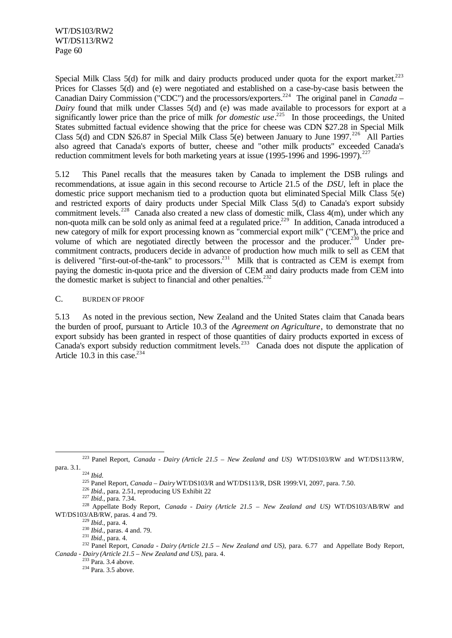WT/DS103/RW2 WT/DS113/RW2 Page 60

Special Milk Class 5(d) for milk and dairy products produced under quota for the export market.<sup>223</sup> Prices for Classes 5(d) and (e) were negotiated and established on a case-by-case basis between the Canadian Dairy Commission ("CDC") and the processors/exporters.<sup>224</sup> The original panel in *Canada – Dairy* found that milk under Classes 5(d) and (e) was made available to processors for export at a significantly lower price than the price of milk *for domestic use*. <sup>225</sup> In those proceedings, the United States submitted factual evidence showing that the price for cheese was CDN \$27.28 in Special Milk Class 5(d) and CDN \$26.87 in Special Milk Class  $\bar{5}$ (e) between January to June 1997.<sup>226</sup> All Parties also agreed that Canada's exports of butter, cheese and "other milk products" exceeded Canada's reduction commitment levels for both marketing years at issue (1995-1996 and 1996-1997).<sup>227</sup>

5.12 This Panel recalls that the measures taken by Canada to implement the DSB rulings and recommendations, at issue again in this second recourse to Article 21.5 of the *DSU*, left in place the domestic price support mechanism tied to a production quota but eliminated Special Milk Class 5(e) and restricted exports of dairy products under Special Milk Class 5(d) to Canada's export subsidy commitment levels.<sup>228</sup> Canada also created a new class of domestic milk, Class 4(m), under which any non-quota milk can be sold only as animal feed at a regulated price.<sup>229</sup> In addition, Canada introduced a new category of milk for export processing known as "commercial export milk" ("CEM"), the price and volume of which are negotiated directly between the processor and the producer.<sup>230</sup> Under precommitment contracts, producers decide in advance of production how much milk to sell as CEM that is delivered "first-out-of-the-tank" to processors.<sup>231</sup> Milk that is contracted as CEM is exempt from paying the domestic in-quota price and the diversion of CEM and dairy products made from CEM into the domestic market is subject to financial and other penalties. $232$ 

#### C. BURDEN OF PROOF

5.13 As noted in the previous section, New Zealand and the United States claim that Canada bears the burden of proof, pursuant to Article 10.3 of the *Agreement on Agriculture*, to demonstrate that no export subsidy has been granted in respect of those quantities of dairy products exported in excess of Canada's export subsidy reduction commitment levels.<sup>233</sup> Canada does not dispute the application of Article 10.3 in this case.<sup>234</sup>

l <sup>223</sup> Panel Report, *Canada - Dairy (Article 21.5 – New Zealand and US)* WT/DS103/RW and WT/DS113/RW, para. 3.1.

<sup>224</sup> *Ibid*.

<sup>225</sup> Panel Report, *Canada – Dairy* WT/DS103/R and WT/DS113/R, DSR 1999:VI, 2097, para. 7.50.

<sup>226</sup> *Ibid.*, para. 2.51, reproducing US Exhibit 22

<sup>227</sup> *Ibid.*, para. 7.34.

<sup>228</sup> Appellate Body Report, *Canada - Dairy (Article 21.5 – New Zealand and US)* WT/DS103/AB/RW and WT/DS103/AB/RW, paras. 4 and 79.

<sup>229</sup> *Ibid.*, para. 4.

<sup>230</sup> *Ibid.*, paras. 4 and. 79.

<sup>231</sup> *Ibid.*, para. 4.

<sup>232</sup> Panel Report, *Canada - Dairy (Article 21.5 – New Zealand and US)*, para. 6.77 and Appellate Body Report, *Canada - Dairy (Article 21.5 – New Zealand and US)*, para. 4.

 $233$  Para. 3.4 above.

 $234$  Para. 3.5 above.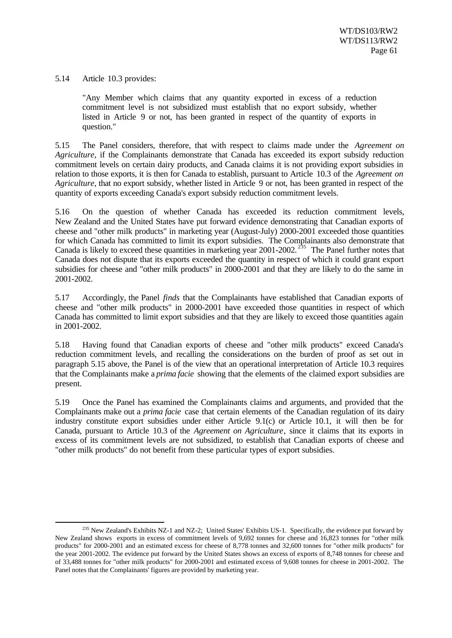## 5.14 Article 10.3 provides:

l

"Any Member which claims that any quantity exported in excess of a reduction commitment level is not subsidized must establish that no export subsidy, whether listed in Article 9 or not, has been granted in respect of the quantity of exports in question."

5.15 The Panel considers, therefore, that with respect to claims made under the *Agreement on Agriculture*, if the Complainants demonstrate that Canada has exceeded its export subsidy reduction commitment levels on certain dairy products, and Canada claims it is not providing export subsidies in relation to those exports, it is then for Canada to establish, pursuant to Article 10.3 of the *Agreement on Agriculture*, that no export subsidy, whether listed in Article 9 or not, has been granted in respect of the quantity of exports exceeding Canada's export subsidy reduction commitment levels.

5.16 On the question of whether Canada has exceeded its reduction commitment levels, New Zealand and the United States have put forward evidence demonstrating that Canadian exports of cheese and "other milk products" in marketing year (August-July) 2000-2001 exceeded those quantities for which Canada has committed to limit its export subsidies. The Complainants also demonstrate that Canada is likely to exceed these quantities in marketing year 2001-2002.<sup>235</sup> The Panel further notes that Canada does not dispute that its exports exceeded the quantity in respect of which it could grant export subsidies for cheese and "other milk products" in 2000-2001 and that they are likely to do the same in 2001-2002.

5.17 Accordingly, the Panel *finds* that the Complainants have established that Canadian exports of cheese and "other milk products" in 2000-2001 have exceeded those quantities in respect of which Canada has committed to limit export subsidies and that they are likely to exceed those quantities again in 2001-2002.

5.18 Having found that Canadian exports of cheese and "other milk products" exceed Canada's reduction commitment levels, and recalling the considerations on the burden of proof as set out in paragraph 5.15 above, the Panel is of the view that an operational interpretation of Article 10.3 requires that the Complainants make a *prima facie* showing that the elements of the claimed export subsidies are present.

5.19 Once the Panel has examined the Complainants claims and arguments, and provided that the Complainants make out a *prima facie* case that certain elements of the Canadian regulation of its dairy industry constitute export subsidies under either Article 9.1(c) or Article 10.1, it will then be for Canada, pursuant to Article 10.3 of the *Agreement on Agriculture*, since it claims that its exports in excess of its commitment levels are not subsidized, to establish that Canadian exports of cheese and "other milk products" do not benefit from these particular types of export subsidies.

 $^{235}$  New Zealand's Exhibits NZ-1 and NZ-2; United States' Exhibits US-1. Specifically, the evidence put forward by New Zealand shows exports in excess of commitment levels of 9,692 tonnes for cheese and 16,823 tonnes for "other milk products" for 2000-2001 and an estimated excess for cheese of 8,778 tonnes and 32,600 tonnes for "other milk products" for the year 2001-2002. The evidence put forward by the United States shows an excess of exports of 8,748 tonnes for cheese and of 33,488 tonnes for "other milk products" for 2000-2001 and estimated excess of 9,608 tonnes for cheese in 2001-2002. The Panel notes that the Complainants' figures are provided by marketing year.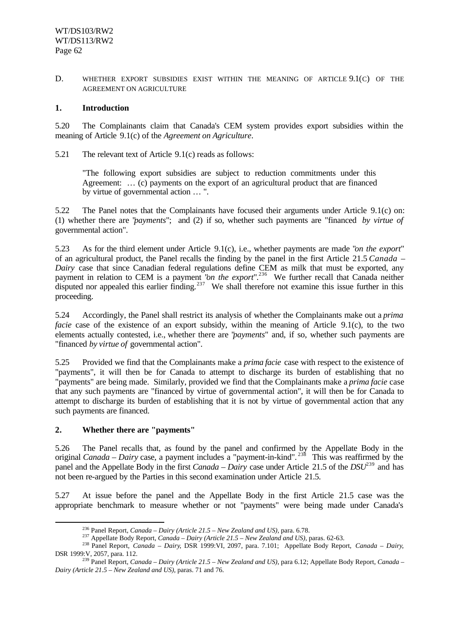D. WHETHER EXPORT SUBSIDIES EXIST WITHIN THE MEANING OF ARTICLE 9.1(C) OF THE AGREEMENT ON AGRICULTURE

## **1. Introduction**

5.20 The Complainants claim that Canada's CEM system provides export subsidies within the meaning of Article 9.1(c) of the *Agreement on Agriculture*.

5.21 The relevant text of Article 9.1(c) reads as follows:

"The following export subsidies are subject to reduction commitments under this Agreement: … (c) payments on the export of an agricultural product that are financed by virtue of governmental action … ".

5.22 The Panel notes that the Complainants have focused their arguments under Article 9.1(c) on: (1) whether there are "*payments*"; and (2) if so, whether such payments are "financed *by virtue of* governmental action".

5.23 As for the third element under Article 9.1(c), i.e., whether payments are made "*on the export*" of an agricultural product, the Panel recalls the finding by the panel in the first Article 21.5 *Canada – Dairy* case that since Canadian federal regulations define CEM as milk that must be exported, any payment in relation to CEM is a payment *"on the export*".<sup>236</sup> We further recall that Canada neither disputed nor appealed this earlier finding.<sup>237</sup> We shall therefore not examine this issue further in this proceeding.

5.24 Accordingly, the Panel shall restrict its analysis of whether the Complainants make out a *prima facie* case of the existence of an export subsidy, within the meaning of Article 9.1(c), to the two elements actually contested, i.e., whether there are "*payments*" and, if so, whether such payments are "financed *by virtue of* governmental action".

5.25 Provided we find that the Complainants make a *prima facie* case with respect to the existence of "payments", it will then be for Canada to attempt to discharge its burden of establishing that no "payments" are being made. Similarly, provided we find that the Complainants make a *prima facie* case that any such payments are "financed by virtue of governmental action", it will then be for Canada to attempt to discharge its burden of establishing that it is not by virtue of governmental action that any such payments are financed.

#### **2. Whether there are "payments"**

l

5.26 The Panel recalls that, as found by the panel and confirmed by the Appellate Body in the original *Canada – Dairy* case, a payment includes a "payment-in-kind". <sup>238</sup> This was reaffirmed by the panel and the Appellate Body in the first *Canada – Dairy* case under Article 21.5 of the *DSU*<sup>239</sup> and has not been re-argued by the Parties in this second examination under Article 21.5.

5.27 At issue before the panel and the Appellate Body in the first Article 21.5 case was the appropriate benchmark to measure whether or not "payments" were being made under Canada's

<sup>236</sup> Panel Report, *Canada – Dairy (Article 21.5 – New Zealand and US),* para. 6.78.

<sup>&</sup>lt;sup>237</sup> Appellate Body Report, *Canada – Dairy (Article 21.5 – New Zealand and US)*, paras. 62-63.

<sup>238</sup> Panel Report, *Canada – Dairy*, DSR 1999:VI, 2097, para. 7.101; Appellate Body Report, *Canada – Dairy*, DSR 1999:V, 2057, para. 112.

<sup>239</sup> Panel Report, *Canada – Dairy (Article 21.5 – New Zealand and US),* para 6.12; Appellate Body Report, *Canada – Dairy (Article 21.5 – New Zealand and US),* paras. 71 and 76.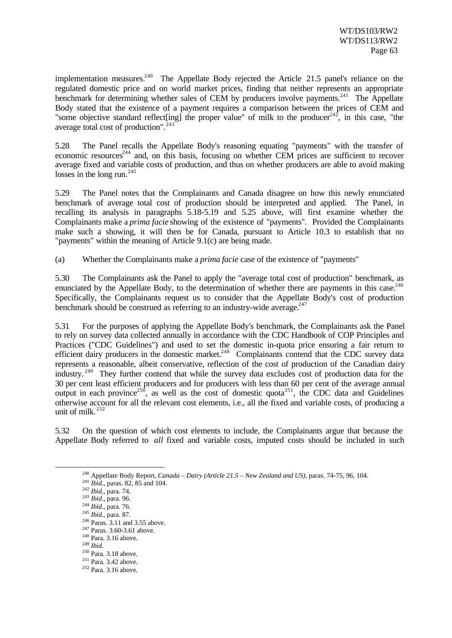implementation measures.<sup>240</sup> The Appellate Body rejected the Article 21.5 panel's reliance on the regulated domestic price and on world market prices, finding that neither represents an appropriate benchmark for determining whether sales of CEM by producers involve payments.<sup>241</sup> The Appellate Body stated that the existence of a payment requires a comparison between the prices of CEM and "some objective standard reflect[ing] the proper value" of milk to the producer<sup>242</sup>, in this case, "the average total cost of production".<sup>243</sup>

5.28 The Panel recalls the Appellate Body's reasoning equating "payments" with the transfer of economic resources<sup>244</sup> and, on this basis, focusing on whether CEM prices are sufficient to recover average fixed and variable costs of production, and thus on whether producers are able to avoid making losses in the long run. $^{245}$ 

5.29 The Panel notes that the Complainants and Canada disagree on how this newly enunciated benchmark of average total cost of production should be interpreted and applied. The Panel, in recalling its analysis in paragraphs 5.18-5.19 and 5.25 above, will first examine whether the Complainants make a *prima facie* showing of the existence of "payments". Provided the Complainants make such a showing, it will then be for Canada, pursuant to Article 10.3 to establish that no "payments" within the meaning of Article 9.1(c) are being made.

(a) Whether the Complainants make a *prima facie* case of the existence of "payments"

5.30 The Complainants ask the Panel to apply the "average total cost of production" benchmark, as enunciated by the Appellate Body, to the determination of whether there are payments in this case.<sup>246</sup> Specifically, the Complainants request us to consider that the Appellate Body's cost of production benchmark should be construed as referring to an industry-wide average. $247$ 

5.31 For the purposes of applying the Appellate Body's benchmark, the Complainants ask the Panel to rely on survey data collected annually in accordance with the CDC Handbook of COP Principles and Practices ("CDC Guidelines") and used to set the domestic in-quota price ensuring a fair return to efficient dairy producers in the domestic market.<sup>248</sup> Complainants contend that the CDC survey data represents a reasonable, albeit conservative, reflection of the cost of production of the Canadian dairy industry. <sup>249</sup> They further contend that while the survey data excludes cost of production data for the 30 per cent least efficient producers and for producers with less than 60 per cent of the average annual output in each province<sup>250</sup>, as well as the cost of domestic quota<sup>251</sup>, the CDC data and Guidelines otherwise account for all the relevant cost elements, i.e., all the fixed and variable costs, of producing a unit of milk. <sup>252</sup>

5.32 On the question of which cost elements to include, the Complainants argue that because the Appellate Body referred to *all* fixed and variable costs, imputed costs should be included in such

<sup>240</sup> Appellate Body Report, *Canada – Dairy (Article 21.5 – New Zealand and US),* paras. 74-75, 96, 104.

<sup>241</sup> *Ibid.,* paras. 82, 85 and 104.

<sup>242</sup> *Ibid.,* para. 74.

<sup>243</sup> *Ibid.,* para. 96.

<sup>244</sup> *Ibid.,* para. 76.

<sup>245</sup> *Ibid.,* para. 87.

<sup>&</sup>lt;sup>246</sup> Paras. 3.11 and 3.55 above.

<sup>247</sup> Paras. 3.60-3.61 above. <sup>248</sup> Para. 3.16 above.

<sup>249</sup> *Ibid*.

<sup>250</sup> Para. 3.18 above. <sup>251</sup> Para. 3.42 above.

<sup>252</sup> Para. 3.16 above.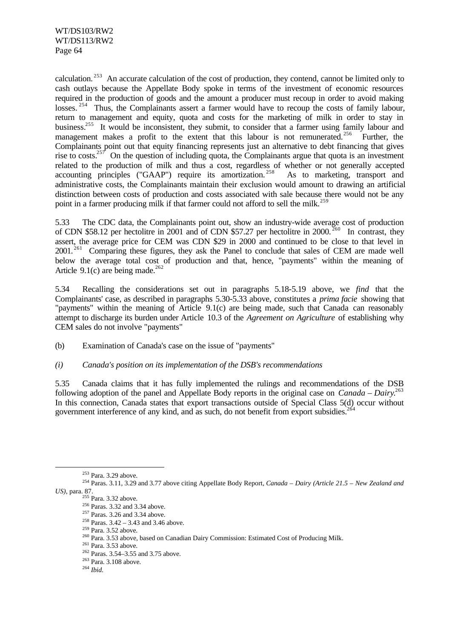WT/DS103/RW2 WT/DS113/RW2 Page 64

calculation. <sup>253</sup> An accurate calculation of the cost of production, they contend, cannot be limited only to cash outlays because the Appellate Body spoke in terms of the investment of economic resources required in the production of goods and the amount a producer must recoup in order to avoid making losses.<sup>254</sup> Thus, the Complainants assert a farmer would have to recoup the costs of family labour, return to management and equity, quota and costs for the marketing of milk in order to stay in business.<sup>255</sup> It would be inconsistent, they submit, to consider that a farmer using family labour and management makes a profit to the extent that this labour is not remunerated.<sup>256</sup> Further, the Complainants point out that equity financing represents just an alternative to debt financing that gives rise to costs.<sup>257</sup> On the question of including quota, the Complainants argue that quota is an investment related to the production of milk and thus a cost, regardless of whether or not generally accepted accounting principles ("GAAP") require its amortization.<sup>258</sup> As to marketing, transport and administrative costs, the Complainants maintain their exclusion would amount to drawing an artificial distinction between costs of production and costs associated with sale because there would not be any point in a farmer producing milk if that farmer could not afford to sell the milk.<sup>259</sup>

5.33 The CDC data, the Complainants point out, show an industry-wide average cost of production of CDN \$58.12 per hectolitre in 2001 and of CDN \$57.27 per hectolitre in 2000.<sup>260</sup> In contrast, they assert, the average price for CEM was CDN \$29 in 2000 and continued to be close to that level in 2001.<sup>261</sup> Comparing these figures, they ask the Panel to conclude that sales of CEM are made well below the average total cost of production and that, hence, "payments" within the meaning of Article 9.1(c) are being made.<sup>262</sup>

5.34 Recalling the considerations set out in paragraphs 5.18-5.19 above, we *find* that the Complainants' case, as described in paragraphs 5.30-5.33 above, constitutes a *prima facie* showing that "payments" within the meaning of Article 9.1(c) are being made, such that Canada can reasonably attempt to discharge its burden under Article 10.3 of the *Agreement on Agriculture* of establishing why CEM sales do not involve "payments"

(b) Examination of Canada's case on the issue of "payments"

*(i) Canada's position on its implementation of the DSB's recommendations*

5.35 Canada claims that it has fully implemented the rulings and recommendations of the DSB following adoption of the panel and Appellate Body reports in the original case on *Canada – Dairy*. 263 In this connection, Canada states that export transactions outside of Special Class 5(d) occur without government interference of any kind, and as such, do not benefit from export subsidies.<sup>264</sup>

<sup>253</sup> Para. 3.29 above.

<sup>254</sup> Paras. 3.11, 3.29 and 3.77 above citing Appellate Body Report, *Canada – Dairy (Article 21.5 – New Zealand and US)*, para. 87.

<sup>&</sup>lt;sup>255</sup> Para. 3.32 above.

<sup>256</sup> Paras. 3.32 and 3.34 above.

<sup>&</sup>lt;sup>257</sup> Paras. 3.26 and 3.34 above.

<sup>258</sup> Paras. 3.42 – 3.43 and 3.46 above.

<sup>&</sup>lt;sup>259</sup> Para. 3.52 above.

<sup>&</sup>lt;sup>260</sup> Para. 3.53 above, based on Canadian Dairy Commission: Estimated Cost of Producing Milk.

<sup>&</sup>lt;sup>261</sup> Para. 3.53 above.

<sup>262</sup> Paras. 3.54–3.55 and 3.75 above.

<sup>263</sup> Para. 3.108 above.

<sup>264</sup> *Ibid*.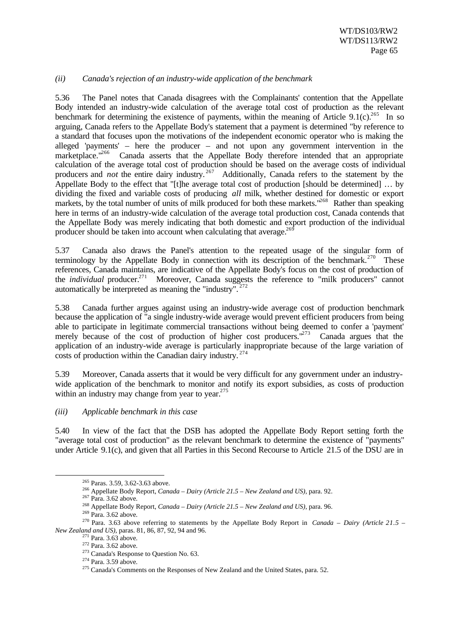## *(ii) Canada's rejection of an industry-wide application of the benchmark*

5.36 The Panel notes that Canada disagrees with the Complainants' contention that the Appellate Body intended an industry-wide calculation of the average total cost of production as the relevant benchmark for determining the existence of payments, within the meaning of Article 9.1(c).<sup>265</sup> In so arguing, Canada refers to the Appellate Body's statement that a payment is determined "by reference to a standard that focuses upon the motivations of the independent economic operator who is making the alleged 'payments' – here the producer – and not upon any government intervention in the marketplace."<sup>266</sup> Canada asserts that the Appellate Body therefore intended that an appropriate calculation of the average total cost of production should be based on the average costs of individual producers and *not* the entire dairy industry.<sup>267</sup> Additionally, Canada refers to the statement by the Appellate Body to the effect that "[t]he average total cost of production [should be determined] … by dividing the fixed and variable costs of producing *all* milk, whether destined for domestic or export markets, by the total number of units of milk produced for both these markets."<sup>268</sup> Rather than speaking here in terms of an industry-wide calculation of the average total production cost, Canada contends that the Appellate Body was merely indicating that both domestic and export production of the individual producer should be taken into account when calculating that average.<sup>2</sup>

5.37 Canada also draws the Panel's attention to the repeated usage of the singular form of terminology by the Appellate Body in connection with its description of the benchmark.<sup>270</sup> These references, Canada maintains, are indicative of the Appellate Body's focus on the cost of production of the *individual* producer.<sup>271</sup> Moreover, Canada suggests the reference to "milk producers" cannot automatically be interpreted as meaning the "industry". <sup>272</sup>

5.38 Canada further argues against using an industry-wide average cost of production benchmark because the application of "a single industry-wide average would prevent efficient producers from being able to participate in legitimate commercial transactions without being deemed to confer a 'payment' merely because of the cost of production of higher cost producers.<sup> $1273$ </sup> Canada argues that the application of an industry-wide average is particularly inappropriate because of the large variation of costs of production within the Canadian dairy industry. <sup>274</sup>

5.39 Moreover, Canada asserts that it would be very difficult for any government under an industrywide application of the benchmark to monitor and notify its export subsidies, as costs of production within an industry may change from year to year. $275$ 

#### *(iii) Applicable benchmark in this case*

5.40 In view of the fact that the DSB has adopted the Appellate Body Report setting forth the "average total cost of production" as the relevant benchmark to determine the existence of "payments" under Article 9.1(c), and given that all Parties in this Second Recourse to Article 21.5 of the DSU are in

<sup>265</sup> Paras. 3.59, 3.62-3.63 above.

<sup>266</sup> Appellate Body Report, *Canada – Dairy (Article 21.5 – New Zealand and US),* para. 92.

<sup>&</sup>lt;sup>267</sup> Para. 3.62 above.

<sup>268</sup> Appellate Body Report, *Canada – Dairy (Article 21.5 – New Zealand and US),* para. 96.

<sup>&</sup>lt;sup>269</sup> Para. 3.62 above.

<sup>270</sup> Para. 3.63 above referring to statements by the Appellate Body Report in *Canada – Dairy (Article 21.5 – New Zealand and US)*, paras. 81, 86, 87, 92, 94 and 96.

 $271$  Para. 3.63 above. <sup>272</sup> Para. 3.62 above.

<sup>273</sup> Canada's Response to Question No. 63.

<sup>&</sup>lt;sup>274</sup> Para. 3.59 above.

<sup>&</sup>lt;sup>275</sup> Canada's Comments on the Responses of New Zealand and the United States, para. 52.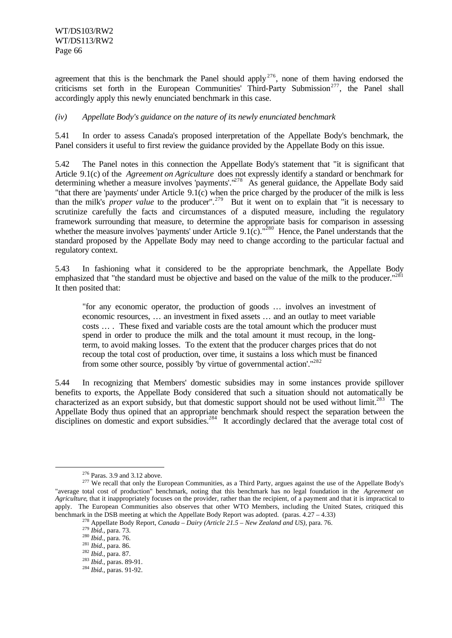WT/DS103/RW2 WT/DS113/RW2 Page 66

agreement that this is the benchmark the Panel should apply<sup>276</sup>, none of them having endorsed the criticisms set forth in the European Communities' Third-Party Submission<sup>277</sup>, the Panel shall accordingly apply this newly enunciated benchmark in this case.

#### *(iv) Appellate Body's guidance on the nature of its newly enunciated benchmark*

5.41 In order to assess Canada's proposed interpretation of the Appellate Body's benchmark, the Panel considers it useful to first review the guidance provided by the Appellate Body on this issue.

5.42 The Panel notes in this connection the Appellate Body's statement that "it is significant that Article 9.1(c) of the *Agreement on Agriculture* does not expressly identify a standard or benchmark for determining whether a measure involves 'payments'.<sup>1278</sup> As general guidance, the Appellate Body said "that there are 'payments' under Article 9.1(c) when the price charged by the producer of the milk is less than the milk's *proper value* to the producer".<sup>279</sup> But it went on to explain that "it is necessary to scrutinize carefully the facts and circumstances of a disputed measure, including the regulatory framework surrounding that measure, to determine the appropriate basis for comparison in assessing whether the measure involves 'payments' under Article 9.1(c)."<sup>280</sup> Hence, the Panel understands that the standard proposed by the Appellate Body may need to change according to the particular factual and regulatory context.

5.43 In fashioning what it considered to be the appropriate benchmark, the Appellate Body emphasized that "the standard must be objective and based on the value of the milk to the producer."<sup>281</sup> It then posited that:

"for any economic operator, the production of goods … involves an investment of economic resources, … an investment in fixed assets … and an outlay to meet variable costs … . These fixed and variable costs are the total amount which the producer must spend in order to produce the milk and the total amount it must recoup, in the longterm, to avoid making losses. To the extent that the producer charges prices that do not recoup the total cost of production, over time, it sustains a loss which must be financed from some other source, possibly 'by virtue of governmental action'."<sup>282</sup>

5.44 In recognizing that Members' domestic subsidies may in some instances provide spillover benefits to exports, the Appellate Body considered that such a situation should not automatically be characterized as an export subsidy, but that domestic support should not be used without limit.<sup>283</sup> The Appellate Body thus opined that an appropriate benchmark should respect the separation between the disciplines on domestic and export subsidies.<sup>284</sup> It accordingly declared that the average total cost of

<sup>276</sup> Paras. 3.9 and 3.12 above.

<sup>&</sup>lt;sup>277</sup> We recall that only the European Communities, as a Third Party, argues against the use of the Appellate Body's "average total cost of production" benchmark, noting that this benchmark has no legal foundation in the *Agreement on Agriculture*, that it inappropriately focuses on the provider, rather than the recipient, of a payment and that it is impractical to apply. The European Communities also observes that other WTO Members, including the United States, critiqued this benchmark in the DSB meeting at which the Appellate Body Report was adopted. (paras.  $4.27 - 4.33$ )

<sup>278</sup> Appellate Body Report, *Canada – Dairy (Article 21.5 – New Zealand and US),* para. 76.

<sup>279</sup> *Ibid.,* para. 73.

<sup>280</sup> *Ibid.,* para. 76.

<sup>281</sup> *Ibid*.*,* para. 86.

<sup>282</sup> *Ibid.,* para. 87.

<sup>283</sup> *Ibid.,* paras. 89-91.

<sup>284</sup> *Ibid.,* paras. 91-92.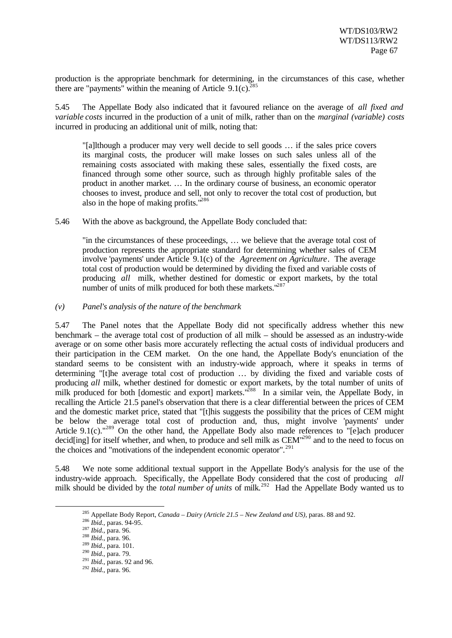production is the appropriate benchmark for determining, in the circumstances of this case, whether there are "payments" within the meaning of Article  $9.1(c)$ <sup>285</sup>

5.45 The Appellate Body also indicated that it favoured reliance on the average of *all fixed and variable costs* incurred in the production of a unit of milk, rather than on the *marginal (variable) costs* incurred in producing an additional unit of milk, noting that:

"[a]lthough a producer may very well decide to sell goods … if the sales price covers its marginal costs, the producer will make losses on such sales unless all of the remaining costs associated with making these sales, essentially the fixed costs, are financed through some other source, such as through highly profitable sales of the product in another market. … In the ordinary course of business, an economic operator chooses to invest, produce and sell, not only to recover the total cost of production, but also in the hope of making profits."<sup>286</sup>

5.46 With the above as background, the Appellate Body concluded that:

"in the circumstances of these proceedings, … we believe that the average total cost of production represents the appropriate standard for determining whether sales of CEM involve 'payments' under Article 9.1(c) of the *Agreement on Agriculture*. The average total cost of production would be determined by dividing the fixed and variable costs of producing *all* milk, whether destined for domestic or export markets, by the total number of units of milk produced for both these markets."<sup>287</sup>

*(v) Panel's analysis of the nature of the benchmark*

5.47 The Panel notes that the Appellate Body did not specifically address whether this new benchmark – the average total cost of production of all milk – should be assessed as an industry-wide average or on some other basis more accurately reflecting the actual costs of individual producers and their participation in the CEM market. On the one hand, the Appellate Body's enunciation of the standard seems to be consistent with an industry-wide approach, where it speaks in terms of determining "[t]he average total cost of production … by dividing the fixed and variable costs of producing *all* milk, whether destined for domestic or export markets, by the total number of units of milk produced for both [domestic and export] markets.<sup> $n^2$ 88</sup> In a similar vein, the Appellate Body, in recalling the Article 21.5 panel's observation that there is a clear differential between the prices of CEM and the domestic market price, stated that "[t]his suggests the possibility that the prices of CEM might be below the average total cost of production and, thus, might involve 'payments' under Article 9.1(c)."<sup>289</sup> On the other hand, the Appellate Body also made references to "[e]ach producer decid[ing] for itself whether, and when, to produce and sell milk as CEM<sup>"290</sup> and to the need to focus on the choices and "motivations of the independent economic operator". $^{291}$ 

5.48 We note some additional textual support in the Appellate Body's analysis for the use of the industry-wide approach. Specifically, the Appellate Body considered that the cost of producing *all* milk should be divided by the *total number of units* of milk.<sup>292</sup> Had the Appellate Body wanted us to

<sup>285</sup> Appellate Body Report, *Canada – Dairy (Article 21.5 – New Zealand and US),* paras. 88 and 92.

<sup>286</sup> *Ibid.,* paras. 94-95.

<sup>287</sup> *Ibid.,* para. 96.

<sup>288</sup> *Ibid.,* para. 96.

<sup>289</sup> *Ibid.,* para. 101.

<sup>290</sup> *Ibid.,* para. 79.

<sup>291</sup> *Ibid.,* paras. 92 and 96.

<sup>292</sup> *Ibid.*, para. 96.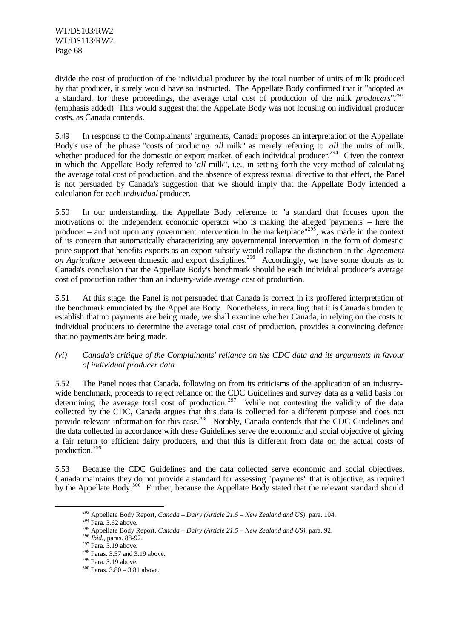divide the cost of production of the individual producer by the total number of units of milk produced by that producer, it surely would have so instructed. The Appellate Body confirmed that it "adopted as a standard, for these proceedings, the average total cost of production of the milk *producers*".<sup>293</sup> (emphasis added) This would suggest that the Appellate Body was not focusing on individual producer costs, as Canada contends.

5.49 In response to the Complainants' arguments, Canada proposes an interpretation of the Appellate Body's use of the phrase "costs of producing *all* milk" as merely referring to *all* the units of milk, whether produced for the domestic or export market, of each individual producer.<sup>294</sup> Given the context in which the Appellate Body referred to "*all* milk", i.e., in setting forth the very method of calculating the average total cost of production, and the absence of express textual directive to that effect, the Panel is not persuaded by Canada's suggestion that we should imply that the Appellate Body intended a calculation for each *individual* producer.

5.50 In our understanding, the Appellate Body reference to "a standard that focuses upon the motivations of the independent economic operator who is making the alleged 'payments' – here the producer – and not upon any government intervention in the marketplace"<sup>295</sup>, was made in the context of its concern that automatically characterizing any governmental intervention in the form of domestic price support that benefits exports as an export subsidy would collapse the distinction in the *Agreement on Agriculture* between domestic and export disciplines.<sup>296</sup> Accordingly, we have some doubts as to Canada's conclusion that the Appellate Body's benchmark should be each individual producer's average cost of production rather than an industry-wide average cost of production.

5.51 At this stage, the Panel is not persuaded that Canada is correct in its proffered interpretation of the benchmark enunciated by the Appellate Body. Nonetheless, in recalling that it is Canada's burden to establish that no payments are being made, we shall examine whether Canada, in relying on the costs to individual producers to determine the average total cost of production, provides a convincing defence that no payments are being made.

## *(vi) Canada's critique of the Complainants' reliance on the CDC data and its arguments in favour of individual producer data*

5.52 The Panel notes that Canada, following on from its criticisms of the application of an industrywide benchmark, proceeds to reject reliance on the CDC Guidelines and survey data as a valid basis for determining the average total cost of production.<sup>297</sup> While not contesting the validity of the data collected by the CDC, Canada argues that this data is collected for a different purpose and does not provide relevant information for this case.<sup>298</sup> Notably, Canada contends that the CDC Guidelines and the data collected in accordance with these Guidelines serve the economic and social objective of giving a fair return to efficient dairy producers, and that this is different from data on the actual costs of production.<sup>299</sup>

5.53 Because the CDC Guidelines and the data collected serve economic and social objectives, Canada maintains they do not provide a standard for assessing "payments" that is objective, as required by the Appellate Body.<sup>300</sup> Further, because the Appellate Body stated that the relevant standard should

<sup>293</sup> Appellate Body Report, *Canada – Dairy (Article 21.5 – New Zealand and US)*, para. 104.

 $294$  Para. 3.62 above.

<sup>295</sup> Appellate Body Report, *Canada – Dairy (Article 21.5 – New Zealand and US)*, para. 92.

<sup>296</sup> *Ibid.*, paras. 88-92.

<sup>&</sup>lt;sup>297</sup> Para. 3.19 above.

<sup>298</sup> Paras. 3.57 and 3.19 above.

<sup>&</sup>lt;sup>299</sup> Para. 3.19 above.

 $300$  Paras.  $3.80 - 3.81$  above.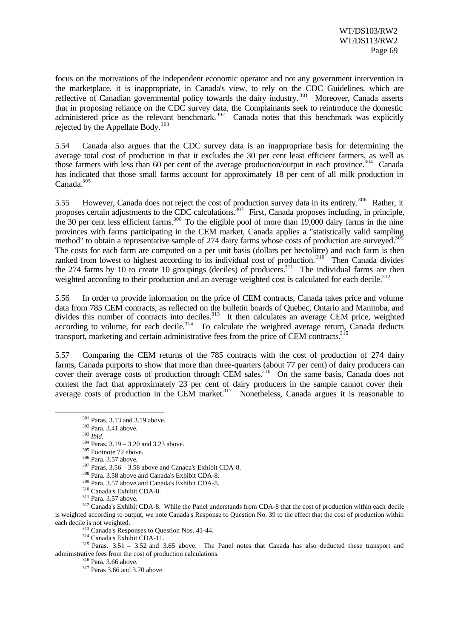focus on the motivations of the independent economic operator and not any government intervention in the marketplace, it is inappropriate, in Canada's view, to rely on the CDC Guidelines, which are reflective of Canadian governmental policy towards the dairy industry.<sup>301</sup> Moreover, Canada asserts that in proposing reliance on the CDC survey data, the Complainants seek to reintroduce the domestic administered price as the relevant benchmark.<sup>302</sup> Canada notes that this benchmark was explicitly rejected by the Appellate Body.<sup>303</sup>

5.54 Canada also argues that the CDC survey data is an inappropriate basis for determining the average total cost of production in that it excludes the 30 per cent least efficient farmers, as well as those farmers with less than 60 per cent of the average production/output in each province.<sup>304</sup> Canada has indicated that those small farms account for approximately 18 per cent of all milk production in Canada.<sup>305</sup>

5.55 However, Canada does not reject the cost of production survey data in its entirety.<sup>306</sup> Rather, it proposes certain adjustments to the CDC calculations.<sup>307</sup> First, Canada proposes including, in principle, the 30 per cent less efficient farms.<sup>308</sup> To the eligible pool of more than 19,000 dairy farms in the nine provinces with farms participating in the CEM market, Canada applies a "statistically valid sampling method" to obtain a representative sample of 274 dairy farms whose costs of production are surveyed.<sup>30</sup> The costs for each farm are computed on a per unit basis (dollars per hectolitre) and each farm is then ranked from lowest to highest according to its individual cost of production.<sup>310</sup> Then Canada divides the 274 farms by 10 to create 10 groupings (deciles) of producers.<sup>311</sup> The individual farms are then weighted according to their production and an average weighted cost is calculated for each decile.<sup>312</sup>

5.56 In order to provide information on the price of CEM contracts, Canada takes price and volume data from 785 CEM contracts, as reflected on the bulletin boards of Quebec, Ontario and Manitoba, and divides this number of contracts into deciles.<sup>313</sup> It then calculates an average CEM price, weighted according to volume, for each decile.<sup>314</sup> To calculate the weighted average return, Canada deducts transport, marketing and certain administrative fees from the price of CEM contracts.<sup>315</sup>

5.57 Comparing the CEM returns of the 785 contracts with the cost of production of 274 dairy farms, Canada purports to show that more than three-quarters (about 77 per cent) of dairy producers can cover their average costs of production through CEM sales.<sup>316</sup> On the same basis, Canada does not contest the fact that approximately 23 per cent of dairy producers in the sample cannot cover their average costs of production in the CEM market.<sup>317</sup> Nonetheless, Canada argues it is reasonable to

<sup>301</sup> Paras. 3.13 and 3.19 above.

<sup>302</sup> Para. 3.41 above.

<sup>303</sup> *Ibid*.

<sup>304</sup> Paras. 3.19 – 3.20 and 3.23 above.

<sup>305</sup> Footnote 72 above.

<sup>306</sup> Para. 3.57 above.

 $307$  Paras.  $3.56 - 3.58$  above and Canada's Exhibit CDA-8.

<sup>308</sup> Para. 3.58 above and Canada's Exhibit CDA-8.

<sup>309</sup> Para. 3.57 above and Canada's Exhibit CDA-8.

<sup>310</sup> Canada's Exhibit CDA-8.

<sup>311</sup> Para. 3.57 above.

<sup>&</sup>lt;sup>312</sup> Canada's Exhibit CDA-8. While the Panel understands from CDA-8 that the cost of production within each decile is weighted according to output, we note Canada's Response to Question No. 39 to the effect that the cost of production within each decile is not weighted.

<sup>&</sup>lt;sup>313</sup> Canada's Responses to Question Nos. 41-44.

<sup>&</sup>lt;sup>314</sup> Canada's Exhibit CDA-11.

<sup>&</sup>lt;sup>315</sup> Paras. 3.51 – 3.52 and 3.65 above. The Panel notes that Canada has also deducted these transport and administrative fees from the cost of production calculations.

<sup>316</sup> Para. 3.66 above.

<sup>317</sup> Paras 3.66 and 3.70 above.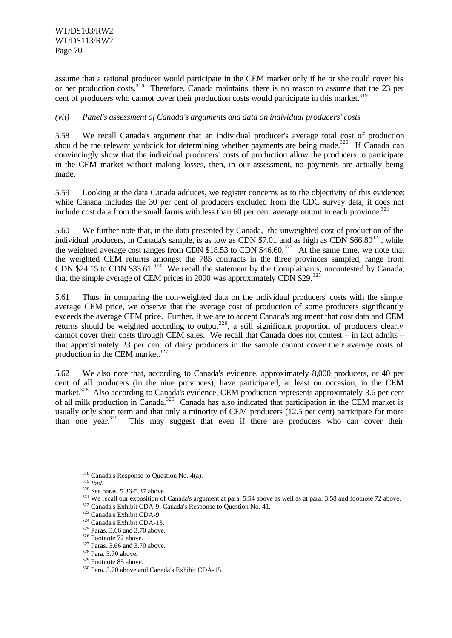assume that a rational producer would participate in the CEM market only if he or she could cover his or her production costs.<sup>318</sup> Therefore, Canada maintains, there is no reason to assume that the 23 per cent of producers who cannot cover their production costs would participate in this market.<sup>319</sup>

# *(vii) Panel's assessment of Canada's arguments and data on individual producers' costs*

5.58 We recall Canada's argument that an individual producer's average total cost of production should be the relevant yardstick for determining whether payments are being made.<sup>320</sup> If Canada can convincingly show that the individual producers' costs of production allow the producers to participate in the CEM market without making losses, then, in our assessment, no payments are actually being made.

5.59 Looking at the data Canada adduces, we register concerns as to the objectivity of this evidence: while Canada includes the 30 per cent of producers excluded from the CDC survey data, it does not include cost data from the small farms with less than 60 per cent average output in each province. $321$ 

5.60 We further note that, in the data presented by Canada, the unweighted cost of production of the individual producers, in Canada's sample, is as low as CDN \$7.01 and as high as CDN  $$66.80^{322}$ , while the weighted average cost ranges from CDN \$18.53 to CDN \$46.60.<sup>323</sup> At the same time, we note that the weighted CEM returns amongst the 785 contracts in the three provinces sampled, range from CDN \$24.15 to CDN \$33.61.<sup>324</sup> We recall the statement by the Complainants, uncontested by Canada, that the simple average of CEM prices in 2000 was approximately CDN  $$29.^{325}$ 

5.61 Thus, in comparing the non-weighted data on the individual producers' costs with the simple average CEM price, we observe that the average cost of production of some producers significantly exceeds the average CEM price. Further, if we are to accept Canada's argument that cost data and CEM returns should be weighted according to output<sup>326</sup>, a still significant proportion of producers clearly cannot cover their costs through CEM sales. We recall that Canada does not contest – in fact admits – that approximately 23 per cent of dairy producers in the sample cannot cover their average costs of production in the CEM market. $327$ 

5.62 We also note that, according to Canada's evidence, approximately 8,000 producers, or 40 per cent of all producers (in the nine provinces), have participated, at least on occasion, in the CEM market.<sup>328</sup> Also according to Canada's evidence, CEM production represents approximately 3.6 per cent of all milk production in Canada.<sup>329</sup> Canada has also indicated that participation in the CEM market is usually only short term and that only a minority of CEM producers  $(12.5$  per cent) participate for more than one year.<sup>330</sup> This may suggest that even if there are producers who can cover their This may suggest that even if there are producers who can cover their

<sup>318</sup> Canada's Response to Question No. 4(a).

<sup>319</sup> *Ibid*.

<sup>320</sup> See paras. 5.36-5.37 above.

<sup>&</sup>lt;sup>321</sup> We recall our exposition of Canada's argument at para. 5.54 above as well as at para. 3.58 and footnote 72 above.

<sup>322</sup> Canada's Exhibit CDA-9; Canada's Response to Question No. 41.

<sup>323</sup> Canada's Exhibit CDA-9.

<sup>324</sup> Canada's Exhibit CDA-13.

<sup>325</sup> Paras. 3.66 and 3.70 above.

<sup>326</sup> Footnote 72 above.

<sup>327</sup> Paras. 3.66 and 3.70 above.

<sup>328</sup> Para. 3.70 above.

<sup>329</sup> Footnote 85 above.

<sup>330</sup> Para. 3.70 above and Canada's Exhibit CDA-15.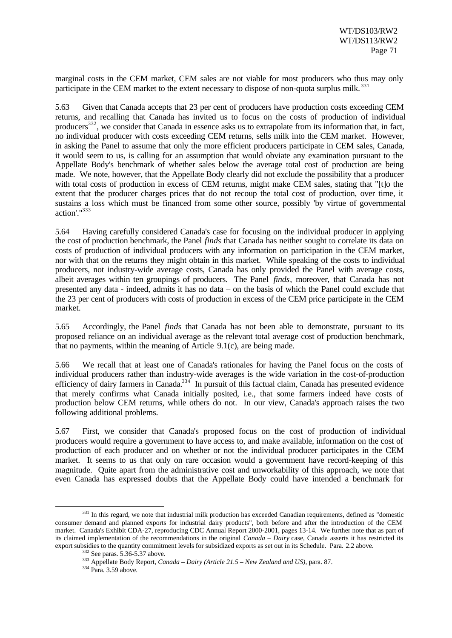marginal costs in the CEM market, CEM sales are not viable for most producers who thus may only participate in the CEM market to the extent necessary to dispose of non-quota surplus milk.<sup>331</sup>

5.63 Given that Canada accepts that 23 per cent of producers have production costs exceeding CEM returns, and recalling that Canada has invited us to focus on the costs of production of individual producers<sup>332</sup>, we consider that Canada in essence asks us to extrapolate from its information that, in fact, no individual producer with costs exceeding CEM returns, sells milk into the CEM market. However, in asking the Panel to assume that only the more efficient producers participate in CEM sales, Canada, it would seem to us, is calling for an assumption that would obviate any examination pursuant to the Appellate Body's benchmark of whether sales below the average total cost of production are being made. We note, however, that the Appellate Body clearly did not exclude the possibility that a producer with total costs of production in excess of CEM returns, might make CEM sales, stating that "[t]o the extent that the producer charges prices that do not recoup the total cost of production, over time, it sustains a loss which must be financed from some other source, possibly 'by virtue of governmental action'."<sup>333</sup>

5.64 Having carefully considered Canada's case for focusing on the individual producer in applying the cost of production benchmark, the Panel *finds* that Canada has neither sought to correlate its data on costs of production of individual producers with any information on participation in the CEM market, nor with that on the returns they might obtain in this market. While speaking of the costs to individual producers, not industry-wide average costs, Canada has only provided the Panel with average costs, albeit averages within ten groupings of producers. The Panel *finds*, moreover, that Canada has not presented any data - indeed, admits it has no data – on the basis of which the Panel could exclude that the 23 per cent of producers with costs of production in excess of the CEM price participate in the CEM market.

5.65 Accordingly, the Panel *finds* that Canada has not been able to demonstrate, pursuant to its proposed reliance on an individual average as the relevant total average cost of production benchmark, that no payments, within the meaning of Article 9.1(c), are being made.

5.66 We recall that at least one of Canada's rationales for having the Panel focus on the costs of individual producers rather than industry-wide averages is the wide variation in the cost-of-production efficiency of dairy farmers in Canada.<sup>334</sup> In pursuit of this factual claim, Canada has presented evidence that merely confirms what Canada initially posited, i.e., that some farmers indeed have costs of production below CEM returns, while others do not. In our view, Canada's approach raises the two following additional problems.

5.67 First, we consider that Canada's proposed focus on the cost of production of individual producers would require a government to have access to, and make available, information on the cost of production of each producer and on whether or not the individual producer participates in the CEM market. It seems to us that only on rare occasion would a government have record-keeping of this magnitude. Quite apart from the administrative cost and unworkability of this approach, we note that even Canada has expressed doubts that the Appellate Body could have intended a benchmark for

<sup>&</sup>lt;sup>331</sup> In this regard, we note that industrial milk production has exceeded Canadian requirements, defined as "domestic consumer demand and planned exports for industrial dairy products", both before and after the introduction of the CEM market. Canada's Exhibit CDA-27, reproducing CDC Annual Report 2000-2001, pages 13-14. We further note that as part of its claimed implementation of the recommendations in the original *Canada – Dairy* case, Canada asserts it has restricted its export subsidies to the quantity commitment levels for subsidized exports as set out in its Schedule. Para. 2.2 above.

<sup>332</sup> See paras. 5.36-5.37 above.

<sup>333</sup> Appellate Body Report, *Canada – Dairy (Article 21.5 – New Zealand and US),* para. 87.

<sup>334</sup> Para. 3.59 above.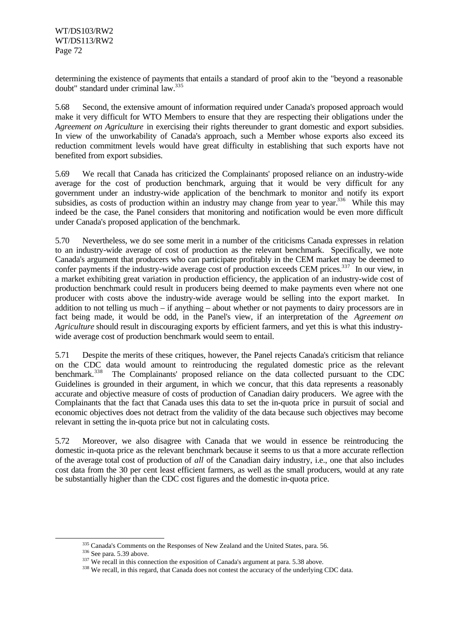determining the existence of payments that entails a standard of proof akin to the "beyond a reasonable doubt" standard under criminal law.<sup>335</sup>

5.68 Second, the extensive amount of information required under Canada's proposed approach would make it very difficult for WTO Members to ensure that they are respecting their obligations under the *Agreement on Agriculture* in exercising their rights thereunder to grant domestic and export subsidies. In view of the unworkability of Canada's approach, such a Member whose exports also exceed its reduction commitment levels would have great difficulty in establishing that such exports have not benefited from export subsidies.

5.69 We recall that Canada has criticized the Complainants' proposed reliance on an industry-wide average for the cost of production benchmark, arguing that it would be very difficult for any government under an industry-wide application of the benchmark to monitor and notify its export subsidies, as costs of production within an industry may change from year to year.<sup>336</sup> While this may indeed be the case, the Panel considers that monitoring and notification would be even more difficult under Canada's proposed application of the benchmark.

5.70 Nevertheless, we do see some merit in a number of the criticisms Canada expresses in relation to an industry-wide average of cost of production as the relevant benchmark. Specifically, we note Canada's argument that producers who can participate profitably in the CEM market may be deemed to confer payments if the industry-wide average cost of production exceeds CEM prices.<sup>337</sup> In our view, in a market exhibiting great variation in production efficiency, the application of an industry-wide cost of production benchmark could result in producers being deemed to make payments even where not one producer with costs above the industry-wide average would be selling into the export market. In addition to not telling us much – if anything – about whether or not payments to dairy processors are in fact being made, it would be odd, in the Panel's view, if an interpretation of the *Agreement on Agriculture* should result in discouraging exports by efficient farmers, and yet this is what this industrywide average cost of production benchmark would seem to entail.

5.71 Despite the merits of these critiques, however, the Panel rejects Canada's criticism that reliance on the CDC data would amount to reintroducing the regulated domestic price as the relevant benchmark.<sup>338</sup> The Complainants' proposed reliance on the data collected pursuant to the CDC The Complainants' proposed reliance on the data collected pursuant to the CDC Guidelines is grounded in their argument, in which we concur, that this data represents a reasonably accurate and objective measure of costs of production of Canadian dairy producers. We agree with the Complainants that the fact that Canada uses this data to set the in-quota price in pursuit of social and economic objectives does not detract from the validity of the data because such objectives may become relevant in setting the in-quota price but not in calculating costs.

5.72 Moreover, we also disagree with Canada that we would in essence be reintroducing the domestic in-quota price as the relevant benchmark because it seems to us that a more accurate reflection of the average total cost of production of *all* of the Canadian dairy industry, i.e., one that also includes cost data from the 30 per cent least efficient farmers, as well as the small producers, would at any rate be substantially higher than the CDC cost figures and the domestic in-quota price.

<sup>&</sup>lt;sup>335</sup> Canada's Comments on the Responses of New Zealand and the United States, para. 56.

<sup>336</sup> See para. 5.39 above.

<sup>&</sup>lt;sup>337</sup> We recall in this connection the exposition of Canada's argument at para. 5.38 above.

<sup>&</sup>lt;sup>338</sup> We recall, in this regard, that Canada does not contest the accuracy of the underlying CDC data.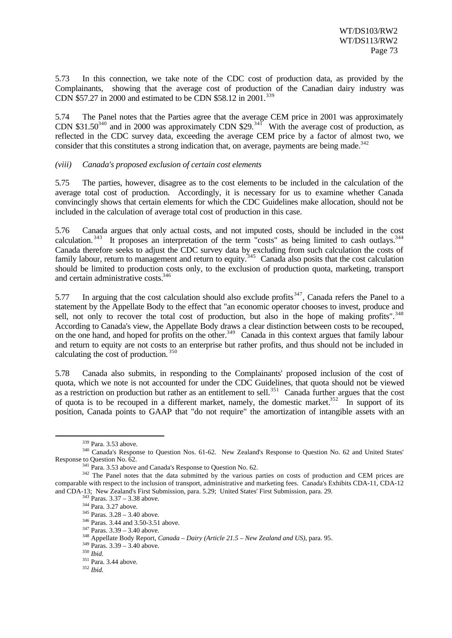5.73 In this connection, we take note of the CDC cost of production data, as provided by the Complainants, showing that the average cost of production of the Canadian dairy industry was CDN \$57.27 in 2000 and estimated to be CDN \$58.12 in 2001.<sup>339</sup>

5.74 The Panel notes that the Parties agree that the average CEM price in 2001 was approximately CDN  $$31.50^{340}$  and in 2000 was approximately CDN  $$29.^{341}$  With the average cost of production, as reflected in the CDC survey data, exceeding the average CEM price by a factor of almost two, we consider that this constitutes a strong indication that, on average, payments are being made.<sup>342</sup>

#### *(viii) Canada's proposed exclusion of certain cost elements*

5.75 The parties, however, disagree as to the cost elements to be included in the calculation of the average total cost of production. Accordingly, it is necessary for us to examine whether Canada convincingly shows that certain elements for which the CDC Guidelines make allocation, should not be included in the calculation of average total cost of production in this case.

5.76 Canada argues that only actual costs, and not imputed costs, should be included in the cost calculation.  $343$  It proposes an interpretation of the term "costs" as being limited to cash outlays.  $344$ Canada therefore seeks to adjust the CDC survey data by excluding from such calculation the costs of family labour, return to management and return to equity.<sup>345</sup> Canada also posits that the cost calculation should be limited to production costs only, to the exclusion of production quota, marketing, transport and certain administrative costs.<sup>346</sup>

5.77 In arguing that the cost calculation should also exclude profits<sup>347</sup>, Canada refers the Panel to a statement by the Appellate Body to the effect that "an economic operator chooses to invest, produce and sell, not only to recover the total cost of production, but also in the hope of making profits".<sup>348</sup> According to Canada's view, the Appellate Body draws a clear distinction between costs to be recouped, on the one hand, and hoped for profits on the other.<sup>349</sup> Canada in this context argues that family labour and return to equity are not costs to an enterprise but rather profits, and thus should not be included in calculating the cost of production. <sup>350</sup>

5.78 Canada also submits, in responding to the Complainants' proposed inclusion of the cost of quota, which we note is not accounted for under the CDC Guidelines, that quota should not be viewed as a restriction on production but rather as an entitlement to sell.<sup>351</sup> Canada further argues that the cost of quota is to be recouped in a different market, namely, the domestic market.<sup>352</sup> In support of its position, Canada points to GAAP that "do not require" the amortization of intangible assets with an

<sup>339</sup> Para. 3.53 above.

<sup>340</sup> Canada's Response to Question Nos. 61-62. New Zealand's Response to Question No. 62 and United States' Response to Question No. 62.

<sup>&</sup>lt;sup>341</sup> Para. 3.53 above and Canada's Response to Question No. 62.

<sup>&</sup>lt;sup>342</sup> The Panel notes that the data submitted by the various parties on costs of production and CEM prices are comparable with respect to the inclusion of transport, administrative and marketing fees. Canada's Exhibits CDA-11, CDA-12 and CDA-13; New Zealand's First Submission, para. 5.29; United States' First Submission, para. 29.

 $343$  Paras.  $3.37 - 3.38$  above.

<sup>344</sup> Para. 3.27 above.

<sup>345</sup> Paras. 3.28 – 3.40 above.

<sup>346</sup> Paras. 3.44 and 3.50-3.51 above.

<sup>347</sup> Paras. 3.39 – 3.40 above.

<sup>348</sup> Appellate Body Report, *Canada – Dairy (Article 21.5 – New Zealand and US)*, para. 95.

 $349$  Paras.  $3.39 - 3.40$  above.

<sup>350</sup> *Ibid*.

<sup>351</sup> Para. 3.44 above.

<sup>352</sup> *Ibid*.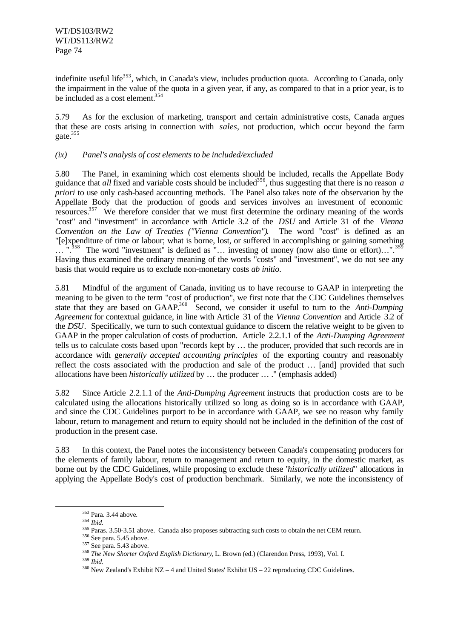indefinite useful life<sup>353</sup>, which, in Canada's view, includes production quota. According to Canada, only the impairment in the value of the quota in a given year, if any, as compared to that in a prior year, is to be included as a cost element.<sup>354</sup>

5.79 As for the exclusion of marketing, transport and certain administrative costs, Canada argues that these are costs arising in connection with *sales*, not production, which occur beyond the farm gate.<sup>355</sup>

## *(ix) Panel's analysis of cost elements to be included/excluded*

5.80 The Panel, in examining which cost elements should be included, recalls the Appellate Body guidance that *all* fixed and variable costs should be included<sup>356</sup>, thus suggesting that there is no reason *a priori* to use only cash-based accounting methods. The Panel also takes note of the observation by the Appellate Body that the production of goods and services involves an investment of economic resources.<sup>357</sup> We therefore consider that we must first determine the ordinary meaning of the words "cost" and "investment" in accordance with Article 3.2 of the *DSU* and Article 31 of the *Vienna Convention on the Law of Treaties ("Vienna Convention")*. The word "cost" is defined as an "[e]xpenditure of time or labour; what is borne, lost, or suffered in accomplishing or gaining something ... ".<sup>358</sup> The word "investment" is defined as "... investing of money (now also time or effort)...".<sup>359</sup> Having thus examined the ordinary meaning of the words "costs" and "investment", we do not see any basis that would require us to exclude non-monetary costs *ab initio*.

5.81 Mindful of the argument of Canada, inviting us to have recourse to GAAP in interpreting the meaning to be given to the term "cost of production", we first note that the CDC Guidelines themselves state that they are based on GAAP.<sup>360</sup> Second, we consider it useful to turn to the *Anti-Dumping Agreement* for contextual guidance, in line with Article 31 of the *Vienna Convention* and Article 3.2 of the *DSU*. Specifically, we turn to such contextual guidance to discern the relative weight to be given to GAAP in the proper calculation of costs of production. Article 2.2.1.1 of the *Anti-Dumping Agreement* tells us to calculate costs based upon "records kept by … the producer, provided that such records are in accordance with ge*nerally accepted accounting principles* of the exporting country and reasonably reflect the costs associated with the production and sale of the product … [and] provided that such allocations have been *historically utilized* by … the producer … ." (emphasis added)

5.82 Since Article 2.2.1.1 of the *Anti-Dumping Agreement* instructs that production costs are to be calculated using the allocations historically utilized so long as doing so is in accordance with GAAP, and since the CDC Guidelines purport to be in accordance with GAAP, we see no reason why family labour, return to management and return to equity should not be included in the definition of the cost of production in the present case.

5.83 In this context, the Panel notes the inconsistency between Canada's compensating producers for the elements of family labour, return to management and return to equity, in the domestic market, as borne out by the CDC Guidelines, while proposing to exclude these "*historically utilized*" allocations in applying the Appellate Body's cost of production benchmark. Similarly, we note the inconsistency of

<sup>353</sup> Para. 3.44 above.

<sup>354</sup> *Ibid*.

<sup>&</sup>lt;sup>355</sup> Paras. 3.50-3.51 above. Canada also proposes subtracting such costs to obtain the net CEM return.

<sup>&</sup>lt;sup>356</sup> See para. 5.45 above.

<sup>&</sup>lt;sup>357</sup> See para. 5.43 above.

<sup>358</sup> *The New Shorter Oxford English Dictionary*, L. Brown (ed.) (Clarendon Press, 1993), Vol. I.

<sup>359</sup> *Ibid.*

<sup>360</sup> New Zealand's Exhibit NZ – 4 and United States' Exhibit US – 22 reproducing CDC Guidelines.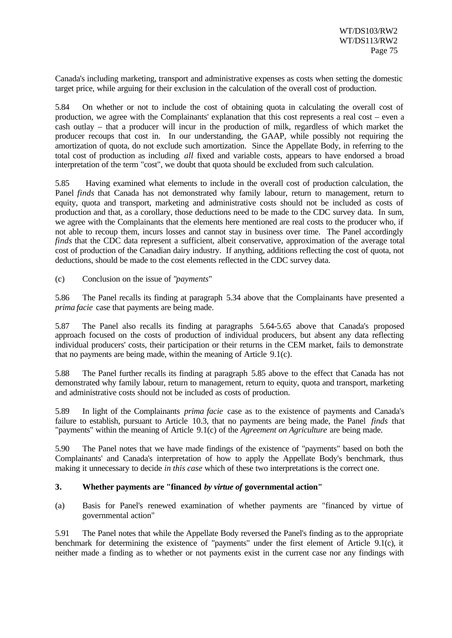Canada's including marketing, transport and administrative expenses as costs when setting the domestic target price, while arguing for their exclusion in the calculation of the overall cost of production.

5.84 On whether or not to include the cost of obtaining quota in calculating the overall cost of production, we agree with the Complainants' explanation that this cost represents a real cost – even a cash outlay – that a producer will incur in the production of milk, regardless of which market the producer recoups that cost in. In our understanding, the GAAP, while possibly not requiring the amortization of quota, do not exclude such amortization. Since the Appellate Body, in referring to the total cost of production as including *all* fixed and variable costs, appears to have endorsed a broad interpretation of the term "cost", we doubt that quota should be excluded from such calculation.

5.85 Having examined what elements to include in the overall cost of production calculation, the Panel *finds* that Canada has not demonstrated why family labour, return to management, return to equity, quota and transport, marketing and administrative costs should not be included as costs of production and that, as a corollary, those deductions need to be made to the CDC survey data. In sum, we agree with the Complainants that the elements here mentioned are real costs to the producer who, if not able to recoup them, incurs losses and cannot stay in business over time. The Panel accordingly *finds* that the CDC data represent a sufficient, albeit conservative, approximation of the average total cost of production of the Canadian dairy industry. If anything, additions reflecting the cost of quota, not deductions, should be made to the cost elements reflected in the CDC survey data.

(c) Conclusion on the issue of "*payments*"

5.86 The Panel recalls its finding at paragraph 5.34 above that the Complainants have presented a *prima facie* case that payments are being made.

5.87 The Panel also recalls its finding at paragraphs 5.64-5.65 above that Canada's proposed approach focused on the costs of production of individual producers, but absent any data reflecting individual producers' costs, their participation or their returns in the CEM market, fails to demonstrate that no payments are being made, within the meaning of Article 9.1(c).

5.88 The Panel further recalls its finding at paragraph 5.85 above to the effect that Canada has not demonstrated why family labour, return to management, return to equity, quota and transport, marketing and administrative costs should not be included as costs of production.

5.89 In light of the Complainants *prima facie* case as to the existence of payments and Canada's failure to establish, pursuant to Article 10.3, that no payments are being made, the Panel *finds* that "payments" within the meaning of Article 9.1(c) of the *Agreement on Agriculture* are being made.

5.90 The Panel notes that we have made findings of the existence of "payments" based on both the Complainants' and Canada's interpretation of how to apply the Appellate Body's benchmark, thus making it unnecessary to decide *in this case* which of these two interpretations is the correct one.

#### **3. Whether payments are "financed** *by virtue of* **governmental action"**

(a) Basis for Panel's renewed examination of whether payments are "financed by virtue of governmental action"

5.91 The Panel notes that while the Appellate Body reversed the Panel's finding as to the appropriate benchmark for determining the existence of "payments" under the first element of Article 9.1(c), it neither made a finding as to whether or not payments exist in the current case nor any findings with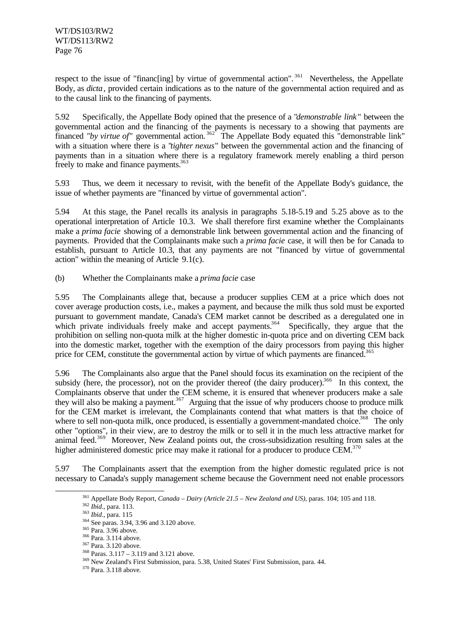respect to the issue of "financ[ing] by virtue of governmental action".<sup>361</sup> Nevertheless, the Appellate Body, as *dicta*, provided certain indications as to the nature of the governmental action required and as to the causal link to the financing of payments.

5.92 Specifically, the Appellate Body opined that the presence of a "*demonstrable link* " between the governmental action and the financing of the payments is necessary to a showing that payments are financed *"by virtue of"* governmental action.<sup>362</sup> The Appellate Body equated this "demonstrable link" with a situation where there is a "*tighter nexus*" between the governmental action and the financing of payments than in a situation where there is a regulatory framework merely enabling a third person freely to make and finance payments.<sup>363</sup>

5.93 Thus, we deem it necessary to revisit, with the benefit of the Appellate Body's guidance, the issue of whether payments are "financed by virtue of governmental action".

5.94 At this stage, the Panel recalls its analysis in paragraphs 5.18-5.19 and 5.25 above as to the operational interpretation of Article 10.3. We shall therefore first examine whether the Complainants make a *prima facie* showing of a demonstrable link between governmental action and the financing of payments. Provided that the Complainants make such a *prima facie* case, it will then be for Canada to establish, pursuant to Article 10.3, that any payments are not "financed by virtue of governmental action" within the meaning of Article 9.1(c).

(b) Whether the Complainants make a *prima facie* case

5.95 The Complainants allege that, because a producer supplies CEM at a price which does not cover average production costs, i.e., makes a payment, and because the milk thus sold must be exported pursuant to government mandate, Canada's CEM market cannot be described as a deregulated one in which private individuals freely make and accept payments.<sup>364</sup> Specifically, they argue that the prohibition on selling non-quota milk at the higher domestic in-quota price and on diverting CEM back into the domestic market, together with the exemption of the dairy processors from paying this higher price for CEM, constitute the governmental action by virtue of which payments are financed.<sup>365</sup>

5.96 The Complainants also argue that the Panel should focus its examination on the recipient of the subsidy (here, the processor), not on the provider thereof (the dairy producer).<sup>366</sup> In this context, the Complainants observe that under the CEM scheme, it is ensured that whenever producers make a sale they will also be making a payment.<sup>367</sup> Arguing that the issue of why producers choose to produce milk for the CEM market is irrelevant, the Complainants contend that what matters is that the choice of where to sell non-quota milk, once produced, is essentially a government-mandated choice.<sup>368</sup> The only other "options", in their view, are to destroy the milk or to sell it in the much less attractive market for animal feed.<sup>369</sup> Moreover, New Zealand points out, the cross-subsidization resulting from sales at the higher administered domestic price may make it rational for a producer to produce  $CEM$ .<sup>370</sup>

5.97 The Complainants assert that the exemption from the higher domestic regulated price is not necessary to Canada's supply management scheme because the Government need not enable processors

<sup>361</sup> Appellate Body Report, *Canada – Dairy (Article 21.5 – New Zealand and US)*, paras. 104; 105 and 118.

<sup>362</sup> *Ibid.*, para. 113.

<sup>363</sup> *Ibid.*, para. 115

<sup>364</sup> See paras. 3.94, 3.96 and 3.120 above.

<sup>365</sup> Para. 3.96 above.

<sup>366</sup> Para. 3.114 above.

<sup>367</sup> Para. 3.120 above.

<sup>368</sup> Paras. 3.117 – 3.119 and 3.121 above.

<sup>369</sup> New Zealand's First Submission, para. 5.38, United States' First Submission, para. 44.

<sup>370</sup> Para. 3.118 above.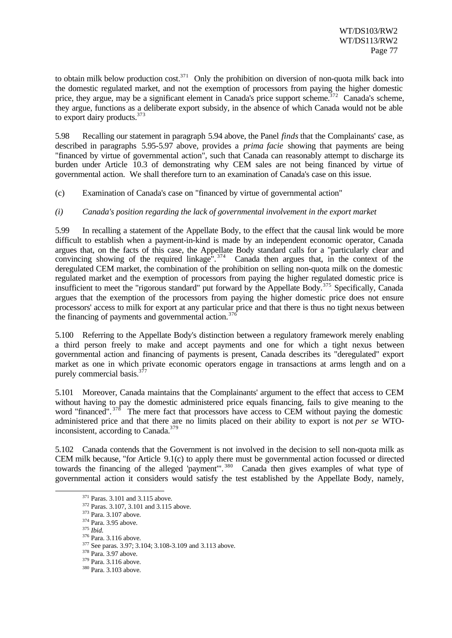to obtain milk below production cost.<sup>371</sup> Only the prohibition on diversion of non-quota milk back into the domestic regulated market, and not the exemption of processors from paying the higher domestic price, they argue, may be a significant element in Canada's price support scheme.<sup>372</sup> Canada's scheme, they argue, functions as a deliberate export subsidy, in the absence of which Canada would not be able to export dairy products.<sup>373</sup>

5.98 Recalling our statement in paragraph 5.94 above, the Panel *finds* that the Complainants' case, as described in paragraphs 5.95-5.97 above, provides a *prima facie* showing that payments are being "financed by virtue of governmental action", such that Canada can reasonably attempt to discharge its burden under Article 10.3 of demonstrating why CEM sales are not being financed by virtue of governmental action. We shall therefore turn to an examination of Canada's case on this issue.

(c) Examination of Canada's case on "financed by virtue of governmental action"

# *(i) Canada's position regarding the lack of governmental involvement in the export market*

5.99 In recalling a statement of the Appellate Body, to the effect that the causal link would be more difficult to establish when a payment-in-kind is made by an independent economic operator, Canada argues that, on the facts of this case, the Appellate Body standard calls for a "particularly clear and convincing showing of the required linkage".<sup>374</sup> Canada then argues that, in the context of the deregulated CEM market, the combination of the prohibition on selling non-quota milk on the domestic regulated market and the exemption of processors from paying the higher regulated domestic price is insufficient to meet the "rigorous standard" put forward by the Appellate Body.<sup>375</sup> Specifically, Canada argues that the exemption of the processors from paying the higher domestic price does not ensure processors' access to milk for export at any particular price and that there is thus no tight nexus between the financing of payments and governmental action.<sup>376</sup>

5.100 Referring to the Appellate Body's distinction between a regulatory framework merely enabling a third person freely to make and accept payments and one for which a tight nexus between governmental action and financing of payments is present, Canada describes its "deregulated" export market as one in which private economic operators engage in transactions at arms length and on a purely commercial basis.<sup>37</sup>

5.101 Moreover, Canada maintains that the Complainants' argument to the effect that access to CEM without having to pay the domestic administered price equals financing, fails to give meaning to the word "financed".<sup>378</sup> The mere fact that processors have access to CEM without paying the domestic administered price and that there are no limits placed on their ability to export is not *per se* WTOinconsistent, according to Canada. $379$ 

5.102 Canada contends that the Government is not involved in the decision to sell non-quota milk as CEM milk because, "for Article 9.1(c) to apply there must be governmental action focussed or directed towards the financing of the alleged 'payment".<sup>380</sup> Canada then gives examples of what type of governmental action it considers would satisfy the test established by the Appellate Body, namely,

<sup>375</sup> *Ibid*.

<sup>371</sup> Paras. 3.101 and 3.115 above.

<sup>372</sup> Paras. 3.107, 3.101 and 3.115 above.

<sup>373</sup> Para. 3.107 above.

<sup>374</sup> Para. 3.95 above.

<sup>&</sup>lt;sup>376</sup> Para. 3.116 above.

<sup>377</sup> See paras. 3.97; 3.104; 3.108-3.109 and 3.113 above.

<sup>378</sup> Para. 3.97 above.

<sup>379</sup> Para. 3.116 above.

<sup>380</sup> Para. 3.103 above.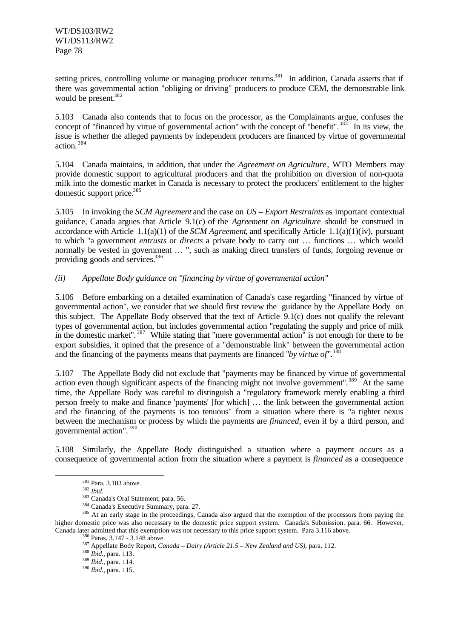setting prices, controlling volume or managing producer returns.<sup>381</sup> In addition, Canada asserts that if there was governmental action "obliging or driving" producers to produce CEM, the demonstrable link would be present.<sup>382</sup>

5.103 Canada also contends that to focus on the processor, as the Complainants argue, confuses the concept of "financed by virtue of governmental action" with the concept of "benefit".<sup>383</sup> In its view, the issue is whether the alleged payments by independent producers are financed by virtue of governmental action. <sup>384</sup>

5.104 Canada maintains, in addition, that under the *Agreement on Agriculture*, WTO Members may provide domestic support to agricultural producers and that the prohibition on diversion of non-quota milk into the domestic market in Canada is necessary to protect the producers' entitlement to the higher domestic support price.<sup>385</sup>

5.105 In invoking the *SCM Agreement* and the case on *US – Export Restraints* as important contextual guidance, Canada argues that Article 9.1(c) of the *Agreement on Agriculture* should be construed in accordance with Article 1.1(a)(1) of the *SCM Agreement*, and specifically Article 1.1(a)(1)(iv), pursuant to which "a government *entrusts* or *directs* a private body to carry out … functions … which would normally be vested in government … ", such as making direct transfers of funds, forgoing revenue or providing goods and services.<sup>386</sup>

# *(ii) Appellate Body guidance on "financing by virtue of governmental action"*

5.106 Before embarking on a detailed examination of Canada's case regarding "financed by virtue of governmental action", we consider that we should first review the guidance by the Appellate Body on this subject. The Appellate Body observed that the text of Article 9.1(c) does not qualify the relevant types of governmental action, but includes governmental action "regulating the supply and price of milk in the domestic market".<sup>387</sup> While stating that "mere governmental action" is not enough for there to be export subsidies, it opined that the presence of a "demonstrable link" between the governmental action and the financing of the payments means that payments are financed "*by virtue of*".<sup>3</sup>

5.107 The Appellate Body did not exclude that "payments may be financed by virtue of governmental action even though significant aspects of the financing might not involve government".<sup>389</sup> At the same time, the Appellate Body was careful to distinguish a "regulatory framework merely enabling a third person freely to make and finance 'payments' [for which] … the link between the governmental action and the financing of the payments is too tenuous" from a situation where there is "a tighter nexus between the mechanism or process by which the payments are *financed*, even if by a third person, and governmental action". <sup>390</sup>

5.108 Similarly, the Appellate Body distinguished a situation where a payment *occurs* as a consequence of governmental action from the situation where a payment is *financed* as a consequence

<sup>381</sup> Para. 3.103 above.

<sup>382</sup> *Ibid*.

<sup>383</sup> Canada's Oral Statement, para. 56.

<sup>384</sup> Canada's Executive Summary, para. 27.

<sup>&</sup>lt;sup>385</sup> At an early stage in the proceedings, Canada also argued that the exemption of the processors from paying the higher domestic price was also necessary to the domestic price support system. Canada's Submission. para. 66. However, Canada later admitted that this exemption was not necessary to this price support system. Para 3.116 above.

<sup>&</sup>lt;sup>386</sup> Paras. 3.147 - 3.148 above.

<sup>387</sup> Appellate Body Report, *Canada – Dairy (Article 21.5 – New Zealand and US)*, para. 112.

<sup>388</sup> *Ibid.*, para. 113.

<sup>389</sup> *Ibid.*, para. 114.

<sup>390</sup> *Ibid.*, para. 115.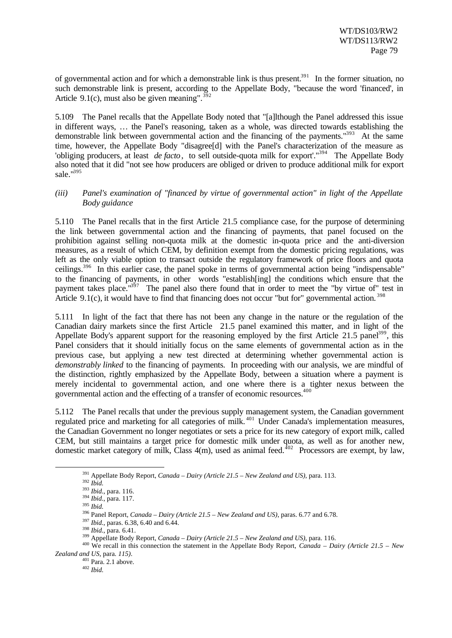of governmental action and for which a demonstrable link is thus present.<sup>391</sup> In the former situation, no such demonstrable link is present, according to the Appellate Body, "because the word 'financed', in Article 9.1(c), must also be given meaning".  $392$ 

5.109 The Panel recalls that the Appellate Body noted that "[a]lthough the Panel addressed this issue in different ways, … the Panel's reasoning, taken as a whole, was directed towards establishing the demonstrable link between governmental action and the financing of the payments."<sup>393</sup> At the same time, however, the Appellate Body "disagree[d] with the Panel's characterization of the measure as 'obliging producers, at least *de facto*, to sell outside-quota milk for export'."<sup>394</sup> The Appellate Body also noted that it did "not see how producers are obliged or driven to produce additional milk for export sale."<sup>395</sup>

## *(iii) Panel's examination of "financed by virtue of governmental action" in light of the Appellate Body guidance*

5.110 The Panel recalls that in the first Article 21.5 compliance case, for the purpose of determining the link between governmental action and the financing of payments, that panel focused on the prohibition against selling non-quota milk at the domestic in-quota price and the anti-diversion measures, as a result of which CEM, by definition exempt from the domestic pricing regulations, was left as the only viable option to transact outside the regulatory framework of price floors and quota ceilings.<sup>396</sup> In this earlier case, the panel spoke in terms of governmental action being "indispensable" to the financing of payments, in other words "establish[ing] the conditions which ensure that the payment takes place.<sup>"397</sup> The panel also there found that in order to meet the "by virtue of" test in Article 9.1(c), it would have to find that financing does not occur "but for" governmental action.<sup>398</sup>

5.111 In light of the fact that there has not been any change in the nature or the regulation of the Canadian dairy markets since the first Article 21.5 panel examined this matter, and in light of the Appellate Body's apparent support for the reasoning employed by the first Article 21.5 panel<sup>399</sup>, this Panel considers that it should initially focus on the same elements of governmental action as in the previous case, but applying a new test directed at determining whether governmental action is *demonstrably linked* to the financing of payments. In proceeding with our analysis, we are mindful of the distinction, rightly emphasized by the Appellate Body, between a situation where a payment is merely incidental to governmental action, and one where there is a tighter nexus between the governmental action and the effecting of a transfer of economic resources.<sup>400</sup>

5.112 The Panel recalls that under the previous supply management system, the Canadian government regulated price and marketing for all categories of milk. <sup>401</sup> Under Canada's implementation measures, the Canadian Government no longer negotiates or sets a price for its new category of export milk, called CEM, but still maintains a target price for domestic milk under quota, as well as for another new, domestic market category of milk, Class  $4(m)$ , used as animal feed.<sup>402</sup> Processors are exempt, by law,

l

<sup>399</sup> Appellate Body Report, *Canada – Dairy (Article 21.5 – New Zealand and US)*, para. 116.

<sup>391</sup> Appellate Body Report, *Canada – Dairy (Article 21.5 – New Zealand and US)*, para. 113.

<sup>392</sup> *Ibid.*

<sup>393</sup> *Ibid.*, para. 116.

<sup>394</sup> *Ibid.*, para. 117.

<sup>395</sup> *Ibid.*

<sup>396</sup> Panel Report, *Canada – Dairy (Article 21.5 – New Zealand and US)*, paras. 6.77 and 6.78.

<sup>397</sup> *Ibid.*, paras. 6.38, 6.40 and 6.44.

<sup>398</sup> *Ibid.*, para. 6.41.

<sup>400</sup> We recall in this connection the statement in the Appellate Body Report, *Canada – Dairy (Article 21.5 – New Zealand and US,* para*. 115)*.

 $401$  Para. 2.1 above.

<sup>402</sup> *Ibid*.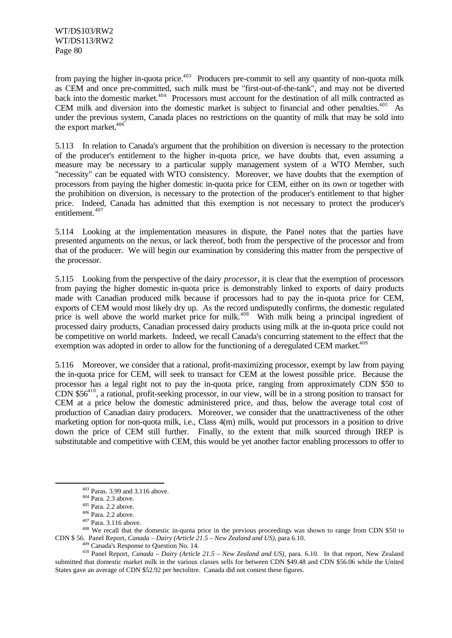from paying the higher in-quota price.<sup>403</sup> Producers pre-commit to sell any quantity of non-quota milk as CEM and once pre-committed, such milk must be "first-out-of-the-tank", and may not be diverted back into the domestic market.<sup>404</sup> Processors must account for the destination of all milk contracted as CEM milk and diversion into the domestic market is subject to financial and other penalties.<sup>405</sup> As under the previous system, Canada places no restrictions on the quantity of milk that may be sold into the export market.<sup>406</sup>

5.113 In relation to Canada's argument that the prohibition on diversion is necessary to the protection of the producer's entitlement to the higher in-quota price, we have doubts that, even assuming a measure may be necessary to a particular supply management system of a WTO Member, such "necessity" can be equated with WTO consistency. Moreover, we have doubts that the exemption of processors from paying the higher domestic in-quota price for CEM, either on its own or together with the prohibition on diversion, is necessary to the protection of the producer's entitlement to that higher price. Indeed, Canada has admitted that this exemption is not necessary to protect the producer's  $entilement<sup>407</sup>$ 

5.114 Looking at the implementation measures in dispute, the Panel notes that the parties have presented arguments on the nexus, or lack thereof, both from the perspective of the processor and from that of the producer. We will begin our examination by considering this matter from the perspective of the processor.

5.115 Looking from the perspective of the dairy *processor*, it is clear that the exemption of processors from paying the higher domestic in-quota price is demonstrably linked to exports of dairy products made with Canadian produced milk because if processors had to pay the in-quota price for CEM, exports of CEM would most likely dry up. As the record undisputedly confirms, the domestic regulated price is well above the world market price for milk.<sup>408</sup> With milk being a principal ingredient of processed dairy products, Canadian processed dairy products using milk at the in-quota price could not be competitive on world markets. Indeed, we recall Canada's concurring statement to the effect that the exemption was adopted in order to allow for the functioning of a deregulated CEM market.<sup>409</sup>

5.116 Moreover, we consider that a rational, profit-maximizing processor, exempt by law from paying the in-quota price for CEM, will seek to transact for CEM at the lowest possible price. Because the processor has a legal right not to pay the in-quota price, ranging from approximately CDN \$50 to CDN  $$56<sup>410</sup>$ , a rational, profit-seeking processor, in our view, will be in a strong position to transact for CEM at a price below the domestic administered price, and thus, below the average total cost of production of Canadian dairy producers. Moreover, we consider that the unattractiveness of the other marketing option for non-quota milk, i.e., Class 4(m) milk, would put processors in a position to drive down the price of CEM still further. Finally, to the extent that milk sourced through IREP is substitutable and competitive with CEM, this would be yet another factor enabling processors to offer to

l

<sup>410</sup> Panel Report, *Canada – Dairy (Article 21.5 – New Zealand and US)*, para. 6.10. In that report, New Zealand submitted that domestic market milk in the various classes sells for between CDN \$49.48 and CDN \$56.06 while the United States gave an average of CDN \$52.92 per hectolitre. Canada did not contest these figures.

<sup>403</sup> Paras. 3.99 and 3.116 above.

<sup>404</sup> Para. 2.3 above.

<sup>405</sup> Para. 2.2 above.

<sup>406</sup> Para. 2.2 above.

<sup>407</sup> Para. 3.116 above.

<sup>&</sup>lt;sup>408</sup> We recall that the domestic in-quota price in the previous proceedings was shown to range from CDN \$50 to CDN \$ 56. Panel Report, *Canada – Dairy (Article 21.5 – New Zealand and US)*, para 6.10.

<sup>409</sup> Canada's Response to Question No. 14.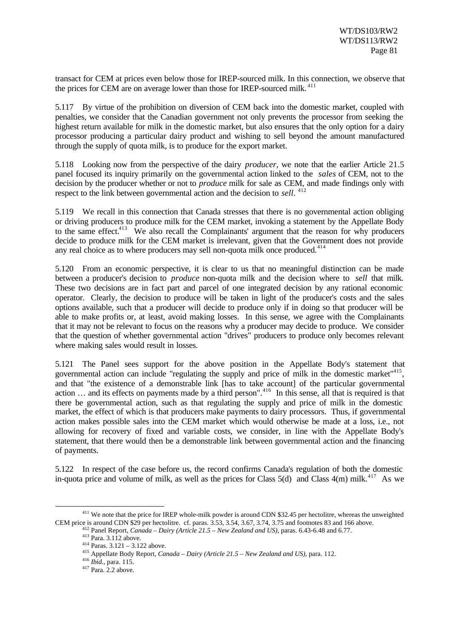transact for CEM at prices even below those for IREP-sourced milk. In this connection, we observe that the prices for CEM are on average lower than those for IREP-sourced milk.<sup>411</sup>

5.117 By virtue of the prohibition on diversion of CEM back into the domestic market, coupled with penalties, we consider that the Canadian government not only prevents the processor from seeking the highest return available for milk in the domestic market, but also ensures that the only option for a dairy processor producing a particular dairy product and wishing to sell beyond the amount manufactured through the supply of quota milk, is to produce for the export market.

5.118 Looking now from the perspective of the dairy *producer*, we note that the earlier Article 21.5 panel focused its inquiry primarily on the governmental action linked to the *sales* of CEM, not to the decision by the producer whether or not to *produce* milk for sale as CEM, and made findings only with respect to the link between governmental action and the decision to *sell*. 412

5.119 We recall in this connection that Canada stresses that there is no governmental action obliging or driving producers to produce milk for the CEM market, invoking a statement by the Appellate Body to the same effect.<sup>413</sup> We also recall the Complainants' argument that the reason for why producers decide to produce milk for the CEM market is irrelevant, given that the Government does not provide any real choice as to where producers may sell non-quota milk once produced.<sup>414</sup>

5.120 From an economic perspective, it is clear to us that no meaningful distinction can be made between a producer's decision to *produce* non-quota milk and the decision where to *sell* that milk. These two decisions are in fact part and parcel of one integrated decision by any rational economic operator. Clearly, the decision to produce will be taken in light of the producer's costs and the sales options available, such that a producer will decide to produce only if in doing so that producer will be able to make profits or, at least, avoid making losses. In this sense, we agree with the Complainants that it may not be relevant to focus on the reasons why a producer may decide to produce. We consider that the question of whether governmental action "drives" producers to produce only becomes relevant where making sales would result in losses.

5.121 The Panel sees support for the above position in the Appellate Body's statement that governmental action can include "regulating the supply and price of milk in the domestic market"<sup>415</sup>, and that "the existence of a demonstrable link [has to take account] of the particular governmental action … and its effects on payments made by a third person".<sup>416</sup> In this sense, all that is required is that there be governmental action, such as that regulating the supply and price of milk in the domestic market, the effect of which is that producers make payments to dairy processors. Thus, if governmental action makes possible sales into the CEM market which would otherwise be made at a loss, i.e., not allowing for recovery of fixed and variable costs, we consider, in line with the Appellate Body's statement, that there would then be a demonstrable link between governmental action and the financing of payments.

5.122 In respect of the case before us, the record confirms Canada's regulation of both the domestic in-quota price and volume of milk, as well as the prices for Class 5(d) and Class 4(m) milk.<sup>417</sup> As we

<sup>&</sup>lt;sup>411</sup> We note that the price for IREP whole-milk powder is around CDN \$32.45 per hectolitre, whereas the unweighted CEM price is around CDN \$29 per hectolitre. cf. paras. 3.53, 3.54, 3.67, 3.74, 3.75 and footnotes 83 and 166 above.

<sup>412</sup> Panel Report, *Canada – Dairy (Article 21.5 – New Zealand and US)*, paras. 6.43-6.48 and 6.77.

<sup>413</sup> Para. 3.112 above.

<sup>414</sup> Paras. 3.121 – 3.122 above.

<sup>415</sup> Appellate Body Report, *Canada – Dairy (Article 21.5 – New Zealand and US)*, para. 112.

<sup>416</sup> *Ibid.*, para. 115.

<sup>417</sup> Para. 2.2 above.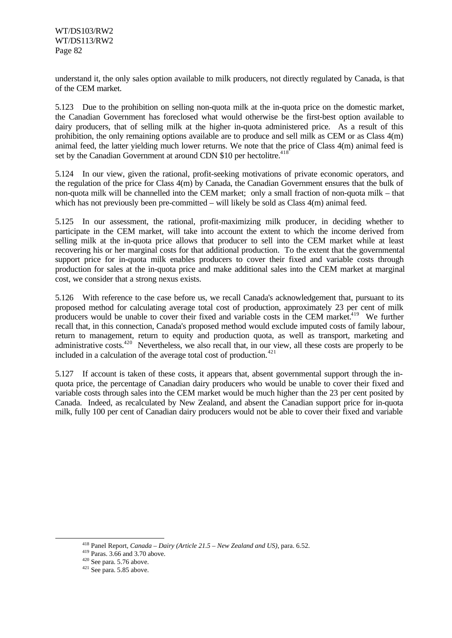understand it, the only sales option available to milk producers, not directly regulated by Canada, is that of the CEM market.

5.123 Due to the prohibition on selling non-quota milk at the in-quota price on the domestic market, the Canadian Government has foreclosed what would otherwise be the first-best option available to dairy producers, that of selling milk at the higher in-quota administered price. As a result of this prohibition, the only remaining options available are to produce and sell milk as CEM or as Class 4(m) animal feed, the latter yielding much lower returns. We note that the price of Class 4(m) animal feed is set by the Canadian Government at around CDN \$10 per hectolitre.<sup>418</sup>

5.124 In our view, given the rational, profit-seeking motivations of private economic operators, and the regulation of the price for Class 4(m) by Canada, the Canadian Government ensures that the bulk of non-quota milk will be channelled into the CEM market; only a small fraction of non-quota milk – that which has not previously been pre-committed – will likely be sold as Class 4(m) animal feed.

5.125 In our assessment, the rational, profit-maximizing milk producer, in deciding whether to participate in the CEM market, will take into account the extent to which the income derived from selling milk at the in-quota price allows that producer to sell into the CEM market while at least recovering his or her marginal costs for that additional production. To the extent that the governmental support price for in-quota milk enables producers to cover their fixed and variable costs through production for sales at the in-quota price and make additional sales into the CEM market at marginal cost, we consider that a strong nexus exists.

5.126 With reference to the case before us, we recall Canada's acknowledgement that, pursuant to its proposed method for calculating average total cost of production, approximately 23 per cent of milk producers would be unable to cover their fixed and variable costs in the CEM market.<sup>419</sup> We further recall that, in this connection, Canada's proposed method would exclude imputed costs of family labour, return to management, return to equity and production quota, as well as transport, marketing and administrative costs.<sup>420</sup> Nevertheless, we also recall that, in our view, all these costs are properly to be included in a calculation of the average total cost of production. $421$ 

5.127 If account is taken of these costs, it appears that, absent governmental support through the inquota price, the percentage of Canadian dairy producers who would be unable to cover their fixed and variable costs through sales into the CEM market would be much higher than the 23 per cent posited by Canada. Indeed, as recalculated by New Zealand, and absent the Canadian support price for in-quota milk, fully 100 per cent of Canadian dairy producers would not be able to cover their fixed and variable

<sup>418</sup> Panel Report, *Canada – Dairy (Article 21.5 – New Zealand and US)*, para. 6.52.

<sup>419</sup> Paras. 3.66 and 3.70 above.

 $420$  See para. 5.76 above.

 $421$  See para. 5.85 above.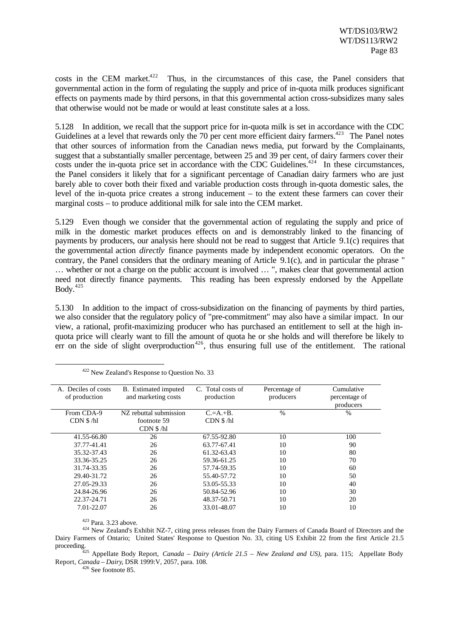costs in the CEM market. $422$  Thus, in the circumstances of this case, the Panel considers that governmental action in the form of regulating the supply and price of in-quota milk produces significant effects on payments made by third persons, in that this governmental action cross-subsidizes many sales that otherwise would not be made or would at least constitute sales at a loss.

5.128 In addition, we recall that the support price for in-quota milk is set in accordance with the CDC Guidelines at a level that rewards only the 70 per cent more efficient dairy farmers.<sup>423</sup> The Panel notes that other sources of information from the Canadian news media, put forward by the Complainants, suggest that a substantially smaller percentage, between 25 and 39 per cent, of dairy farmers cover their costs under the in-quota price set in accordance with the CDC Guidelines.<sup>424</sup> In these circumstances, the Panel considers it likely that for a significant percentage of Canadian dairy farmers who are just barely able to cover both their fixed and variable production costs through in-quota domestic sales, the level of the in-quota price creates a strong inducement – to the extent these farmers can cover their marginal costs – to produce additional milk for sale into the CEM market.

5.129 Even though we consider that the governmental action of regulating the supply and price of milk in the domestic market produces effects on and is demonstrably linked to the financing of payments by producers, our analysis here should not be read to suggest that Article 9.1(c) requires that the governmental action *directly* finance payments made by independent economic operators. On the contrary, the Panel considers that the ordinary meaning of Article 9.1(c), and in particular the phrase " … whether or not a charge on the public account is involved … ", makes clear that governmental action need not directly finance payments. This reading has been expressly endorsed by the Appellate Body. $425$ 

5.130 In addition to the impact of cross-subsidization on the financing of payments by third parties, we also consider that the regulatory policy of "pre-commitment" may also have a similar impact. In our view, a rational, profit-maximizing producer who has purchased an entitlement to sell at the high inquota price will clearly want to fill the amount of quota he or she holds and will therefore be likely to err on the side of slight overproduction<sup>426</sup>, thus ensuring full use of the entitlement. The rational

| A. Deciles of costs | B. Estimated imputed   | C. Total costs of | Percentage of | Cumulative    |  |
|---------------------|------------------------|-------------------|---------------|---------------|--|
| of production       | and marketing costs    | production        | producers     | percentage of |  |
|                     |                        |                   |               | producers     |  |
| From CDA-9          | NZ rebuttal submission | $C = A + B$ .     | $\frac{0}{0}$ | $\%$          |  |
| CDN \$/h1           | footnote 59            | $CDN$ \$ /hl      |               |               |  |
|                     | CDN \$/h1              |                   |               |               |  |
| 41.55-66.80         | 26                     | 67.55-92.80       | 10            | 100           |  |
| 37.77-41.41         | 26                     | 63.77-67.41       | 10            | 90            |  |
| 35.32-37.43         | 26                     | 61.32-63.43       | 10            | 80            |  |
| 33.36-35.25         | 26                     | 59.36-61.25       | 10            | 70            |  |
| 31.74-33.35         | 26                     | 57.74-59.35       | 10            | 60            |  |
| 29.40-31.72         | 26                     | 55.40-57.72       | 10            | 50            |  |
| 27.05-29.33         | 26                     | 53.05-55.33       | 10            | 40            |  |
| 24.84-26.96         | 26                     | 50.84-52.96       | 10            | 30            |  |
| 22.37-24.71         | 26                     | 48.37-50.71       | 10            | 20            |  |
| 7.01-22.07          | 26                     | 33.01-48.07       | 10            | 10            |  |

<sup>422</sup> New Zealand's Response to Question No. 33

<sup>423</sup> Para. 3.23 above.

l

<sup>424</sup> New Zealand's Exhibit NZ-7, citing press releases from the Dairy Farmers of Canada Board of Directors and the Dairy Farmers of Ontario; United States' Response to Question No. 33, citing US Exhibit 22 from the first Article 21.5 proceeding.

<sup>425</sup> Appellate Body Report, *Canada – Dairy (Article 21.5 – New Zealand and US)*, para. 115; Appellate Body Report, *Canada – Dairy*, DSR 1999:V, 2057, para. 108.

 $426$  See footnote 85.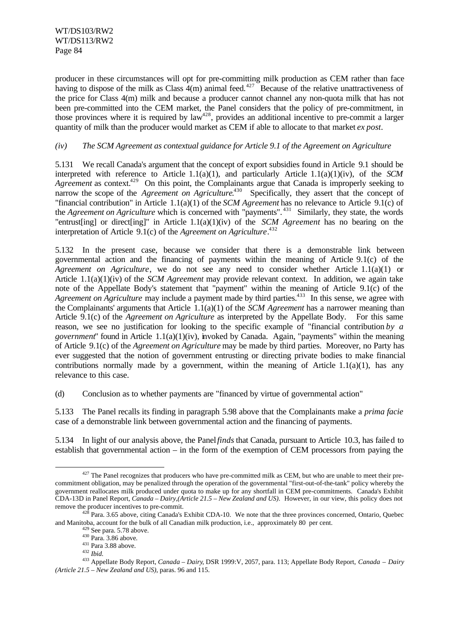producer in these circumstances will opt for pre-committing milk production as CEM rather than face having to dispose of the milk as Class  $\frac{4(m)}{m}$  animal feed.<sup>427</sup> Because of the relative unattractiveness of the price for Class 4(m) milk and because a producer cannot channel any non-quota milk that has not been pre-committed into the CEM market, the Panel considers that the policy of pre-commitment, in those provinces where it is required by law<sup>428</sup>, provides an additional incentive to pre-commit a larger quantity of milk than the producer would market as CEM if able to allocate to that market *ex post*.

# *(iv) The SCM Agreement as contextual guidance for Article 9.1 of the Agreement on Agriculture*

5.131 We recall Canada's argument that the concept of export subsidies found in Article 9.1 should be interpreted with reference to Article 1.1(a)(1), and particularly Article 1.1(a)(1)(iv), of the *SCM Agreement* as context.<sup>429</sup> On this point, the Complainants argue that Canada is improperly seeking to narrow the scope of the *Agreement on Agriculture*.<sup>430</sup> Specifically, they assert that the concept of "financial contribution" in Article 1.1(a)(1) of the *SCM Agreement* has no relevance to Article 9.1(c) of the *Agreement on Agriculture* which is concerned with "payments".<sup>431</sup> Similarly, they state, the words "entrust[ing] or direct[ing]" in Article 1.1(a)(1)(iv) of the *SCM Agreement* has no bearing on the interpretation of Article 9.1(c) of the *Agreement on Agriculture*. 432

5.132 In the present case, because we consider that there is a demonstrable link between governmental action and the financing of payments within the meaning of Article 9.1(c) of the *Agreement on Agriculture*, we do not see any need to consider whether Article 1.1(a)(1) or Article 1.1(a)(1)(iv) of the *SCM Agreement* may provide relevant context. In addition, we again take note of the Appellate Body's statement that "payment" within the meaning of Article 9.1(c) of the *Agreement on Agriculture* may include a payment made by third parties.<sup>433</sup> In this sense, we agree with the Complainants' arguments that Article 1.1(a)(1) of the *SCM Agreement* has a narrower meaning than Article 9.1(c) of the *Agreement on Agriculture* as interpreted by the Appellate Body. For this same reason, we see no justification for looking to the specific example of "financial contribution *by a government*" found in Article 1.1(a)(1)(iv), invoked by Canada. Again, "payments" within the meaning of Article 9.1(c) of the *Agreement on Agriculture* may be made by third parties. Moreover, no Party has ever suggested that the notion of government entrusting or directing private bodies to make financial contributions normally made by a government, within the meaning of Article 1.1(a)(1), has any relevance to this case.

(d) Conclusion as to whether payments are "financed by virtue of governmental action"

5.133 The Panel recalls its finding in paragraph 5.98 above that the Complainants make a *prima facie* case of a demonstrable link between governmental action and the financing of payments.

5.134 In light of our analysis above, the Panel*finds* that Canada, pursuant to Article 10.3, has failed to establish that governmental action – in the form of the exemption of CEM processors from paying the

 $427$  The Panel recognizes that producers who have pre-committed milk as CEM, but who are unable to meet their precommitment obligation, may be penalized through the operation of the governmental "first-out-of-the-tank" policy whereby the government reallocates milk produced under quota to make up for any shortfall in CEM pre-commitments.Canada's Exhibit CDA-13D in Panel Report, *Canada – Dairy,(Article 21.5 – New Zealand and US)*. However, in our view, this policy does not remove the producer incentives to pre-commit.

 $428$  Para. 3.65 above, citing Canada's Exhibit CDA-10. We note that the three provinces concerned, Ontario, Quebec and Manitoba, account for the bulk of all Canadian milk production, i.e., approximately 80 per cent.

<sup>429</sup> See para. 5.78 above.

<sup>430</sup> Para. 3.86 above.

<sup>431</sup> Para 3.88 above.

<sup>432</sup> *Ibid*.

<sup>433</sup> Appellate Body Report, *Canada – Dairy*, DSR 1999:V, 2057, para. 113; Appellate Body Report, *Canada – Dairy (Article 21.5 – New Zealand and US)*, paras. 96 and 115.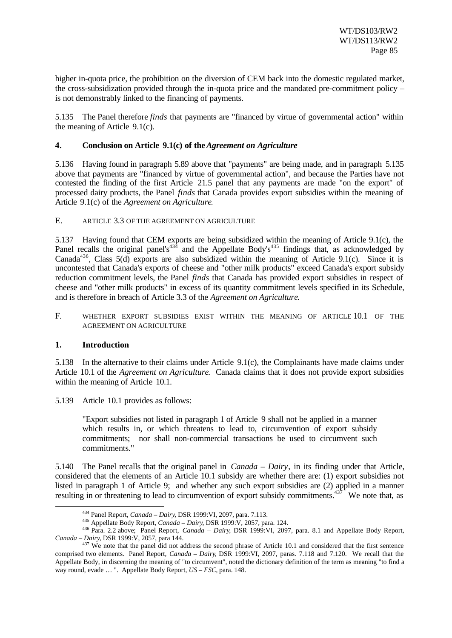higher in-quota price, the prohibition on the diversion of CEM back into the domestic regulated market, the cross-subsidization provided through the in-quota price and the mandated pre-commitment policy – is not demonstrably linked to the financing of payments.

5.135 The Panel therefore *finds* that payments are "financed by virtue of governmental action" within the meaning of Article 9.1(c).

# **4. Conclusion on Article 9.1(c) of the** *Agreement on Agriculture*

5.136 Having found in paragraph 5.89 above that "payments" are being made, and in paragraph 5.135 above that payments are "financed by virtue of governmental action", and because the Parties have not contested the finding of the first Article 21.5 panel that any payments are made "on the export" of processed dairy products, the Panel *finds* that Canada provides export subsidies within the meaning of Article 9.1(c) of the *Agreement on Agriculture*.

E. ARTICLE 3.3 OF THE AGREEMENT ON AGRICULTURE

5.137 Having found that CEM exports are being subsidized within the meaning of Article 9.1(c), the Panel recalls the original panel's<sup>434</sup> and the Appellate Body's<sup>435</sup> findings that, as acknowledged by Canada<sup>436</sup>, Class 5(d) exports are also subsidized within the meaning of Article 9.1(c). Since it is uncontested that Canada's exports of cheese and "other milk products" exceed Canada's export subsidy reduction commitment levels, the Panel *finds* that Canada has provided export subsidies in respect of cheese and "other milk products" in excess of its quantity commitment levels specified in its Schedule, and is therefore in breach of Article 3.3 of the *Agreement on Agriculture*.

F. WHETHER EXPORT SUBSIDIES EXIST WITHIN THE MEANING OF ARTICLE 10.1 OF THE AGREEMENT ON AGRICULTURE

#### **1. Introduction**

l

5.138 In the alternative to their claims under Article 9.1(c), the Complainants have made claims under Article 10.1 of the *Agreement on Agriculture*. Canada claims that it does not provide export subsidies within the meaning of Article 10.1.

5.139 Article 10.1 provides as follows:

"Export subsidies not listed in paragraph 1 of Article 9 shall not be applied in a manner which results in, or which threatens to lead to, circumvention of export subsidy commitments; nor shall non-commercial transactions be used to circumvent such commitments."

5.140 The Panel recalls that the original panel in *Canada – Dairy*, in its finding under that Article, considered that the elements of an Article 10.1 subsidy are whether there are: (1) export subsidies not listed in paragraph 1 of Article 9; and whether any such export subsidies are (2) applied in a manner resulting in or threatening to lead to circumvention of export subsidy commitments.<sup>437</sup> We note that, as

<sup>434</sup> Panel Report, *Canada – Dairy*, DSR 1999:VI, 2097, para. 7.113.

<sup>435</sup> Appellate Body Report, *Canada – Dairy*, DSR 1999:V, 2057, para. 124.

<sup>436</sup> Para. 2.2 above; Panel Report, *Canada – Dairy*, DSR 1999:VI, 2097, para. 8.1 and Appellate Body Report, *Canada – Dairy*, DSR 1999:V, 2057, para 144.

<sup>&</sup>lt;sup>437</sup> We note that the panel did not address the second phrase of Article 10.1 and considered that the first sentence comprised two elements. Panel Report, *Canada – Dairy*, DSR 1999:VI, 2097, paras. 7.118 and 7.120. We recall that the Appellate Body, in discerning the meaning of "to circumvent", noted the dictionary definition of the term as meaning "to find a way round, evade … ". Appellate Body Report, *US – FSC*, para. 148.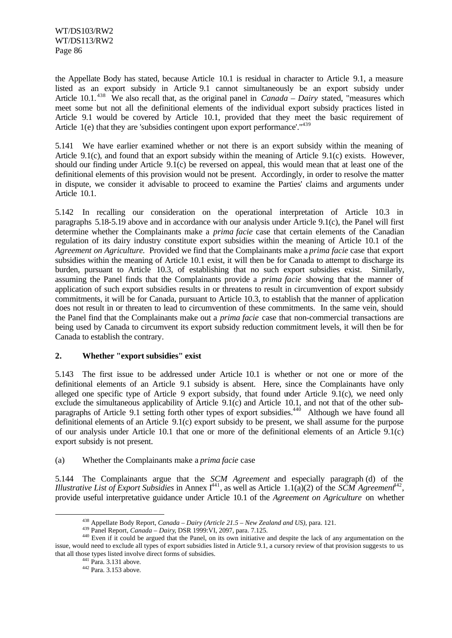the Appellate Body has stated, because Article 10.1 is residual in character to Article 9.1, a measure listed as an export subsidy in Article 9.1 cannot simultaneously be an export subsidy under Article 10.1. <sup>438</sup> We also recall that, as the original panel in *Canada – Dairy* stated, "measures which meet some but not all the definitional elements of the individual export subsidy practices listed in Article 9.1 would be covered by Article 10.1, provided that they meet the basic requirement of Article  $1(e)$  that they are 'subsidies contingent upon export performance'." $439$ 

5.141 We have earlier examined whether or not there is an export subsidy within the meaning of Article 9.1(c), and found that an export subsidy within the meaning of Article 9.1(c) exists. However, should our finding under Article 9.1(c) be reversed on appeal, this would mean that at least one of the definitional elements of this provision would not be present. Accordingly, in order to resolve the matter in dispute, we consider it advisable to proceed to examine the Parties' claims and arguments under Article 10.1.

5.142 In recalling our consideration on the operational interpretation of Article 10.3 in paragraphs 5.18-5.19 above and in accordance with our analysis under Article 9.1(c), the Panel will first determine whether the Complainants make a *prima facie* case that certain elements of the Canadian regulation of its dairy industry constitute export subsidies within the meaning of Article 10.1 of the *Agreement on Agriculture.* Provided we find that the Complainants make a *prima facie* case that export subsidies within the meaning of Article 10.1 exist, it will then be for Canada to attempt to discharge its burden, pursuant to Article 10.3, of establishing that no such export subsidies exist. Similarly, assuming the Panel finds that the Complainants provide a *prima facie* showing that the manner of application of such export subsidies results in or threatens to result in circumvention of export subsidy commitments, it will be for Canada, pursuant to Article 10.3, to establish that the manner of application does not result in or threaten to lead to circumvention of these commitments. In the same vein, should the Panel find that the Complainants make out a *prima facie* case that non-commercial transactions are being used by Canada to circumvent its export subsidy reduction commitment levels, it will then be for Canada to establish the contrary.

#### **2. Whether "export subsidies" exist**

5.143 The first issue to be addressed under Article 10.1 is whether or not one or more of the definitional elements of an Article 9.1 subsidy is absent. Here, since the Complainants have only alleged one specific type of Article 9 export subsidy, that found under Article 9.1(c), we need only exclude the simultaneous applicability of Article 9.1(c) and Article 10.1, and not that of the other subparagraphs of Article 9.1 setting forth other types of export subsidies.<sup>440</sup> Although we have found all definitional elements of an Article 9.1(c) export subsidy to be present, we shall assume for the purpose of our analysis under Article 10.1 that one or more of the definitional elements of an Article 9.1(c) export subsidy is not present.

#### (a) Whether the Complainants make a *prima facie* case

5.144 The Complainants argue that the *SCM Agreement* and especially paragraph (d) of the *Illustrative List of Export Subsidies* in Annex  $I^{44}$ , as well as Article 1.1(a)(2) of the *SCM Agreement*<sup>442</sup>, provide useful interpretative guidance under Article 10.1 of the *Agreement on Agriculture* on whether

<sup>438</sup> Appellate Body Report, *Canada – Dairy (Article 21.5 – New Zealand and US)*, para. 121.

<sup>439</sup> Panel Report, *Canada – Dairy*, DSR 1999:VI, 2097, para. 7.125.

<sup>&</sup>lt;sup>440</sup> Even if it could be argued that the Panel, on its own initiative and despite the lack of any argumentation on the issue, would need to exclude all types of export subsidies listed in Article 9.1, a cursory review of that provision suggests to us that all those types listed involve direct forms of subsidies.

<sup>441</sup> Para. 3.131 above.

<sup>442</sup> Para. 3.153 above.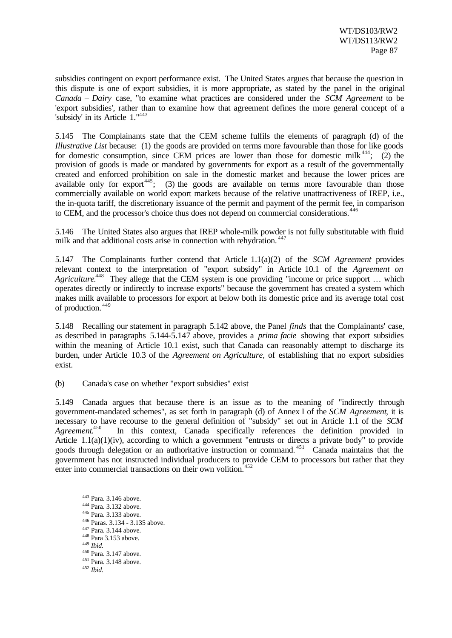subsidies contingent on export performance exist. The United States argues that because the question in this dispute is one of export subsidies, it is more appropriate, as stated by the panel in the original *Canada – Dairy* case, "to examine what practices are considered under the *SCM Agreement* to be 'export subsidies', rather than to examine how that agreement defines the more general concept of a 'subsidy' in its Article 1."<sup>443</sup>

5.145 The Complainants state that the CEM scheme fulfils the elements of paragraph (d) of the *Illustrative List* because: (1) the goods are provided on terms more favourable than those for like goods for domestic consumption, since CEM prices are lower than those for domestic milk<sup>444</sup>; (2) the provision of goods is made or mandated by governments for export as a result of the governmentally created and enforced prohibition on sale in the domestic market and because the lower prices are available only for export<sup>445</sup>; (3) the goods are available on terms more favourable than those commercially available on world export markets because of the relative unattractiveness of IREP, i.e., the in-quota tariff, the discretionary issuance of the permit and payment of the permit fee, in comparison to CEM, and the processor's choice thus does not depend on commercial considerations.<sup>446</sup>

5.146 The United States also argues that IREP whole-milk powder is not fully substitutable with fluid milk and that additional costs arise in connection with rehydration.<sup>447</sup>

5.147 The Complainants further contend that Article 1.1(a)(2) of the *SCM Agreement* provides relevant context to the interpretation of "export subsidy" in Article 10.1 of the *Agreement on* Agriculture.<sup>448</sup> They allege that the CEM system is one providing "income or price support ... which operates directly or indirectly to increase exports" because the government has created a system which makes milk available to processors for export at below both its domestic price and its average total cost of production. <sup>449</sup>

5.148 Recalling our statement in paragraph 5.142 above, the Panel *finds* that the Complainants' case, as described in paragraphs 5.144-5.147 above, provides a *prima facie* showing that export subsidies within the meaning of Article 10.1 exist, such that Canada can reasonably attempt to discharge its burden, under Article 10.3 of the *Agreement on Agriculture*, of establishing that no export subsidies exist.

(b) Canada's case on whether "export subsidies" exist

5.149 Canada argues that because there is an issue as to the meaning of "indirectly through government-mandated schemes", as set forth in paragraph (d) of Annex I of the *SCM Agreement*, it is necessary to have recourse to the general definition of "subsidy" set out in Article 1.1 of the *SCM Agreement*. In this context, Canada specifically references the definition provided in Article 1.1(a)(1)(iv), according to which a government "entrusts or directs a private body" to provide goods through delegation or an authoritative instruction or command.<sup>451</sup> Canada maintains that the government has not instructed individual producers to provide CEM to processors but rather that they enter into commercial transactions on their own volition.<sup>452</sup>

<sup>443</sup> Para. 3.146 above.

<sup>444</sup> Para. 3.132 above.

<sup>445</sup> Para. 3.133 above.

<sup>446</sup> Paras. 3.134 - 3.135 above.

<sup>447</sup> Para. 3.144 above.

<sup>448</sup> Para 3.153 above.

<sup>449</sup> *Ibid*.

<sup>450</sup> Para. 3.147 above.

<sup>451</sup> Para. 3.148 above.

<sup>452</sup> *Ibid*.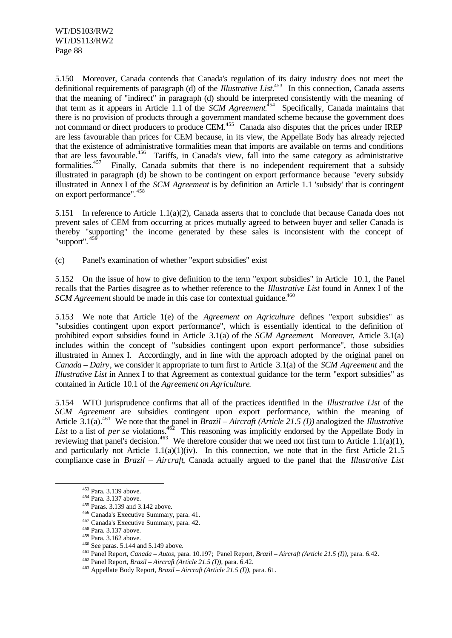5.150 Moreover, Canada contends that Canada's regulation of its dairy industry does not meet the definitional requirements of paragraph (d) of the *Illustrative List*. <sup>453</sup> In this connection, Canada asserts that the meaning of "indirect" in paragraph (d) should be interpreted consistently with the meaning of that term as it appears in Article 1.1 of the *SCM Agreement*. <sup>454</sup> Specifically, Canada maintains that there is no provision of products through a government mandated scheme because the government does not command or direct producers to produce CEM.<sup>455</sup> Canada also disputes that the prices under IREP are less favourable than prices for CEM because, in its view, the Appellate Body has already rejected that the existence of administrative formalities mean that imports are available on terms and conditions that are less favourable.<sup>456</sup> Tariffs, in Canada's view, fall into the same category as administrative formalities.<sup>457</sup> Finally, Canada submits that there is no independent requirement that a subsidy Finally, Canada submits that there is no independent requirement that a subsidy illustrated in paragraph (d) be shown to be contingent on export performance because "every subsidy illustrated in Annex I of the *SCM Agreement* is by definition an Article 1.1 'subsidy' that is contingent on export performance".<sup>458</sup>

5.151 In reference to Article 1.1(a)(2), Canada asserts that to conclude that because Canada does not prevent sales of CEM from occurring at prices mutually agreed to between buyer and seller Canada is thereby "supporting" the income generated by these sales is inconsistent with the concept of "support".<sup>459</sup>

(c) Panel's examination of whether "export subsidies" exist

5.152 On the issue of how to give definition to the term "export subsidies" in Article 10.1, the Panel recalls that the Parties disagree as to whether reference to the *Illustrative List* found in Annex I of the *SCM Agreement* should be made in this case for contextual guidance.<sup>460</sup>

5.153 We note that Article 1(e) of the *Agreement on Agriculture* defines "export subsidies" as "subsidies contingent upon export performance", which is essentially identical to the definition of prohibited export subsidies found in Article 3.1(a) of the *SCM Agreement*. Moreover, Article 3.1(a) includes within the concept of "subsidies contingent upon export performance", those subsidies illustrated in Annex I. Accordingly, and in line with the approach adopted by the original panel on *Canada – Dairy*, we consider it appropriate to turn first to Article 3.1(a) of the *SCM Agreement* and the *Illustrative List* in Annex I to that Agreement as contextual guidance for the term "export subsidies" as contained in Article 10.1 of the *Agreement on Agriculture*.

5.154 WTO jurisprudence confirms that all of the practices identified in the *Illustrative List* of the *SCM Agreement* are subsidies contingent upon export performance, within the meaning of Article 3.1(a).<sup>461</sup> We note that the panel in *Brazil – Aircraft (Article 21.5 (I))* analogized the *Illustrative List* to a list of *per se* violations.<sup>462</sup> This reasoning was implicitly endorsed by the Appellate Body in reviewing that panel's decision.<sup>463</sup> We therefore consider that we need not first turn to Article  $1.1(a)(1)$ , and particularly not Article 1.1(a)(1)(iv). In this connection, we note that in the first Article 21.5 compliance case in *Brazil – Aircraft*, Canada actually argued to the panel that the *Illustrative List*

<sup>453</sup> Para. 3.139 above.

<sup>454</sup> Para. 3.137 above.

<sup>455</sup> Paras. 3.139 and 3.142 above.

<sup>456</sup> Canada's Executive Summary, para. 41.

<sup>457</sup> Canada's Executive Summary, para. 42.

<sup>458</sup> Para. 3.137 above.

<sup>459</sup> Para. 3.162 above.

<sup>460</sup> See paras. 5.144 and 5.149 above.

<sup>461</sup> Panel Report, *Canada – Autos*, para. 10.197; Panel Report, *Brazil – Aircraft (Article 21.5 (I))*, para. 6.42.

<sup>462</sup> Panel Report, *Brazil – Aircraft (Article 21.5 (I))*, para. 6.42.

<sup>463</sup> Appellate Body Report, *Brazil – Aircraft (Article 21.5 (I))*, para. 61.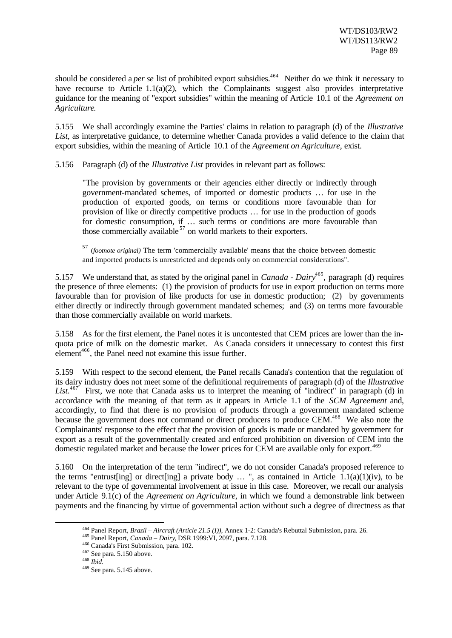should be considered a *per se* list of prohibited export subsidies.<sup>464</sup> Neither do we think it necessary to have recourse to Article 1.1(a)(2), which the Complainants suggest also provides interpretative guidance for the meaning of "export subsidies" within the meaning of Article 10.1 of the *Agreement on Agriculture*.

5.155 We shall accordingly examine the Parties' claims in relation to paragraph (d) of the *Illustrative List*, as interpretative guidance, to determine whether Canada provides a valid defence to the claim that export subsidies, within the meaning of Article 10.1 of the *Agreement on Agriculture*, exist.

5.156 Paragraph (d) of the *Illustrative List* provides in relevant part as follows:

"The provision by governments or their agencies either directly or indirectly through government-mandated schemes, of imported or domestic products … for use in the production of exported goods, on terms or conditions more favourable than for provision of like or directly competitive products … for use in the production of goods for domestic consumption, if ... such terms or conditions are more favourable than those commercially available  $57$  on world markets to their exporters.

<sup>57</sup> (*footnote original)* The term 'commercially available' means that the choice between domestic and imported products is unrestricted and depends only on commercial considerations".

5.157 We understand that, as stated by the original panel in *Canada - Dairy*<sup>465</sup>, paragraph (d) requires the presence of three elements: (1) the provision of products for use in export production on terms more favourable than for provision of like products for use in domestic production; (2) by governments either directly or indirectly through government mandated schemes; and (3) on terms more favourable than those commercially available on world markets.

5.158 As for the first element, the Panel notes it is uncontested that CEM prices are lower than the inquota price of milk on the domestic market. As Canada considers it unnecessary to contest this first element<sup>466</sup>, the Panel need not examine this issue further.

5.159 With respect to the second element, the Panel recalls Canada's contention that the regulation of its dairy industry does not meet some of the definitional requirements of paragraph (d) of the *Illustrative*  $List.<sup>46</sup>$ First, we note that Canada asks us to interpret the meaning of "indirect" in paragraph (d) in accordance with the meaning of that term as it appears in Article 1.1 of the *SCM Agreement* and, accordingly, to find that there is no provision of products through a government mandated scheme because the government does not command or direct producers to produce CEM.<sup>468</sup> We also note the Complainants' response to the effect that the provision of goods is made or mandated by government for export as a result of the governmentally created and enforced prohibition on diversion of CEM into the domestic regulated market and because the lower prices for CEM are available only for export.<sup>469</sup>

5.160 On the interpretation of the term "indirect", we do not consider Canada's proposed reference to the terms "entrust[ing] or direct[ing] a private body  $\dots$ ", as contained in Article 1.1(a)(1)(iv), to be relevant to the type of governmental involvement at issue in this case. Moreover, we recall our analysis under Article 9.1(c) of the *Agreement on Agriculture*, in which we found a demonstrable link between payments and the financing by virtue of governmental action without such a degree of directness as that

<sup>464</sup> Panel Report, *Brazil – Aircraft (Article 21.5 (I))*, Annex 1-2: Canada's Rebuttal Submission, para. 26.

<sup>465</sup> Panel Report, *Canada – Dairy*, DSR 1999:VI, 2097, para. 7.128.

<sup>466</sup> Canada's First Submission, para. 102.

<sup>467</sup> See para. 5.150 above.

<sup>468</sup> *Ibid*.

<sup>469</sup> See para. 5.145 above.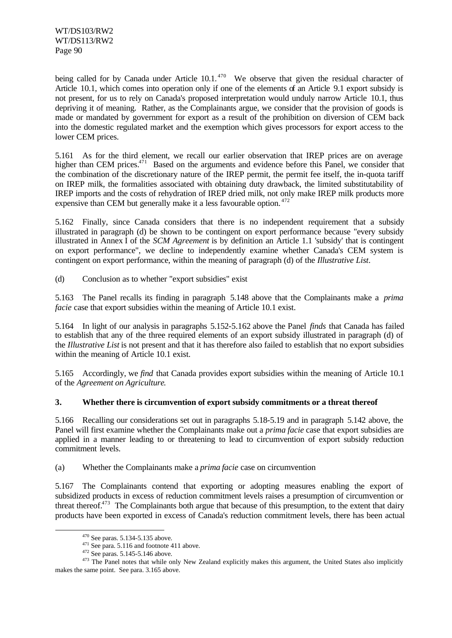being called for by Canada under Article 10.1.<sup>470</sup> We observe that given the residual character of Article 10.1, which comes into operation only if one of the elements of an Article 9.1 export subsidy is not present, for us to rely on Canada's proposed interpretation would unduly narrow Article 10.1, thus depriving it of meaning. Rather, as the Complainants argue, we consider that the provision of goods is made or mandated by government for export as a result of the prohibition on diversion of CEM back into the domestic regulated market and the exemption which gives processors for export access to the lower CEM prices.

5.161 As for the third element, we recall our earlier observation that IREP prices are on average higher than CEM prices.<sup>471</sup> Based on the arguments and evidence before this Panel, we consider that the combination of the discretionary nature of the IREP permit, the permit fee itself, the in-quota tariff on IREP milk, the formalities associated with obtaining duty drawback, the limited substitutability of IREP imports and the costs of rehydration of IREP dried milk, not only make IREP milk products more expensive than CEM but generally make it a less favourable option.<sup>472</sup>

5.162 Finally, since Canada considers that there is no independent requirement that a subsidy illustrated in paragraph (d) be shown to be contingent on export performance because "every subsidy illustrated in Annex I of the *SCM Agreement* is by definition an Article 1.1 'subsidy' that is contingent on export performance", we decline to independently examine whether Canada's CEM system is contingent on export performance, within the meaning of paragraph (d) of the *Illustrative List*.

(d) Conclusion as to whether "export subsidies" exist

5.163 The Panel recalls its finding in paragraph 5.148 above that the Complainants make a *prima facie* case that export subsidies within the meaning of Article 10.1 exist.

5.164 In light of our analysis in paragraphs 5.152-5.162 above the Panel *finds* that Canada has failed to establish that any of the three required elements of an export subsidy illustrated in paragraph (d) of the *Illustrative List* is not present and that it has therefore also failed to establish that no export subsidies within the meaning of Article 10.1 exist.

5.165 Accordingly, we *find* that Canada provides export subsidies within the meaning of Article 10.1 of the *Agreement on Agriculture*.

#### **3. Whether there is circumvention of export subsidy commitments or a threat thereof**

5.166 Recalling our considerations set out in paragraphs 5.18-5.19 and in paragraph 5.142 above, the Panel will first examine whether the Complainants make out a *prima facie* case that export subsidies are applied in a manner leading to or threatening to lead to circumvention of export subsidy reduction commitment levels.

(a) Whether the Complainants make a *prima facie* case on circumvention

5.167 The Complainants contend that exporting or adopting measures enabling the export of subsidized products in excess of reduction commitment levels raises a presumption of circumvention or threat thereof.<sup> $473$ </sup> The Complainants both argue that because of this presumption, to the extent that dairy products have been exported in excess of Canada's reduction commitment levels, there has been actual

<sup>470</sup> See paras. 5.134-5.135 above.

<sup>&</sup>lt;sup>471</sup> See para. 5.116 and footnote 411 above.

<sup>472</sup> See paras. 5.145-5.146 above.

<sup>&</sup>lt;sup>473</sup> The Panel notes that while only New Zealand explicitly makes this argument, the United States also implicitly makes the same point. See para. 3.165 above.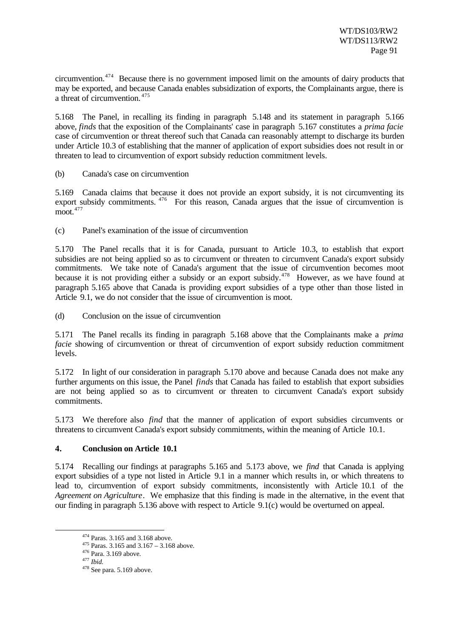circumvention.<sup>474</sup> Because there is no government imposed limit on the amounts of dairy products that may be exported, and because Canada enables subsidization of exports, the Complainants argue, there is a threat of circumvention. <sup>475</sup>

5.168 The Panel, in recalling its finding in paragraph 5.148 and its statement in paragraph 5.166 above, *finds* that the exposition of the Complainants' case in paragraph 5.167 constitutes a *prima facie* case of circumvention or threat thereof such that Canada can reasonably attempt to discharge its burden under Article 10.3 of establishing that the manner of application of export subsidies does not result in or threaten to lead to circumvention of export subsidy reduction commitment levels.

(b) Canada's case on circumvention

5.169 Canada claims that because it does not provide an export subsidy, it is not circumventing its export subsidy commitments. <sup>476</sup> For this reason, Canada argues that the issue of circumvention is  $\frac{1}{2}$  moot.<sup>477</sup>

(c) Panel's examination of the issue of circumvention

5.170 The Panel recalls that it is for Canada, pursuant to Article 10.3, to establish that export subsidies are not being applied so as to circumvent or threaten to circumvent Canada's export subsidy commitments. We take note of Canada's argument that the issue of circumvention becomes moot because it is not providing either a subsidy or an export subsidy.<sup>478</sup> However, as we have found at paragraph 5.165 above that Canada is providing export subsidies of a type other than those listed in Article 9.1, we do not consider that the issue of circumvention is moot.

(d) Conclusion on the issue of circumvention

5.171 The Panel recalls its finding in paragraph 5.168 above that the Complainants make a *prima facie* showing of circumvention or threat of circumvention of export subsidy reduction commitment levels.

5.172 In light of our consideration in paragraph 5.170 above and because Canada does not make any further arguments on this issue, the Panel *finds* that Canada has failed to establish that export subsidies are not being applied so as to circumvent or threaten to circumvent Canada's export subsidy commitments.

5.173 We therefore also *find* that the manner of application of export subsidies circumvents or threatens to circumvent Canada's export subsidy commitments, within the meaning of Article 10.1.

#### **4. Conclusion on Article 10.1**

5.174 Recalling our findings at paragraphs 5.165 and 5.173 above, we *find* that Canada is applying export subsidies of a type not listed in Article 9.1 in a manner which results in, or which threatens to lead to, circumvention of export subsidy commitments, inconsistently with Article 10.1 of the *Agreement on Agriculture*. We emphasize that this finding is made in the alternative, in the event that our finding in paragraph 5.136 above with respect to Article 9.1(c) would be overturned on appeal.

<sup>474</sup> Paras. 3.165 and 3.168 above.

<sup>475</sup> Paras. 3.165 and 3.167 – 3.168 above.

<sup>476</sup> Para. 3.169 above.

<sup>477</sup> *Ibid.*

<sup>478</sup> See para. 5.169 above.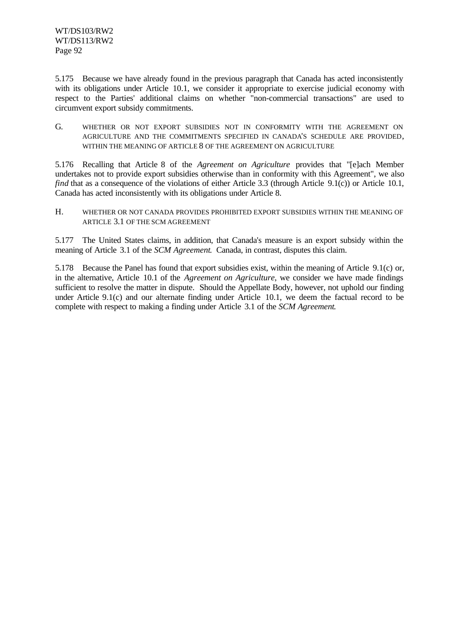5.175 Because we have already found in the previous paragraph that Canada has acted inconsistently with its obligations under Article 10.1, we consider it appropriate to exercise judicial economy with respect to the Parties' additional claims on whether "non-commercial transactions" are used to circumvent export subsidy commitments.

G. WHETHER OR NOT EXPORT SUBSIDIES NOT IN CONFORMITY WITH THE AGREEMENT ON AGRICULTURE AND THE COMMITMENTS SPECIFIED IN CANADA'S SCHEDULE ARE PROVIDED, WITHIN THE MEANING OF ARTICLE 8 OF THE AGREEMENT ON AGRICULTURE

5.176 Recalling that Article 8 of the *Agreement on Agriculture* provides that "[e]ach Member undertakes not to provide export subsidies otherwise than in conformity with this Agreement", we also *find* that as a consequence of the violations of either Article 3.3 (through Article 9.1(c)) or Article 10.1, Canada has acted inconsistently with its obligations under Article 8.

#### H. WHETHER OR NOT CANADA PROVIDES PROHIBITED EXPORT SUBSIDIES WITHIN THE MEANING OF ARTICLE 3.1 OF THE SCM AGREEMENT

5.177 The United States claims, in addition, that Canada's measure is an export subsidy within the meaning of Article 3.1 of the *SCM Agreement*. Canada, in contrast, disputes this claim.

5.178 Because the Panel has found that export subsidies exist, within the meaning of Article 9.1(c) or, in the alternative, Article 10.1 of the *Agreement on Agriculture*, we consider we have made findings sufficient to resolve the matter in dispute. Should the Appellate Body, however, not uphold our finding under Article 9.1(c) and our alternate finding under Article 10.1, we deem the factual record to be complete with respect to making a finding under Article 3.1 of the *SCM Agreement*.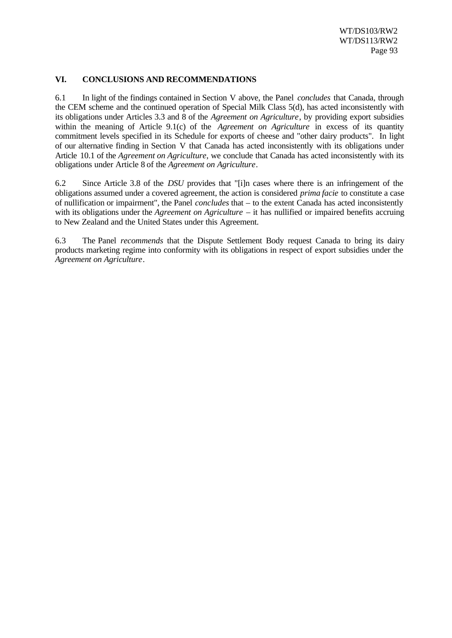# **VI. CONCLUSIONS AND RECOMMENDATIONS**

6.1 In light of the findings contained in Section V above, the Panel *concludes* that Canada, through the CEM scheme and the continued operation of Special Milk Class 5(d), has acted inconsistently with its obligations under Articles 3.3 and 8 of the *Agreement on Agriculture*, by providing export subsidies within the meaning of Article 9.1(c) of the *Agreement on Agriculture* in excess of its quantity commitment levels specified in its Schedule for exports of cheese and "other dairy products". In light of our alternative finding in Section V that Canada has acted inconsistently with its obligations under Article 10.1 of the *Agreement on Agriculture*, we conclude that Canada has acted inconsistently with its obligations under Article 8 of the *Agreement on Agriculture*.

6.2 Since Article 3.8 of the *DSU* provides that "[i]n cases where there is an infringement of the obligations assumed under a covered agreement, the action is considered *prima facie* to constitute a case of nullification or impairment", the Panel *concludes* that – to the extent Canada has acted inconsistently with its obligations under the *Agreement on Agriculture* – it has nullified or impaired benefits accruing to New Zealand and the United States under this Agreement.

6.3 The Panel *recommends* that the Dispute Settlement Body request Canada to bring its dairy products marketing regime into conformity with its obligations in respect of export subsidies under the *Agreement on Agriculture*.